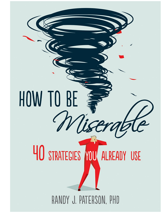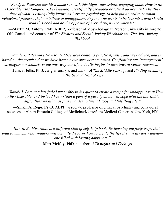*"Randy J. Paterson has hit a home run with this highly accessible, engaging book. How to Be Miserable uses tongue-in-cheek humor, scientifically grounded practical advice, and a healthy dose of what is colloquially known as 'reverse psychology' to help put an end to common behavioral patterns that contribute to unhappiness. Anyone who wants to be less miserable should read this book and do the opposite of everything it recommends!"*

—**Martin M. Antony, PhD, ABPP**, professor of Mpsychology at Ryerson University in Toronto, ON, Canada, and coauthor of *The Shyness and Social Anxiety Workbook* and *The Anti-Anxiety Workbook*

*"Randy J. Paterson's How to Be Miserable contains practical, witty, and wise advice, and is based on the premise that we have become our own worst enemies. Confronting our 'management' strategies consciously is the only way our life actually begins to turn toward better outcomes."*

—**James Hollis, PhD**, Jungian analyst, and author of *The Middle Passage* and *Finding Meaning in the Second Half of Life*

*"Randy J. Paterson has failed miserably in his quest to create a recipe for unhappiness in How* to Be Miserable, and instead has written a gem of a parody on how to cope with the inevitable *dif iculties we all must face in order to live a happy and fulfilling life."*

**—Simon A. Rego, PsyD, ABPP**, associate professor of clinical psychiatry and behavioral sciences at Albert Einstein College of Medicine/Montefiore Medical Center in New York, NY

*"How to Be Miserable is a dif erent kind of self-help book. By learning the forty traps that lead to unhappiness, readers will actually discover how to create the life they've always wanted one filled with lasting happiness."*

—**Matt McKay, PhD**, coauthor of *Thoughts and Feelings*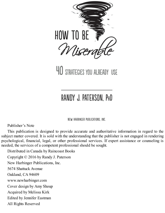

40 STRATEGIES YOU ALREADY USE

# RANDY J. PATERSON, PHD

NEW HARBINGER PUBLICATIONS, INC.

Publisher's Note

This publication is designed to provide accurate and authoritative information in regard to the subject matter covered. It is sold with the understanding that the publisher is not engaged in rendering psychological, financial, legal, or other professional services. If expert assistance or counseling is needed, the services of a competent professional should be sought.

Distributed in Canada by Raincoast Books Copyright © 2016 by Randy J. Paterson New Harbinger Publications, Inc. 5674 Shattuck Avenue Oakland, CA 94609 www.newharbinger.com Cover design by Amy Shoup Acquired by Melissa Kirk Edited by Jennifer Eastman All Rights Reserved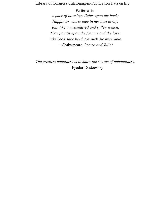Library of Congress Cataloging-in-Publication Data on file

For Benjamin *A pack of blessings lights upon thy back; Happiness courts thee in her best array; But, like a misbehaved and sullen wench, Thou pout'st upon thy fortune and thy love: Take heed, take heed, for such die miserable.* —Shakespeare, *Romeo and Juliet*

*The greatest happiness is to know the source of unhappiness.* —Fyodor Dostoevsky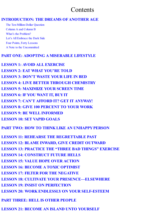### **Contents**

### <span id="page-5-0"></span>**[INTRODUCTION:](#page-7-0) THE DREAMS OFANOTHER AGE**

The [Ten-Million-Dollar](#page-8-0) Question [Column](#page-10-0) A and Column B What's the [Problem?](#page-11-0) Let's All [Embrace](#page-12-0) the Dark Side Four Points, Forty [Lessons](#page-12-1) A Note to the [Uncommitted](#page-13-0)

### **PART ONE: ADOPTING A [MISERABLE](#page-14-0) LIFESTYLE**

**LESSON 1: AVOID ALL [EXERCISE](#page-17-0) [LESSON](#page-19-0) 2: EAT WHAT YOU'RE TOLD [LESSON](#page-21-0) 3: DON'T WASTE YOUR LIFE IN BED LESSON 4: LIVE BETTER THROUGH [CHEMISTRY](#page-23-0) LESSON 5: [MAXIMIZE](#page-25-0) YOUR SCREEN TIME [LESSON](#page-27-0) 6: IFYOU WANT IT, BUYIT LESSON 7: CAN'T AFFORD IT? GET IT [ANYWAY!](#page-29-0) LESSON 8: GIVE 100 [PERCENT](#page-31-0) TO YOUR WORK LESSON 9: BE WELL [INFORMED](#page-33-0) [LESSON](#page-35-0) 10: SET VAPID GOALS**

### **PART TWO: HOW TO THINK LIKE AN [UNHAPPYPERSON](#page-37-0)**

**LESSON 11: REHEARSE THE [REGRETTABLE](#page-40-0) PAST LESSON 12: BLAME INWARD, GIVE CREDIT [OUTWARD](#page-42-0) LESSON 13: [PRACTICE](#page-44-0) THE "THREE BAD THINGS" EXERCISE LESSON 14: [CONSTRUCT](#page-46-0) FUTURE HELLS [LESSON](#page-48-0) 15: VALUE HOPE OVER ACTION LESSON 16: BECOME A TOXIC [OPTIMIST](#page-50-0) LESSON 17: FILTER FOR THE [NEGATIVE](#page-52-0) LESSON 18: CULTIVATE YOUR [PRESENCE—ELSEWHERE](#page-55-0) LESSON 19: INSIST ON [PERFECTION](#page-57-0) LESSON 20: WORK [ENDLESSLYON](#page-60-0) YOUR SELF-ESTEEM**

### **PART THREE: HELL IS OTHER [PEOPLE](#page-62-0)**

**LESSON 21: BECOME AN ISLAND UNTO [YOURSELF](#page-64-0)**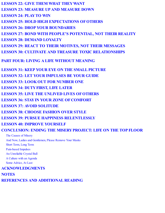**LESSON 22: GIVE THEM WHAT [THEYWANT](#page-66-0) LESSON 23: [MEASURE](#page-68-0) UP AND MEASURE DOWN LESSON 24: [PLAYTO](#page-70-0) WIN LESSON 25: HOLD HIGH [EXPECTATIONS](#page-72-0) OFOTHERS LESSON 26: DROP YOUR [BOUNDARIES](#page-74-0) LESSON 27: BOND WITH PEOPLE'S [POTENTIAL,](#page-77-0) NOT THEIR REALITY LESSON 28: DEMAND [LOYALTY](#page-79-0) LESSON 29: REACT TO THEIR MOTIVES, NOT THEIR [MESSAGES](#page-82-0) LESSON 30: CULTIVATE AND TREASURE TOXIC [RELATIONSHIPS](#page-85-0)**

**PART FOUR: LIVING A LIFE [WITHOUT](#page-87-0) MEANING**

**LESSON 31: KEEP YOUR EYE ON THE SMALL [PICTURE](#page-89-0) LESSON 32: LET YOUR [IMPULSES](#page-91-0) BE YOUR GUIDE LESSON 33: LOOK OUT FOR [NUMBER](#page-93-0) ONE LESSON 34: [DUTYFIRST,](#page-95-0) LIFE LATER LESSON 35: LIVE THE UNLIVED LIVES [OFOTHERS](#page-97-0) LESSON 36: STAYIN YOUR ZONE [OFCOMFORT](#page-99-0) LESSON 37: AVOID [SOLITUDE](#page-101-0) LESSON 38: CHOOSE [FASHION](#page-103-0) OVER STYLE LESSON 39: PURSUE HAPPINESS [RELENTLESSLY](#page-105-0) LESSON 40: IMPROVE [YOURSELF](#page-107-0) CONCLUSION: ENDING THE [MISERYPROJECT:](#page-109-0) LIFE ON THE TOP FLOOR**

The [Causes](#page-110-0) of Misery And Now, Ladies and [Gentlemen,](#page-110-1) Please Remove Your Masks Short [Term,](#page-111-0) Long Term [Pain-based](#page-111-1) Impulses An [Unreliable](#page-112-0) Crystal Ball A Culture with an [Agenda](#page-112-1) Some [Advice,](#page-114-0) At Last

**[ACKNOWLEDGMENTS](#page-117-0) [NOTES](#page-118-0) [REFERENCES](#page-119-0) AND ADDITIONAL READING**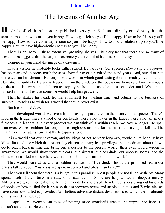### [Introduction](#page-5-0)

# The Dreams of Another Age

<span id="page-7-0"></span>**H**undreds of self-help books are published every year. Each one, directly or indirectly, has the same purpose: how to make you happy. How to get rich so you'll be happy. How to be thin so you'll be happy. How to overcome depression so you'll be happy. How to find a relationship so you'll be happy. How to have high-colonic enemas so you'll be happy.

There is an irony in these extensive, groaning shelves. The very fact that there are so many of these books suggests that the target is extremely elusive—that happiness isn't easy.

Conjure in your mind the image of a caveman.

In your vision, he probably looks rather stupid. But he is us. Our species, *Homo sapiens sapiens,* has been around in pretty much the same form for over a hundred thousand years. And, stupid or not, our caveman has dreams. He longs for a world in which good-tasting food is readily available and starvation is unlikely. He wants freedom from the predators that occasionally make off with members of the tribe. He wants his children to stop dying from diseases he does not understand. When he is himself ill, he wishes that someone would help him get well.

Then he shakes his head, frowns at himself for wasting time, and returns to the business of survival. Pointless to wish for a world that could never exist.

But it can—and does.

In the developed world, we live a life of luxury unparalleled in the history of the species. There's food in the fridge, there's a roof over our heads, there's hot water in the faucet, there's hot air in our furnaces and leaders, and every product we can think of is within reach. We have a longer life span than ever. We're healthier for longer. The neighbors are not, for the most part, trying to kill us. The infant mortality rate is low, and the lifespan is long.

It is a world that our caveman, and the kings of not so very long ago, would quite happily have killed for (and one which the present-day citizens of many less privileged nations dream about). If we could reach back in time and bring our ancestors to the present world, their eyes would widen in amazement. We would show them our cars, our aircraft, our hospitals, our grocery stores, and the climate-controlled rooms where we sit in comfortable chairs to do our "work."

They would stare at us with a sudden realization. "I've died. This is the promised realm our priests talked about. Your days are spent in comfort and bliss. Can I stay?"

Then you tell them that there is a blight in this paradise. Most people are not filled with joy. Many spend much of their time in a state of dissatisfaction. Some are hospitalized in deepest misery. Millions are given medication to lift their moods to a tolerable level. Publishers bring out hundreds of books on how to find the happiness that microwave ovens and stable societies and Zumba classes have somehow failed to provide. Bus shelters advertise distant destinations to which the inhabitants of this world can escape.

Escape? Our caveman can think of nothing more wonderful than to be imprisoned here. He doesn't understand. He cannot.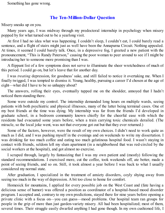Something has gone wrong.

### **The [Ten-Million-Dollar](#page-5-0) Question**

<span id="page-8-0"></span>Misery sneaks up on you.

Many years ago, I was midway through my predoctoral internship in psychology when misery popped by for what turned out to be a yearlong visit.

At first I had no idea what was happening. I couldn't sleep, I couldn't eat, I could barely read a sentence, and a flight of stairs might just as well have been the Annapurna Circuit. Nothing appealed. At times, it seemed I could barely talk. Once, in a depressive fog, I greeted a new patient with the pronouncement, "This is Randy Paterson," causing the poor woman to peer around to see if I might be introducing her to someone more promising than I was.

A flippant list of a few symptoms does not serve to illuminate the sheer wretchedness of much of this period. I could go on, but let's leave that for another day.

I was *treating* depression, for goodness' sake, and still failed to notice it overtaking me. When I finally twigged, I was tempted to dismiss it. Young, healthy, pursuing a career I'd chosen at the age of eight—what did I have to be so unhappy about?

The answers, rolling their eyes, eventually tapped me on the shoulder, annoyed that I hadn't noticed them standing there.

Some were outside my control. The internship demanded long hours on multiple wards, seeing patients with both psychiatric and physical illnesses, many of the latter being terminal cases. One of my best friends at the time was dying. My internship was far from the friends I'd developed in graduate school, in a bedroom community known chiefly for the cheerful ease with which the residents had evacuated some years before, when a train carrying toxic chemicals derailed. (The miracle, so the local joke went, was not that everyone got out but that they ever returned.)

Some of the factors, however, were the result of my own choices. I didn't need to work quite as much as I did, and I was pushing myself in the evenings and on weekends to write my dissertation. I was drinking far too much coffee and eating too much gelatinous hospital food. I wasn't staying in contact with friends, seldom left my slum apartment (in a neighborhood that was red-circled by the social workers at the hospital), and got almost no exercise.

I scraped through, largely by fantasizing that I was my own patient and (mostly) following the standard recommendations. I exercised more, cut the coffee, took weekends off, ate better, made a point of seeing friends, and so on. Still, it took almost a year before I was back to what I usually considered my normal state.

After graduation, I specialized in the treatment of anxiety disorders, coyly shying away from seeing too much in the way of depression. A bit too close to home for comfort.

Homesick for mountains, I applied for every possible job on the West Coast and (fate having a delicious sense of humor) was offered a position as coordinator of a hospital-based mood disorder program. I accepted and, contrary to my own predictions, stayed there for nine years before opening a private clinic with a focus on—you can guess—mood problems. Our hospital team ran groups for people in the grip of more than just garden-variety misery. All had been hospitalized; most of them, several times. Their struggle easily dwarfed anything I had gone though. In my own cushioned life, I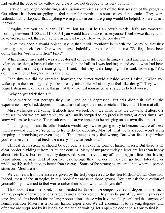had visited the edge of the valley, but clearly had not dropped to its very bottom.

Early on, we began conducting a discussion exercise as part of the first session of the program. Our clients had been struggling to feel better for months—in some cases, for decades. They were understandably skeptical that anything we might do in our little group would be helpful. So we turned it around.

"Imagine that you could earn \$10 million for just half an hour's work—let's say tomorrow morning between 11:00 and 11:30. All you would have to do is make yourself feel *worse* than you do now. Worse, in fact, than you've felt in the past week. How would you do it?"

Sometimes people would object, saying that it still wouldn't be worth the money or that they feared getting stuck there. One woman gazed balefully across the table at me. "So far, I have been doing this for *free*. Ten million? Fine."

What ensued, invariably, was a free-for-all of ideas that came haltingly at first and then in a flood. After one session, a hospital cleaner stopped in the hall as I was locking up and asked what had been going on in there. "Depression group," I said. "But they were laughing," she said, frowning. "You don't hear a lot of laughter in this building."

Each time we did the exercise, however, the humor would subside when I asked, "When you wake up in the morning, and you're already miserable, what do you feel like doing?" They would begin listing many of the same things that they had just nominated as strategies to feel worse.

"Why do you think that is?"

Some worried that perhaps they just liked being depressed. But this didn't fit. Of all the experiences they'd had, depression was almost always the most wretched. They didn't like it at all.

Misery changes everything. It affects how we feel, how we think, what we do—and it alters our impulses. When we are miserable, we are usually tempted to do precisely what, at other times, we know will make it worse. The result can be that we appear to be bringing on our own discomfort.

"In this group," I and the other leaders would say, "we're going to try to become aware of these impulses—and often we're going to try to do the opposite. Most of what we talk about won't seem tempting or promising or even logical. The strategies may feel wrong. But what feels right when you're miserable is what feeds the misery, not what feeds you."

Clinical depression, as should be obvious, is an extreme form of human misery. But there is no clear border dividing it from its milder cousins. Many of my present-day clients are less than happy about their lives, but not clinically depressed. Some arrive at my office doing just fine—but having heard about the new field of positive psychology, they wonder if they can go from tolerable or middling life satisfaction to better than average. Some of the strategies are unique to where a person starts out. Most are not.

We can learn from the answers given by the truly depressed to the Ten-Million-Dollar Question. Indeed, most of the strategies in this book first arose in those groups. You can ask the question of yourself. If you wanted to feel worse rather than better, what would you do?

This book, it must be noted, is not intended for those in the deepest valley of depression. At such a time, people often need other strategies and another voice. They may be put off by any chirpiness of tone. Instead, this book is for the larger population—those who have not fully explored the canyons of human emotion. Misery is a normal human experience. We all encounter it to varying degrees, and often we are surprised by its knock. So rather than waiting, let's open the door and set out to find it.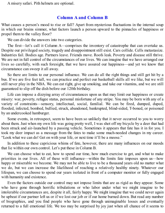A misery safari. Pith helmets are optional.

### **Column A and [Column](#page-5-0) B**

<span id="page-10-0"></span>What causes a person's mood to rise or fall? Apart from mysterious fluctuations in the internal soup in which our brains simmer, what factors launch a person upward to the pinnacles of happiness or propel them to the valley floor?

We can divide the answers into two categories.

The first—let's call it Column A—comprises the inventory of catastrophe that can overtake us. Despite our privileged society, tragedy and disappointment still exist. Cars collide. Cells metastasize. Industries fail. Bodies age. Partners leave. Friends move. Roofs leak. Poverty and disease still thrive. We are not in full control of the circumstances of our lives. We can imagine that we have arranged our lives so carefully, with such foresight, that we have assured our happiness—and yet we know that circumstance can sweep it all away.

So there are limits to our personal influence. We can do all the right things and still get hit by a bus. If we are five feet tall, we can practice and perfect our basketball skills all we like, but we will still never play in the NBA. We can eat right, give up smoking, and take our vitamins, and we are still guaranteed to slip off the dish before our 120th birthday.

Life can impose a dizzying array of circumstances upon us that may limit our happiness or create misery: war, poverty, refugee status, personal misfortune of any stripe. You may be born with any of a variety of constraints—sensory, intellectual, social, familial. We can be fired, dumped, duped, flooded, infected, bombed, bullied, struck, abandoned, bankrupted, blind-sided, T-boned, or poisoned by an undercooked hamburger.

Some events, in retrospect, seem to have been so unlikely that it never occurred to you to worry about them. Just when my own life was going pretty well, I was shot off my bicycle by a deer that had been struck and air-launched by a passing vehicle. Sometimes it appears that fate has it in for you. I took my deer impact as a message from the fates to make some much-needed changes in my career. "Look what we can do! Get on with your life, or next time it'll be a moose."

In addition to these capricious whims of fate, however, there are many influences on our moods that lie within our own control. Let's put these in Column B.

We can choose what to eat, how to spend our time, how much exercise to get, and what to make priorities in our lives. All of these will influence—within the limits fate imposes upon us—how happy or miserable we become. We may not be able to live to be a thousand years old no matter what we do, but we can increase the likelihood of reaching a relatively healthy ninety. Whatever our lifespan, we can choose to spend our years isolated in front of a computer monitor or fully engaged with humanity and existence.

Even the factors outside our control may not impose limits that are as rigid as they appear. Some who have gone through horrific tribulations or who labor under what we might imagine to be intolerable circumstances are, despite it all, fairly happy. We might imagine that we could never again be upbeat if our partner left us or if we lost our job or if our home burned down. But read any number of biographies, and you find people who have gone through unimaginable losses and eventually returned to a full emotional life. We too may be surprised by joy just when all chance of it seems to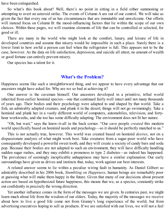have been extinguished.

So what's this book about? Well, there's no point in sitting in a field either summoning or attempting to avert an asteroid strike. The events of Column A are out of our control. We will take as given the fact that every one of us has circumstances that are immutable and unwelcome. Our efforts will instead focus on Column B: the mood-influencing factors that lie within the scope of our own choices. Within these pages, we will examine elements of life that can be controlled or selected, for good or ill.

There are many in the world who might look at the comfort, luxury, and leisure of life in developed countries and assume that misery would be impossible in such a place. Surely there is a lower limit to how awful a person can feel when the refrigerator is full. This appears not to be the case, however. As the data on life satisfaction, depression, and suicide all attest, no amount of wealth or good fortune can entirely prevent misery.

Our species has a talent for it.

#### **What's the [Problem?](#page-5-0)**

<span id="page-11-0"></span>Happiness seems like such a straightforward thing, and we appear to have every advantage that our ancestors might have asked for. Why are we so bad at achieving it?

One answer is the caveman himself. Our ancestors developed in a primitive, tribal world inherited from earlier hominid species—one that continued fairly well intact until not many thousands of years ago. Their bodies and their psychology were adapted to and shaped by that world. Take a fish, an admirably adapted creature, and plunk it in the desert; things will not go swimmingly. Take a hominid and plunk her in a vastly different world of computers, automobiles, television, and fortyhour workweeks, and she too has some difficulty adapting. The environment does not fit her nature.

"Oh, but wait," says the know-it-all in the back corner. "Our cave people *created* this modern world specifically based on hominid needs and psychology—so it should be perfectly matched to us."

This is not actually true, however. This world was created based on hominid *desires*, not on a dispassionate analysis of what might work best. Take creatures from a sugar-poor world who have consequently developed a powerful sweet tooth, and they will create a society of candy bars and soda pop. Because their bodies are not adapted to such an environment, they will have difficulty handling sudden sugar rushes, and they may exhibit a proneness to type 2 diabetes—as indeed has happened. The prevalence of seemingly inexplicable unhappiness may have a similar explanation. Our early surroundings have given us drives and instincts that, today, work against our best interests.

A related answer seems to lie within a peculiar wiring fault in humanity. As Daniel Gilbert so admirably described in his 2006 book, *Stumbling on Happiness*, human beings are remarkably poor at guessing what will make them happy in the future. Given that many of our decisions about present action are based on hypothesized future happiness, this means that we, as a species, constantly strike out confidently in precisely the wrong direction.

Yet another influence comes in the form of the messages we are given. In centuries past, we might learn much about life from the wisdom of our elders. Today, the majority of the messages we receive about how to live a good life come not from Granny's long experience of the world, but from advertising executives hoping to sell us products. If we are satisfied with our lives, we will not a feel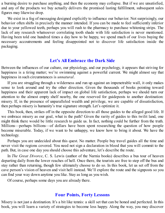a burning desire to purchase anything, and then the economy may collapse. But if we are unsatisfied, and any of the products we buy actually delivers the promised lasting fulfillment, subsequent sales figures may likewise drop.

We exist in a fog of messaging designed explicitly to influence our behavior. Not surprisingly, our behavior often shifts in precisely the manner intended. If you can be made to feel sufficiently inferior due to your yellowed teeth, perhaps you will rush to the pharmacy to purchase whitening strips. The lack of any research whatsoever correlating tooth shade with life satisfaction is never mentioned. Having been told one hundred times a day how to be happy, we spend much of our lives buying the necessary accoutrements and feeling disappointed not to discover life satisfaction inside the packaging.

### **Let's All [Embrace](#page-5-0) the Dark Side**

<span id="page-12-0"></span>Between the influences of our culture, our physiology, and our psychology, it appears that striving for happiness is a tiring matter; we're swimming against a powerful current. We might almost say that happiness in such circumstances is *unnatural*.

If you are struggling through a wilderness and run up against an impenetrable wall, it only makes sense to look around and try the other direction. Given the thousands of books pointing toward happiness and their apparent lack of impact on global life satisfaction, perhaps we should turn our attention to the almost empty shelf nearby, the one reserved for guideposts to another destination: misery. If, in the presence of unparalleled wealth and privilege, we are capable of dissatisfaction, then perhaps misery is humanity's true signature strength. Let's optimize it.

This book, then, strikes off in the opposite direction to all those guides to the alleged good life. If we embrace misery as our goal, what is the path? Given the rarity of guides to this twilit land, one might think there would be little research to guide us. In fact, nothing could be further from the truth. Millions—perhaps billions—of dollars have been spent researching the question of how people become miserable. Today, if we want to be unhappy, we know how to bring it about. We have the technology.

Perhaps you are undecided about this quest. No matter. People buy travel guides all the time and never visit the regions covered. You need not sign a declaration in blood that you will commit to the path. But, in case one day you should choose this adventure, let's describe the route.

In *The Great Divorce*, C. S. Lewis (author of the Narnia books) describes a bus tour of heaven departing daily from the lower reaches of hell. Once there, the tourists are free to step off the bus and stay rather than returning, though few ultimately choose to do so. In this book, let us set off from the cave person's vision of heaven and visit hell instead. We'll explore the route and the signposts so you can find your way down anytime you like. Stay as long as you wish.

Of course, perhaps some days you are already there.

### **Four Points, Forty [Lessons](#page-5-0)**

<span id="page-12-1"></span>Misery is not just a destination. It's a bit like tennis: a skill set that can be honed and perfected. In this book, you will learn a variety of strategies to become less happy. Along the way, you may discover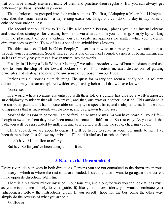that you have already mastered many of them and practice them regularly. But you can always get better—or perhaps I should say *worse*.

The techniques are grouped into four main sections. The first, "Adopting a Miserable Lifestyle," describes the basic features of a depressing existence: things you can do on a day-to-day basis to enhance your unhappiness.

The second section, "How to Think Like a Miserable Person," places you in an internal cinema and describes strategies for creating low mood via alterations in your thinking. Simply by working with the placement of your attention, you can create unhappiness no matter what your external circumstances might be. Think of it as a set of anti-mindfulness lessons.

The third section, "Hell Is Other People," describes how to maximize your own unhappiness through your relationships. Social interaction is one of the most complex aspects of being human, and so it is relatively easy to toss a few spanners into the works.

Finally, in "Living a Life Without Meaning," we take a broader view of human existence and ask how to steer the ship of life toward rockier shores. This section includes discussions of guiding principles and strategies to eradicate any sense of purpose from our lives.

Perhaps this all sounds quite daunting. The quest for misery can seem a lonely one—a solitary, quixotic journey into an unexplored wilderness, leaving behind all that we have known.

Nonsense.

In a world where so many are unhappy with their lot, our culture has created a well-signposted superhighway to misery that all may travel, and that, one way or another, most do. This autobahn is the smoother path, and it has innumerable on-ramps, no speed limit, and multiple lanes. It is the road to happiness that is individual, weed-strewn, and overgrown from disuse.

Most of the lessons to come will sound familiar. Many are maxims you have heard all your life though to sweeten them they have been touted as routes to fulfillment. So rest easy. As you walk this path, you will be surrounded by millions, and your culture will line the route, cheering you on.

Climb aboard; we are about to depart. I will be happy to serve as your tour guide to hell. I've been there before. Just follow my umbrella; I'll hold it aloft as I march on ahead.

I don't have \$10 million to offer you.

But hey: So far you've been doing this for free.

### **A Note to the [Uncommitted](#page-5-0)**

<span id="page-13-0"></span>Every riverside path goes in both directions. Perhaps you are not committed to the downstream route —misery—which is where the rest of us are headed. Instead, you still want to go against the current in the opposite direction. Well, fine.

There is a rearview mirror installed in our tour bus, and along the way you can look at it as much as you wish. Listen closely to your guide. If, like your fellow riders, you want to embrace your unhappiness, follow the instructions given. If you secretly hope for the bus going the other way, simply do the reverse of what you are told.

Spoilsport.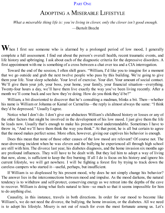#### P[ART](#page-5-0) ONE

### ADOPTING A MISERABLE LIFESTYLE

### *What a miserable thing life is: you're living in clover, only the clover isn't good enough.* —Bertolt Brecht

When I first see someone who is alarmed by a prolonged period of low mood, I generally complete a full assessment. I find out about the person's overall health, recent traumatic events, and life history and upbringing. I ask about each of the diagnostic criteria for the depressive disorders. A first appointment with me is something of a cross between a chat over tea and a CIA interrogation.

Toward the end of the session, I often shift gears. "William, I'd like you to imagine for a moment that we go outside and grab the next twelve people who pass by this building. We're going to give them your life. Your sleep schedule. Your level of exercise. Your diet. Your amount of social contact. We'll give them your job, your boss, your home, your family, your financial situation—everything. Twenty-four hours a day, we'll have them live exactly the way you've been living recently. After a month we'll come back and see how they're doing. How do you think they'd be?"

William, a bit disoriented to discover that he's consulting a madman, blinks a bit. Then—whether his name is William or Johanna or Kamal or Carmelita—the reply is almost always the same: "I think they'd be depressed." Usually I agree.

Notice what I don't do. I don't give our abductees William's childhood history or losses or any of the other factors that might be involved in the development of his low mood. I just give them the life he leads now. Usually that's enough to make his present mood understandable. Sometimes I have to throw in, "And we'll have them think the way you think." At that point, he is all but certain to agree that the mood makes perfect sense. More often, however, giving our captives his behavior is enough.

Does this mean that none of those other causes of the low mood are relevant? Of course not. The near-drowning incident when he was eleven and the bullying he experienced all through high school are still with him. The divorce last year, his diabetes diagnosis, and the home invasion six months ago are profound influences. They will have to be dealt with. But they led him to adopt a way of living that now, alone, is sufficient to keep the fire burning. If all I do is focus on his history and ignore his current lifestyle, we will get nowhere. I will be fighting a forest fire by trying to track down the careless campers who started it—useful, perhaps, but insufficient.

If William is so displeased by his present mood, why does he not simply change his behavior? The answer lies in the interconnections between mood and impulse. As the mood darkens, the natural tendency is to withdraw and self-protect, conserving energy as we retreat into the depths of the cave to recover. William is doing what feels natural to him—so much so that it seems impossible for him to do anything else.

Causality, in this instance, travels in both directions. In order for our mood to become like William's, we do not need the divorce, the bullying, the home invasion, or the diabetes. All we need is to adopt his lifestyle. Misery is not out of reach for even the most fortunate among us. Let's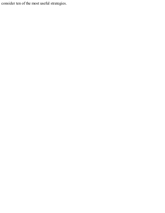consider ten of the most useful strategies.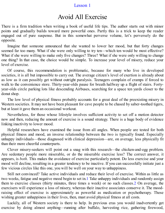### Avoid All Exercise

<span id="page-17-0"></span>There is a firm tradition when writing a book of useful life tips. The author starts out with minor points and gradually builds toward more powerful ones. Partly this is a trick to keep the reader engaged out of pure suspense. But in this somewhat perverse volume, let's perversely do the opposite.

Imagine that someone announced that she wanted to lower her mood, but that forty changes seemed far too many. What if she were only willing to try ten—which ten would be most effective? What if she were willing to make only five changes? Three? What if she were only willing to change one thing? In that case, the choice would be simple. To increase your level of misery, reduce your level of exercise.

Of course, this recommendation is problematic, because for many who live in developed societies, it is all but impossible to carry out. The average citizen's level of exertion is already about as low as it can possibly get without outright paralysis. Teenagers complain of cramps if forced to walk to the convenience store. Thirty-year-olds pause for breath halfway up a flight of stairs. Fortyyear-olds circle parking lots like descending Airbuses, searching for a space ten yards closer to the donut shop.

The low level of physical fitness probably accounts for a great deal of the preexisting misery in Western societies. It may not have been pleasant for cave people to be chased by saber-toothed tigers, but at least it gave them an occasional workout.

Nevertheless, for those whose lifestyle involves sufficient activity to set off a motion detector now and then, reducing the amount of exercise is a sound strategy. There is a huge body of evidence linking inactivity to lower mood.

Helpful researchers have examined the issue from all angles. When people are tested for both physical fitness and mood, an inverse relationship between the two is typically found. Especially unhappy individuals—those diagnosed with clinical depression—are, on average, less physically fit than their more cheerful counterparts.

Clever misery-seekers will point out a snag with this research—the chicken-and-egg problem. Are sedentary people more miserable, or do the miserable exercise less? The correct answer, it appears, is *both*. This makes the avoidance of exercise particularly potent. Do less exercise and your mood will decline, resulting in a greater tendency to be inactive. If you can successfully initiate just a few vicious circles like this one, you will be well on your way to unhappiness.

Still not convinced? Take active individuals and reduce their level of exercise. Within as little as two weeks, fatigue and negative mood begin to set in.[1](#page-118-1) Take unhappy individuals and randomly assign them to exercise classes (thirty minutes, three times a week) or no such classes.[2](#page-118-2) On average, the exercisers will experience a loss of misery, whereas their inactive associates conserve it. The moodraising effect of exercise is approximately as powerful as medication or psychotherapy. Those wishing greater unhappiness in their lives, then, must avoid physical fitness at all costs.

Luckily, all of Western society is there to help. In previous eras you would inadvertently get exercise by doing almost anything—running after buffalo, harvesting rice, gathering firewood,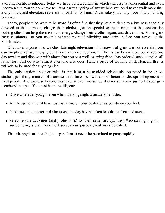avoiding hostile neighbors. Today we have built a culture in which exercise is nonessential and even inconvenient. You seldom have to lift or carry anything of any weight, you need never walk more than a city block, and elevators (essentially forklifts for humans) can take you to any floor of any building you enter.

Today, people who want to be more fit often find that they have to drive to a business specially devoted to that purpose, change their clothes, get on special exercise machines that accomplish nothing other than help the inert burn energy, change their clothes again, and drive home. Some gyms have escalators, so you needn't exhaust yourself climbing any stairs before you arrive at the StairMaster.

Of course, anyone who watches late-night television will know that gyms are not essential; one can simply purchase cheaply built home exercise equipment. This is easily avoided, but if you one day awaken and discover with alarm that you or a well-meaning friend has ordered such a device, all is not lost. Just do what almost everyone else does. Hang a piece of clothing on it. Henceforth it is unlikely to be used for anything else.

The only caution about exercise is that it must be avoided religiously. As noted in the above studies, just thirty minutes of exercise three times per week is sufficient to disrupt unhappiness in most people. And exercise beyond this level is even worse. So it is not sufficient just to let your gym membership lapse. You must be more diligent:

- Drive wherever you go, even when walking might ultimately be faster.
- Aim to spend at least twice us much time on your posterior as you do on your feet.
- Purchase a pedometer and aim to end the day having taken less than a thousand steps.
- Select leisure activities (and professions) for their sedentary qualities. Web surfing is good; surfboarding is bad. Desk work serves your purpose; real work defeats it.

The unhappy heart is a fragile organ. It must never be permitted to pump rapidly.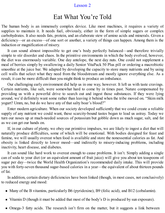### Eat What You're Told

<span id="page-19-0"></span>The human body is an immensely complex device. Like most machines, it requires a variety of supplies to maintain it. It needs fuel, obviously, either in the form of simple sugars or complex carbohydrates. It also needs fats, protein, and an elaborate stew of amino acids and minerals. Given a deficiency—or an excess—of one sort or another, a variety of things can happen. Among them is the induction or magnification of misery.

It can sound almost impossible to get one's body perfectly balanced—and therefore trivially simple to stir disorder and chaos. In the primitive environments in which the body evolved, however, the diet was enormously variable. One day antelope, the next day nuts. One could not supplement a meal of berries simply by swallowing a daily Senior VitaPack 50 Plus pill or ordering a macrobiotic smoothie at the juice bar. We adapted by developing the capacity to store many nutrients and by using cell walls that select what they need from the bloodstream and mostly ignore everything else. As a result, it can be more difficult than you might think to produce an imbalance.

Our challenging early environment did help us in one way, however. It left us with taste cravings. Certain nutrients, like salt, were somewhat hard to come by in times past. Nature compensated by providing us with a powerful drive to search out and ingest those substances. If they were lying around, we'd definitely want some rather than leaving it behind when the tribe moved on. "Skim milk yogurt? Umm, no, but do we have any of that salty boar's blood?"

Enter modern agriculture. When our society developed sufficiently that we could create a reliable supply of any nutrient we could want, these scarcity-bound tastes began to lead us astray. Today we turn our noses up at much-needed sources of potassium but gobble down as much sugar, salt, and fat as we can get our hands on.

If, in our culture of plenty, we obey our primitive impulses, we are likely to ingest a diet that will naturally produce difficulties, some of which will be emotional. With bodies designed for feast and famine, we will usually overeat when food is available and store the nonessential calories as fat. And obesity is linked directly to lower mood—and indirectly to misery-inducing problems, including inactivity, heart disease, and diabetes.

It can sound like hard work to overeat enough to cause problems. It isn't. Simply adding a single can of soda to your diet (or an equivalent amount of fruit juice) will give you about ten teaspoons of sugar per day—twice the World Health Organization's recommended daily intake. This will provide you with forty-seven thousand sugar-based calories in a year—the equivalent of about thirteen pounds of fat.

In addition, certain dietary deficiencies have been linked (though, in most cases, not conclusively) to reduced energy and mood:

- Many of the B vitamins, particularly B6 (pyridoxine), B9 (folic acid), and B12 (cobalamin).
- Vitamin D (though it must be added that most of the body's D is produced by sun exposure).
- Omega-3 fatty acids. The research isn't firm on the matter, but it suggests a link between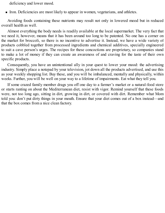deficiency and lower mood.

Iron. Deficiencies are most likely to appear in women, vegetarians, and athletes.

Avoiding foods containing these nutrients may result not only in lowered mood but in reduced overall health as well.

Almost everything the body needs is readily available at the local supermarket. The very fact that we need it, however, means that it has been around too long to be patented. No one has a corner on the market for broccoli, so there is no incentive to advertise it. Instead, we have a wide variety of products cobbled together from processed ingredients and chemical additives, specially engineered to suit a cave person's urges. The recipes for these concoctions are proprietary, so companies stand to make a lot of money if they can create an awareness of and craving for the taste of their own specific products.

Consequently, you have an unintentional ally in your quest to lower your mood: the advertising industry. Simply place a notepad by your television, jot down all the products advertised, and use this as your weekly shopping list. Buy these, and you will be imbalanced, mentally and physically, within weeks. Further, you will be well on your way to a lifetime of impairments. Eat what they tell you.

If some crazed family member drags you off one day to a farmer's market or a natural-food store or starts ranting on about the Mediterranean diet, resist with vigor. Remind yourself that these foods were, not too long ago, sitting in dirt, growing in dirt, or covered with dirt. Remember what Mom told you: don't put dirty things in your mouth. Ensure that your diet comes out of a box instead—and that the box comes from a nice clean factory.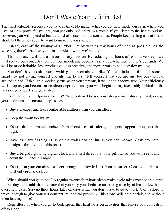# Don't Waste Your Life in Bed

<span id="page-21-0"></span>The most valuable resource you have is time. No matter what you do, how much you earn, where you live, or how powerful you are, you get only 168 hours in a week. If you listen to the health purists, however, you will spend at least a third of those hours unconscious. People keep telling us that life is short, but then they seem to want to make it even shorter.

Instead, cast off the tyranny of slumber. Get by with as few hours of sleep as possible. As the wise say, there'll be plenty of time for sleep when we're dead.

This approach will aid us in our misery mission. By reducing our hours of restorative sleep, we will reduce our concentration, dull our mood, and become easily overwhelmed by life's demands. We will be more irritable, less productive, less creative, and more prone to bad decision making.

You don't have to sit around waiting for insomnia to strike. You can induce artificial insomnia simply by not giving yourself enough time to rest. Tell yourself that you are just too busy to loaf around in bed. If this isn't precisely true when you start out, it will soon become true. Your efficiency will drop as you become more sleep-deprived, and you will begin falling inexorably behind in the tasks of your work and your life.

Don't have the willpower for this? No problem. Disrupt your sleep more naturally. First, design your bedroom to promote sleeplessness:

- Buy a cheaper and less comfortable mattress than you can afford.
- Keep the room too warm.
- Ensure that intermittent noises from phones, e-mail alerts, and pets happen throughout the night.
- Have as many flashing LEDs on the walls and ceiling as you can manage. (Ask any hotel designer for advice on this one.)
- Buy a brightly glowing digital clock and aim it directly at your pillow, so you will see it and count the minutes all night.
- Ensure that your curtains are sheer enough to allow in light from the street. Complete darkness will only promote sleep.

When should you go to bed? A regular twenty-four-hour sleep-wake cycle takes most people three to four days to establish, so ensure that you vary your bedtime and rising time by at least a few hours every few days. Stay up three hours later on days when you don't have to go to work. Can't afford to travel enough to give yourself constant jet lag? No problem. This alone will do the trick, and without even leaving home!

Regardless of when you go to bed, spend that final hour on activities that ensure you don't drop off to sleep: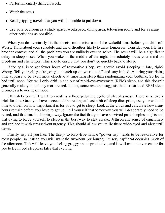- **Perform mentally difficult work.**
- Watch the news.
- Read gripping novels that you will be unable to put down.
- Use your bedroom as a study space, workspace, dining area, television room, and for as many other activities as possible.

When you do eventually hit the sheets, make wise use of the wakeful time before you drift off. Worry. Think about your schedule and the difficulties likely to arise tomorrow. Consider your life in a broader context, and all the problems you are unlikely ever to solve. The result will be a significant delay in sleep onset. When you wake in the middle of the night, immediately focus your mind on problems and challenges. This should ensure that you don't go quickly back to sleep.

If the goal is to get fewer hours of restorative sleep, you should avoid sleeping in late, right? Wrong. Tell yourself you're going to "catch up on your sleep," and stay in bed. Altering your rising time appears to be even more effective at impairing sleep than randomizing your bedtime. So lie in bed until noon. You will only drift in and out of rapid-eye-movement (REM) sleep, and this doesn't generally make you feel any more rested. In fact, some research suggests that unrestricted REM sleep promotes a lowering of mood.

Ultimately you will want to create a self-perpetuating cycle of sleeplessness. There is a lovely trick for this. Once you have succeeded in creating at least a bit of sleep disruption, use your wakeful time to dwell on how important it is for you to get to sleep. Look at the clock and calculate how many hours remain before you have to get up. Tell yourself that tomorrow you will desperately need to be rested, and that time is slipping away. Ignore the fact that you have survived past sleepless nights and that trying to force yourself to sleep is the best way to stay awake. Jettison any sense of equanimity and replace it with stressed-out urgency. This should allow you to lie there wide-eyed and alert until dawn.

Finally, nap all you like. The thirty- to forty-five-minute "power nap" tends to be restorative for most people, so instead you will want the two-hour (or longer) "misery nap" that occupies much of the afternoon. This will leave you feeling groggy and unproductive, and it will make it even easier for you to lie in bed sleepless later that evening.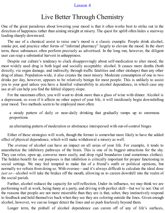# Live Better Through Chemistry

<span id="page-23-0"></span>One of the great paradoxes about lowering your mood is that it often works best to strike out in the direction of happiness rather than aiming straight at misery. The quest for uplift often hides a stairway leading sharply downward.

The use of a chemical assist to raise one's mood is a classic example. People drink alcohol, smoke pot, and practice other forms of "informal pharmacy" largely to elevate the mood. In the short term, these substances often perform precisely as advertised. In the long run, however, the diligent user can reap a substantial harvest in unhappiness.

Despite our culture's tendency to cluck disapprovingly about self-medication to alter mood, the most widely used drug is both legal and socially acceptable: alcohol. It causes more deaths (both directly, via organ damage, and indirectly, through traffic fatalities and other mishaps) than any other drug of abuse. Population-wide, it also creates the most misery. Moderate consumption of one to two drinks per day, however, appears to be relatively benign for most people. This is unlikely to assist you to your goal unless you have a familial vulnerability to alcohol dependence, in which case any use at all can help you find the fabled slippery slope.

For the maximum effect, you will want to drink more than a glass of wine with dinner. Alcohol is a depressant, so even if it affects no other aspect of your life, it will insidiously begin downshifting your mood. Two methods seem to be employed most often:

a steady pattern of daily or near-daily drinking that gradually ramps up to enormous proportions

an alternating pattern of moderation or abstinence interspersed with out-of-control binges

Either of these strategies will work, though the former is somewhat more likely to have the added effect of physical dependence, which will make withdrawal a misery as well.

The overuse of alcohol can have an impact on all areas of your life. For example, it tends to anaesthetize the inhibitory pathways of the brain. This is one of its biggest attractions for the shy. They can relax, open up, converse more easily, and drop rigid boundaries (and sometimes clothes). The hidden benefit for our purposes is that inhibition is critically important for proper functioning in social settings. We may feel tempted to make fun of a friend's outfit or political opinions, but normally we refrain from doing so. With overuse—and it's always difficult to calculate the ideal dose *just so*—alcohol will take the brakes off the mouth, allowing us to careen downhill into the realm of the social pariah.

Further, alcohol reduces the capacity for self-reflection. Under its influence, we may think we are performing well at work, being funny at a party, and driving with perfect skill—but we're not. One of the reasons that people are not more miserable than they are is that, sober, they instinctively respond to feedback and hold themselves back when they see they are coloring outside the lines. Given enough alcohol, however, we can no longer detect the lines and so push fearlessly beyond them.

Longer term, the pinball of alcohol dependence can carom off of any of life's surfaces,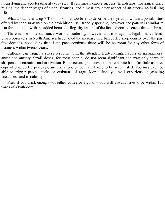intensifying and accelerating at every step. It can impair career success, friendships, marriages, child raising, the deeper stages of sleep, finances, and almost any other aspect of an otherwise-fulfilling life.

What about other drugs? This book is far too brief to describe the myriad downward possibilities offered by each substance on the prohibition list. Broadly speaking, however, the pattern is similar to that for alcohol—with the added bonus of illegality and all of the fun and consequences that can bring.

There is one more substance worth considering, however, and it is again a legal one: caffeine. Sharp observers in North America have noted the increase in urban coffee shop density over the past few decades, concluding that if the pace continues there will be no room for any other form of business within twenty years.

Caffeine can trigger a stress response with the attendant fight-or-flight flavors of unhappiness: anger and anxiety. Small doses, for most people, do not seem significant and may only serve to sharpen concentration and motivation. But once one graduates to a more heroic habit (as little as three cups of drip coffee per day), anxiety, anger, or both are likely to be accentuated. You may even be able to trigger panic attacks or outbursts of rage. More often, you will experience a grinding uneasiness and irritability.

Plus, if you drink enough—of either coffee or alcohol—you will always have to be within 150 yards of a bathroom.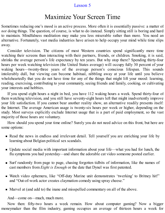# Maximize Your Screen Time

<span id="page-25-0"></span>Sometimes reducing one's mood is an active process. More often it is essentially passive: a matter of *not* doing things. The question, of course, is what to do instead. Simply sitting still is boring and hard to maintain. Mindfulness meditation may make you less miserable rather than more. You need an alternative. Fortunately, vast media industries have arisen to help occupy your mind while time slips away.

Consider television. The citizens of most Western countries spend significantly more time watching their screens than interacting with their partners, friends, or children. Smoking, it is said, shrinks the average person's life expectancy by ten years. But why stop there? Spending thirty-four hours per week watching television (the United States average) will occupy fully 30 percent of your waking hours—twenty-three years of the average person's conscious lifespan. This sounds intolerably dull, but viewing can become habitual, nibbling away at your life until you believe wholeheartedly that you do not have time for any of the things that might lift your mood: learning, reading, exercising, contributing to your community, seeing friends and family, cooking, or cultivating your interests and hobbies.

If you spend eight hours a night in bed, you have 112 waking hours a week. Spend thirty-four of them watching television, and you still have seventy-eight hours left that might inadvertently improve your life satisfaction. If you cannot bear another reality show, an alternative readily presents itself: the Internet. The average American usage is twenty-six hours per week or higher, depending on the study. Most surveys explicitly exclude Internet usage that is a part of paid employment, so the vast majority of those hours are voluntary.

How should you spend your time online? Surely you do not need advice on this front, but here are some options:

- Read the news in endless and irrelevant detail. Tell yourself you are enriching your life by learning about Belgian political sex scandals.
- Update social media with important information about your life—what you had for lunch, the flu symptoms you had yesterday—and share the adorable cat video someone posted earlier.
- Surf randomly from page to page, chasing forgotten tidbits of information, like the names of cast members from *Eight is Enough* or the date that Dynel was first patented.
- Watch video ephemera, like "Off-duty Marine unit demonstrates 'twerking' to Britney hit!" and "Out-of-work actor creates claymation comedy using spray cheese."
- Marvel at (and add to) the inane and misspelled commentary on all of the above.

And—come on—much, much more.

Now then: fifty-two hours a week remain. How about computer gaming? Now a bigger moneymaker than the film industry, gaming occupies an average of thirteen hours a week for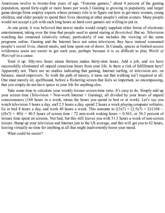Americans twelve to twenty-four years of age. "Extreme gamers," about 4 percent of the gaming population, spend forty-eight or more hours per week[.3](#page-118-3) Gaming is growing in popularity, and larger game-design firms employ experts whose primary role is to figure out how to get more women, young children, and older people to spend their lives shooting at other people's online avatars. Many people would not accept a job with such long hours as hard-core gamers are willing to put in.

At one point, it was believed that newer media would simply supplant older forms of electronic entertainment, taking over the time that people used to spend staring at *Bewitched*. But no. Television watching has remained relatively robust, particularly if one includes the viewing of the same programs online. Gaming and the Internet have not eaten television; they have instead consumed people's social lives, shared meals, and time spent out of doors. In Canada, spaces at limited-access wilderness areas are easier to get each year, perhaps because it is so difficult to play *World of Warcraft* in a canoe.

Total it up: fifty-two hours minus thirteen makes thirty-nine hours. Add a job, and we have successfully eliminated all unpaid conscious hours from your life. Is there a risk of fulfillment here? Apparently not. There are no studies indicating that gaming, Internet surfing, or television are, on balance, mood-improvers. To walk the path of misery, it turns out that walking isn't required at all. One must merely sit, spellbound, before a flickering screen that feels so important, so encompassing, that you simply do not have space in your life for anything else.

Take some time to calculate your weekly leisure screen-time ratio. It's easy to do. Simply add up your screen time (Television + Non-work Internet + Gaming), all divided by your hours of unpaid consciousness (168 hours in a week, minus the hours you spend in bed or at work). Let's say you watch television 3 hours a day, surf 2.5 hours a day, spend 2 hours a week playing computer solitaire, lie in bed 8 hours a day, and work 40 hours a week. This amounts to  $((3x7) + (2.5x7) + 2)/(168)$  $((8x7) + 40)$  = 40.5 hours of screen time / 72 non-work waking hours = 0.563, or 56.3 percent of leisure time spent on screens. Not bad, but this still leaves you with 31.5 hours a week of non-screen leisure. Bump up your television and Internet just to the US average, and this will get you to 62 hours, leaving virtually no time for anything at all that might inadvertently boost your mood.

What could be easier?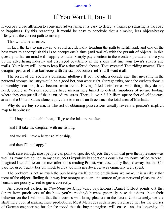### If You Want It, Buy It

<span id="page-27-0"></span>If you pay close attention to consumer advertising, it is easy to detect a theme: purchasing is the road to happiness. By this reasoning, it would be easy to conclude that a simpler, less object-heavy lifestyle is the correct path to misery.

This would be an error.

In fact, the key to misery is to avoid accidentally treading the path to fulfillment, and one of the best ways to accomplish this is to occupy one's time (and wallet) with the pursuit of objects. In this quest, your human mind will happily collude. Simply pay attention to the wonders paraded before you by the advertising industry and displayed beautifully in the shops that line your town's streets and malls. Your heart will learn to leap like a dog offered cheese. That sweater! That riding mower! That designer perfume! That barbecue with the six-foot rotisserie! You'll want it all.

The result of our society's consumer gluttony? If you thought, a decade ago, that investing in the personal storage industry would be a good bet, you were right. Storage units, once the curious domain of wealthy hoarders, have become mainstream. Having filled their homes with things they do not need, people in Western societies have increasingly turned to outside suppliers of square footage where they can put all of their unused treasures. There is over 2.3 billion square feet of self-storage area in the United States alone, equivalent to more than three times the total area of Manhattan.

Why do we buy so much? The act of obtaining possessions usually reveals a person's implicit map to happiness:

"If I buy this inflatable boat, I'll go to the lake more often,

and I'll take my daughter with me fishing,

and we will have a better relationship,

and then I'll be happy."

And, sure enough, most people can point to specific objects they own that give them pleasure—as well as many that do not. In my case, \$600 impulsively spent on a couch for my home office, where I imagined I would lie on summer afternoons reading Proust, was essentially flushed away, but the \$20 paid for used truck tubes on which to float down a nearby river was eminently well spent.

The problem is not so much the purchasing itself, but the predictions we make. It is unlikely that most of the objects finding their way into storage units are the source of great personal pleasure. And humans are poorly wired to guess correctly.

As discussed earlier, in *Stumbling on Happiness*, psychologist Daniel Gilbert points out that (apart from purchasers of the book you're reading) humans generally base decisions about their behavior on the likelihood that their actions will bring pleasure in the future. Unfortunately, we are startlingly poor at making these predictions. Most Mercedes sedans are purchased not for the glories of German engineering, but for the mood that the buyer imagines will ensue—and its longevity. "It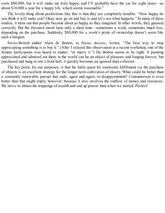costs \$80,000, but it will make me truly happy, and I'll probably have the car for eight years—so about \$10,000 a year for a happy life, which seems reasonable."

The lovely thing about predictions like this is that they are completely testable. "How happy do you think it will make you? Okay, now go on and buy it, and let's see what happens." In many of these studies, it turns out that people become about as happy as they imagined. In other words, they guessed correctly. But the elevated mood lasts only a short time—sometimes a week, sometimes much less, depending on the purchase. Suddenly, \$80,000 for a week's pride of ownership doesn't seem like such a bargain.

Swiss-British author Alain de Botton, in *Status Anxiety*, writes, "The best way to stop appreciating something is to buy it." (After I relayed this observation at a recent workshop, one of the female participants was heard to mutter, "or marry it.") De Botton seems to be right. A painting appreciated and admired out there in the world can be an object of pleasure and longing forever, but purchased and hung in one's front hall, it quickly becomes an ignored dust-collector.

The key point, for our purposes, is that the futile quest for emotional fulfillment via the purchase of objects is an excellent strategy for the longer-term cultivation of misery. What could be better than a constantly renewable pursuit that ends, again and again, in disappointment? Consumerism is even better than that might imply, however, because it also involves the outflow of money and resources. We strive to obtain the trappings of wealth and end up poorer than when we started. Perfect!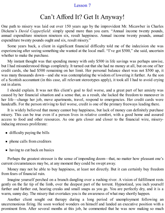### Can't Afford It? Get It Anyway!

<span id="page-29-0"></span>One path to misery was laid out over 150 years ago by the improvident Mr. Micawber in Charles Dickens's *David Copperfield*: simply spend more than you earn. "Annual income twenty pounds, annual expenditure nineteen nineteen six, result happiness. Annual income twenty pounds, annual expenditure twenty pounds ought and six, result misery."

Some years back, a client in significant financial difficulty told me of the indecision she was experiencing after seeing something she wanted at the local mall. "I've got \$500," she said, uncertain whether to make the purchase.

My instant thought was that spending money with only \$500 in life savings was perhaps unwise, but I had misunderstood things completely. It turned out that she had no money at all, but on one of her credit cards, she had \$500 remaining on her limit. Her personal balance sheet was not \$500 up, it was many thousands down—and she was contemplating the wisdom of lowering it further. As the son of a Scottish accountant (in this case, all relevant stereotypes apply), it took all I had to avoid crying out in alarm.

I should explain. It was not this client's goal to feel worse, and a great part of her anxiety was caused by her financial situation and a sense that, as a result, she lacked the freedom to maneuver in her life—change her job, move apartments, travel, respond to emergencies. Her credit cards were handcuffs. For the person striving to feel worse, credit is one of the primary freeways leading there.

It is widely believed that money cannot buy happiness, but lack of money can definitely purchase misery. This can be true even if a person lives in relative comfort, with a good home and assured access to food and other resources. As one gets closer and closer to the financial wire, miseryinducing stresses proliferate:

- difficulty paying the bills
- **phone calls from creditors**
- having to cut back on basics

Perhaps the greatest stressor is the sense of impending doom—that, no matter how pleasant one's current circumstances may be, at any moment they could be swept away.

Money may not be able to buy happiness, at least not directly. But it can certainly buy freedom from fears of financial ruin.

Imagine yourself perched on a branch dangling over a rushing river. A vision of fulfillment rests gently on the far tip of the limb, over the deepest part of the torrent. Hypnotized, you inch yourself further and further out, hearing creaks and small snaps as you go. You are perfectly dry, and it is a warm, sunny day. The misery that overtakes you is the awareness of what may shortly happen.

Another client sought out therapy during a long period of unemployment following an unceremonious firing. He soon worked wonders on himself and landed an executive position with a prominent firm. After several months at this job, he commented that he was now making so much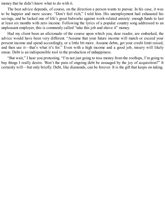money that he didn't know what to do with it.

The best advice depends, of course, on the direction a person wants to pursue. In his case, it was to be happier and more secure. "Don't feel rich," I told him. His unemployment had exhausted his savings, and he lacked one of life's great bulwarks against work-related anxiety: enough funds to last at least six months with zero income. Following the lyrics of a popular country song addressed to an unpleasant employer, this is commonly called "take this job and shove it" money.

Had my client been an aficionado of the course upon which you, dear reader, are embarked, the advice would have been very different. "Assume that your future income will match or exceed your present income and spend accordingly, or a little bit more. Assume debts, get your credit limit raised, and then use it—that's what it's for." Even with a high income and a good job, misery will likely ensue. Debt is an indispensible tool in the production of unhappiness.

"But wait," I hear you protesting. "I'm not just going to toss money from the rooftops, I'm going to buy things I really desire. Won't the pain of ongoing debt be assuaged by the joy of acquisition?" It certainly will—but only briefly. Debt, like diamonds, can be forever. It is the gift that keeps on taking.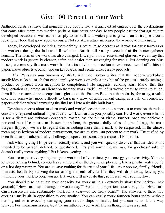### Give 100 Percent to Your Work

<span id="page-31-0"></span>Anthropologists estimate that nomadic cave people had a significant advantage over the civilizations that came after them: they worked perhaps four hours per day. Many people assume that agriculture developed because it was easier simply to sit still and watch plants grow than to traipse around looking for food that grew spontaneously. Not so. Agriculture increased the workload immensely.

Today, in developed societies, the workday is not quite so onerous as it was for early farmers or for workers during the Industrial Revolution. But it still vastly exceeds that for hunter-gatherer humans. The form of the work has also changed. If we put on our rose-tinted glasses, we can say that modern work is generally cleaner, safer, and easier than scavenging for meals. But donning our blue lenses, we can say that most work has lost its obvious connection to existence: we shuffle bits of paper, move objects around, type on keyboards, and create unnecessary products.

In *The Pleasures and Sorrows of Work*, Alain de Botton writes that the modern workplace subdivides tasks so much that each employee works on only a tiny bit of the process, rarely seeing a product or project from inception to completion[.4](#page-118-4) He suggests, echoing Karl Marx, that this fragmentation can create an alienation from the work itself. Few of us would prefer to return to feudal farm life or resurrect the occupational glories of the Eastern Bloc, but the point is, for many, a valid one. It is somewhat more difficult to bask in a glow of achievement gazing at a pile of completed paperwork than when hammering the final nail into a freshly built barn.

Despite concerns about modern work and workplaces that are too numerous to mention, there is a constantly repeated cultural imperative to work as hard as you possibly can. Hard work, even when it is for a distant and unknown corporate master, has the air of virtue. Further, once we achieve a personal best (the most e-mails sent in an hour, the greatest daily sales of pipe fittings, the most burgers flipped), we are to regard this as nothing more than a mark to be surpassed. In the almost meaningless lexicon of modern management, we are to give 100 percent to our work. Unsatisfied by even that mark, mathematically challenged supervisors sometimes request 110 percent.

Ask what "giving 110 percent" actually means, and you will quickly discover that the idea is not intended to be parsed, defined, or questioned. "It's just something we *say*, for goodness' sake. It doesn't really mean anything." But it keeps getting said.

You are to pour everything into your work: all of your time, your energy, your creativity. You are to leave nothing behind, so you leave at the end of the day an empty shell, like a plastic water bottle or a hot dog wrapper. You are to save nothing for the rest of your life—your spouse, family, friends, interests, health. By starving the sustaining elements of your life, they will drop away, leaving you with only your work to prop you up. But work will never do this, so misery will soon follow.

You should also calculate your capacity for work using an extremely short time horizon. Ask yourself, "How hard can I manage to work today?" Avoid the longer-term questions, like "How hard can I reasonably and sustainably work for a year—or for many years?" The answers to these two queries usually sit in opposition to one another. You can easily work fourteen hours today without burning out or irrevocably damaging your relationships or health, but you cannot work this way forever. For maximum misery, treat the marathon of your work life as though it was a sprint.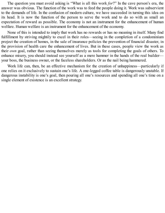The question you must avoid asking is "What is all this work *for*?" In the cave person's era, the answer was obvious. The function of the work was to feed the people doing it. Work was subservient to the demands of life. In the confusion of modern culture, we have succeeded in turning this idea on its head. It is now the function of the person to serve the work and to do so with as small an expectation of reward as possible. The economy is not an instrument for the enhancement of human welfare. Human welfare is an instrument for the enhancement of the economy.

None of this is intended to imply that work has no rewards or has no meaning in itself. Many find fulfillment by striving mightily to excel in their roles—seeing in the completion of a condominium project the creation of homes, in the sale of insurance policies the prevention of financial disaster, in the provision of health care the enhancement of lives. But in these cases, people view the work as their *own* goal, rather than seeing themselves merely as tools for completing the goals of others. To enhance misery, you should instead see yourself as a mere hammer in the hands of the real builder your boss, the business owner, or the faceless shareholders. Or as the nail being hammered.

Work life can, then, be an effective mechanism for the creation of unhappiness—particularly if one relies on it exclusively to sustain one's life. A one-legged coffee table is dangerously unstable. If dangerous instability is one's goal, then pouring all one's resources and spending all one's time on a single element of existence is an excellent strategy.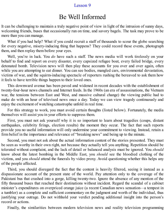# Be Well Informed

<span id="page-33-0"></span>It can be challenging to maintain a truly negative point of view in light of the intrusion of sunny days, welcoming friends, buses that occasionally run on time, and savory bagels. The task may prove to be more than you can manage.

What if you had help? What if you could recruit a staff of thousands to scour the globe searching for every negative, misery-inducing thing that happens? They could record these events, photograph them, and then replay them before your eyes.

Well, you're in luck. You *do* have such a staff. The news media will work tirelessly on your behalf to find and report on every disaster, every capsized refugee boat, every failed bridge, every detonated bomb. Television news will then play these accounts for you over and over again, often while you are attempting to eat dinner. You can see bodies, mangled cars, environmental devastation, victims of war, and the squirm-inducing spectacle of reporters rushing the bereaved to ask them how it feels to have terrible things happen to their loved ones.

This downward avenue has been paved and widened in recent decades with the establishment of twenty-four-hour news channels and Internet feeds. In the 1960s (an era of assassinations, the Vietnam war, the tensions between East and West, and massive cultural change) the viewing public had to make do with an hour of televised news once a day. Today we can view tragedy continuously and enjoy the excitement of watching catastrophe unfold in real time.

For this strategy to work, you must avoid certain thoughts (listed below). Fortunately, the media themselves will assist you in your efforts to suppress them.

First, you must not ask yourself why it is so important to learn about tragedies (coups, distant earthquakes, celebrity firings, election results) the moment they occur. The fact that such reports provide you no useful information will only undermine your commitment to viewing. Instead, retain a firm belief in the importance and relevance of "breaking news" and being up to the minute.

Second, you must not ask about the actual information content of the stories presented. They must be seen as worthy in their own right, not because they actually tell you anything. Repetition should be tolerated without complaint, and the lack of detail or balanced analysis must be ignored. You *should* know about the latest bombing in the Middle East, you *should* see the bloodied clothing of the victims, and you *should* attend the funerals by video proxy. Avoid questioning whether this helps any of the people affected.

Third, you should disregard the fact that the content is heavily filtered, seeing it instead as a dispassionate account of the present state of the world. Pay attention only to the coverage of the Pakistani bus that crashed into a gorge, killing twenty-two. Ignore the absence of any mention of the fifty thousand buses that reached their destinations without incident. Regard the scandal of a cabinet minister's expenditures on overpriced orange juice (a recent Canadian news sensation—a tempest in a tumbler) as a complete and sufficient commentary on the judgment and worth of the individual, thus justifying your outrage. Do not withhold your verdict pending additional insight into the person's record or actions.

Finally, the similarities between modern television news and reality television programming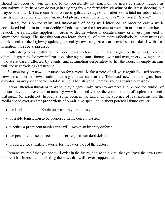should not occur to you, nor should the possibility that much of the news is simply tragedy as entertainment. Perhaps you do not gain anything from the forty-third viewing of the latest shooting, but maybe others will. Yes, it can be disconcerting that coverage of this afternoon's fatal tornado instantly has its own graphics and theme music, but please avoid referring to it as "The Twister Show."

Instead, focus on the value and importance of being well informed. In order to cast a wellconsidered ballot, in order to decide whether to take the interstate to work, in order to remember to restock the earthquake supplies, in order to decide where to donate money or invest, you need to know these things. The fact that you can learn about all of them more effectively by other means (a quick check of the highway updates, a weekly news magazine that provides more detail with less sensation) must be suppressed.

Cultivate your sympathy for the poor news anchors. For all the tragedy on the planet, they are often left grasping for new information, playing the same footage over and over, interviewing people who were barely affected by events, and scrambling desperately to fill the hours of empty airtime until the next exciting catastrophe.

So monitor your news consumption for a week. Make a note of all your regularly used sources: newsprint, Internet news, radio, late-night news summaries. Televised news at the gym, bank, elevator, subway, or at home. Total it all up. Then strive to increase your exposure next week.

If your attention threatens to wane, play a game. Take two stopwatches and record the number of minutes devoted to events that actually *have* happened versus the consideration of unpleasant events that *might* (or might not) happen at some point in the future. In the absence of real information, the media spend ever-greater proportions of on-air time speculating about potential future events:

- the likelihood of an Ebola outbreak in your country
- **possible legislation to be proposed in the current session**
- whether a prominent murder trial will invoke an insanity defense
- the possible consequences of another Argentinian debt default
- **Predicted local traffic patterns for the latter part of the century**

Remind yourself that you too will exist in the future, and so it is vital that you have the news even before it has happened—including the news that will never happen at all.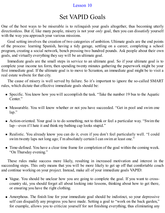# Set VAPID Goals

<span id="page-35-0"></span>One of the best ways to be miserable is to relinquish your goals altogether, thus becoming utterly directionless. But if, like many people, misery is not your *only* goal, then you can dissatisfy yourself with the way you approach your various missions.

Goal setting involves the creation of two categories of ambition. Ultimate goals are the end points of the process: learning Spanish, having a tidy garage, settling on a career, completing a school program, creating a social network, bench pressing two hundred pounds. Ask people about their own goals, and virtually everything they say will be an ultimate goal.

Immediate goals are the small steps in service to an ultimate goal. So if your ultimate goal is to complete your income tax form, then spending twenty minutes gathering the paperwork might be your first immediate goal. If the ultimate goal is to move to Scranton, an immediate goal might be to visit a real estate website for that city.

The cause of misery is well served by failure. So it's important to ignore the so-called SMART rules, which dictate that effective immediate goals should be:

- Specific. You know how you will accomplish the task. "Take the number 19 bus to the Aquatic Center."
- Measurable. You will know whether or not you have succeeded. "Get in pool and swim one lap."
- Action-oriented. Your goal is to do something, not to think or feel a particular way. "Swim the lap—even if I hate it and think my bathing cap looks stupid."
- Realistic. You already know you can do it, even if you don't feel particularly well. "I could swim twenty laps not long ago; I'm absolutely certain I can swim at least one."
- Time-defined. You have a clear time frame for completion of the goal within the coming week. "On Thursday evening."

These rules make success more likely, resulting in increased motivation and interest in the succeeding steps. This only means that you will be more likely to get up off that comfortable couch and continue working on your project. Instead, make all of your immediate goals VAPID:

- Vague. You should be unclear how you are going to complete the goal. If you want to crosscountry ski, you should forget all about looking into lessons, thinking about how to get there, or ensuring you have the right clothing.
- Amorphous. The finish line for your immediate goal should be indistinct, so your depressive self can disqualify any progress you have made. Setting a goal to "work on the back garden," for example, allows you to criticize yourself for not finishing everything, thus eliminating any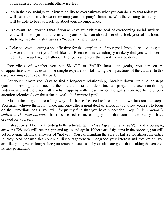of the satisfaction you might otherwise feel.

- Pie in the sky. Indulge your innate ability to overestimate what you can do. Say that today you will paint the entire house or revamp your company's finances. With the ensuing failure, you will be able to beat yourself up about your incompetence.
- Irrelevant. Tell yourself that if you achieve your ultimate goal of overcoming social anxiety, you will once again be able to visit your bank. You should therefore lock yourself at home studying investment strategy as a "necessary" prerequisite.
- Delayed. Avoid setting a specific time for the completion of your goal. Instead, resolve to get to work the moment you "feel like it." Because it is vanishingly unlikely that you will ever feel like re-caulking the bathroom tile, you can ensure that it will never be done.

Regardless of whether you set SMART or VAPID immediate goals, you can ensure disappointment by—as usual—the simple expedient of following the injunctions of the culture. In this case, keeping your eye on the ball.

Set your ultimate goal (say, to find a long-term relationship), break it down into smaller steps (join the rowing club, accept the invitation to the departmental party, purchase non-droopy underwear), and then, no matter what happens with those immediate goals, continue to hold your attention relentlessly on the ultimate goal. *Am I married yet?*

Most ultimate goals are a long way off—hence the need to break them down into smaller steps. You might achieve them only once, and only after a great deal of effort. If you allow yourself to focus on the immediate goals, you will frequently find that you have succeeded. *Hey, look—I actually smiled at the cute barista.* This runs the risk of increasing your enthusiasm for the path you have created for yourself.

Instead, by stubbornly attending to the ultimate goal (*Have I got a partner yet?*), the discouraging answer (*Well, no*) will recur again and again and again. If there are fifty steps in the process, you will get forty-nine identical answers of "not yet." You can maintain the aura of failure for almost the entire journey. And because this continual discouragement will degrade your interest and motivation, you are likely to give up long before you reach the success of your ultimate goal, thus making the sense of failure permanent.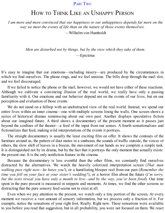#### P[ART](#page-5-0) TWO

### HOW TO THINK LIKE AN UNHAPPY PERSON

*I am more and more convinced that our happiness or our unhappiness depends far more on the way we meet the events of life than on the nature of those events themselves.*

—Wilhelm von Humboldt

*Men are disturbed not by things, but by the view which they take of them.* —Epictetus

It's easy to imagine that our emotions—including misery—are produced by the circumstances in which we find ourselves. The phone rings, and we feel anxious. The bills drop through the mail slot, and we feel discouraged.

If we failed to notice the phone or the mail, however, we would not have either of these reactions. Although we cultivate a convincing illusion of the real world, we really have only a passing familiarity with it. Our emotions and our behavior depend not on the events of our lives, but on our perception and evaluation of those events.

We do not stand on a hilltop with an unobstructed view of the real world. Instead, we spend our entire lives within an inner cinema—one with multiple screens lining the walls. One screen shows a series of historical dramas reminiscing about our own past. Another displays speculative fiction about our imagined future. A third shows a documentary of the present moment as it passes just beyond the confines of the theater—a feed of the input from our senses. A fourth sensationalizes and fictionalizes that feed, making wild interpretations of the events it portrays.

The straight documentary is usually the least exciting film on offer. It shows the contours of the furniture around us, the pattern of dust motes in a sunbeam, the sounds of traffic outside, the voices of others, the slow shift of leaves in a breeze, the movement of our hands as we complete a simple task. It is distinguished not by its drama, but by the fact that it portrays the only moment that actually exists: the present one. It is the only nonfiction feature in the cinema.

Because the documentary is less eventful than the other films, we constantly find ourselves distracted by the alternatives. We watch the heavily colorized interpretation screen (*That man walking past right now—he hates you!*), or a humiliating blooper reel from our past (*Remember the time you fell on your face at your sister's wedding?*), or a horror film about the future (*I'm sorry, but the tests reveal you have only a month to live—and by the way, you've been fired*). Our time spent in the pure present is measured in snippets and moments. At times, we find the other screens so distracting that the pure sensory feed seems not to exist at all.

Even when we pay attention to the present, we watch only a tiny portion of the screen. At every moment we receive a vast amount of sensory information, but we process only a fraction of it. For example, notice the sensations of your right foot. Really. Right now. These sensations were available to you before you read that suggestion, but in all probability, you were not focused on them. We react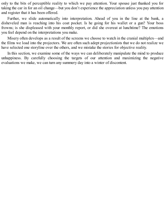only to the bits of perceptible reality to which we pay attention. Your spouse just thanked you for taking the car in for an oil change—but you don't experience the appreciation unless you pay attention and register that it has been offered.

Further, we slide automatically into interpretation. Ahead of you in the line at the bank, a disheveled man is reaching into his coat pocket. Is he going for his wallet or a gun? Your boss frowns; is she displeased with your monthly report, or did she overeat at lunchtime? The emotions you feel depend on the interpretations you make.

Misery often develops as a result of the screens we choose to watch in the cranial multiplex—and the films we load into the projectors. We are often such adept projectionists that we do not realize we have selected one storyline over the others, and we mistake the stories for objective reality.

In this section, we examine some of the ways we can deliberately manipulate the mind to produce unhappiness. By carefully choosing the targets of our attention and maximizing the negative evaluations we make, we can turn any summery day into a winter of discontent.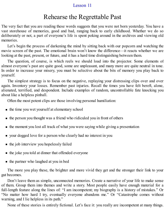## Rehearse the Regrettable Past

The very fact that you are reading these words suggests that you were not born yesterday. You have a vast storehouse of memories, good and bad, ranging back to early childhood. Whether we do so deliberately or not, a part of everyone's life is spent poking around in the archives and viewing old memories.

Let's begin the process of darkening the mind by sitting back with our popcorn and watching the movie screen of the past. The emotional brain won't know the difference—it reacts whether we are looking at the past, present, or future, and it has a hard time distinguishing between them.

The question, of course, is which reels we should load into the projector. Some elements of almost everyone's past are quite good, some are unpleasant, and many more are quite neutral in tone. In order to increase your misery, you must be selective about the bits of memory you play back to yourself.

The simplest strategy is to focus on the negative, replaying your distressing clips over and over again. Inventory your losses. Remember past injuries. Recall the times you have felt bereft, alone, alienated, terrified, and despondent. Include examples of random, uncontrollable fate knocking you about like a helpless pinball.

Often the most potent clips are those involving personal humiliation:

- $\blacksquare$  the time you wet yourself at elementary school
- $\blacksquare$  the person you thought was a friend who ridiculed you in front of others
- the moment you lost all track of what you were saying while giving a presentation
- your dogged love for a person who clearly had no interest in you
- the job interview you hopelessly failed
- $\blacksquare$  the joke you told at dinner that offended everyone
- the partner who laughed at you in bed

The more you play these, the brighter and more vivid they get and the stronger their link to your gut becomes.

Don't leave them as simple, unconnected memories. Create a narrative of your life to make sense of them. Group them into themes and write a story. Most people easily have enough material for a full-length feature along the lines of: "I am incompetent; my biography is a history of mistakes." Or "No matter how hard I try, eventually everyone abandons me." Or "Catastrophe comes without warning, and I lie helpless in its path."

None of these stories is entirely fictional. Let's face it: you really are incompetent at many things.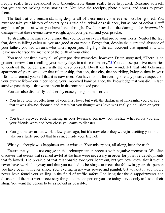People really have abandoned you. Uncontrollable things really have happened. Reassure yourself that you are not making these stories up. You have the receipts, photo albums, and scars to prove them.

The fact that you remain standing despite all of these unwelcome events must be ignored. You must not take your history of adversity as a tale of survival or resilience, but as one of defeat. Snuff any hint of pride at what you have lived through. Dwell instead on the damage—the *irreparable* damage—that these events have wrought upon your person and your psyche.

To strengthen the narrative, ensure that you focus on events that prove your thesis. Neglect the fact that, despite failing calculus, you are good at car repair. Forget that, despite the distracted absence of your father, you had an aunt who doted upon you. Highlight the car accident that injured you, and leave unrehearsed the memory of the birth of your child.

You need not flush away all of your positive memories, however. Dante suggested, "There is no greater sorrow than recalling your happy days in a time of misery.["5](#page-118-0) You can use positive memories to contrast the golden past with the drab present. Dwell on how wonderful that old bohemian apartment of yours was—or that relationship, that job, that city, that sparkling, halcyon time in your life—and remind yourself that it is now over. You have lost it forever. Ignore any positive aspects of your current life—your nicer home, your improved bank balance, the knowledge that you did, in fact, survive past thirty—that were absent in the romanticized past.

You can also disqualify and thereby erase your good memories:

- You have fond recollections of your first love, but with the darkness of hindsight, you can see that it was always doomed and that what you thought was love was really a delusion on your part.
- You truly enjoyed rock climbing in your twenties, but now you realize what idiots you and your friends were and how close you came to disaster.
- You got that award at work a few years ago, but it's now clear they were just setting you up to take on a futile project that has since made your life hell.

What you thought was happiness was a mistake. Your misery has, all along, been the truth.

Ensure that you do not engage in this reinterpretation process with negative memories. We often discover that events that seemed awful at the time were necessary in order for positive developments that followed. The breakup of that relationship tore your heart out, but you now know that it would never have worked anyway and that you needed to be single to meet, the following year, the person you have been with ever since. Your cycling injury was severe and painful, but without it, you would never have found your calling in the field of traffic safety. Realizing that the disappointments and disasters of the past were necessary for you to be the person you are today serves only to lessen their sting. You want the venom to be as potent as possible.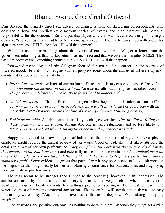## Blame Inward, Give Credit Outward

Dan Savage, the brutally direct sex advice columnist, is fond of skewering correspondents who describe a long and predictably disastrous series of events and then disavow all personal responsibility for the outcome. "So you put that object where it was never meant to go," he might observe, "and you lost it and had to go to the emergency room." Then he follows it up with one of his signature phrases. "HTH?" he asks. "How'd that happen?"

We might ask the same thing about the events of our own lives. We get a letter from the government informing us that our tax return was incorrect and that we owe them another \$1,252. This isn't a random event; something brought it about. So, HTH? How'd that happen?

Renowned psychologist Martin Seligman focused for much of his career on the sources of lowered mood. He and his colleagues studied people's ideas about the causes of different types of events and categorized their attributions:

- *Internal or external.* An internal attribution attributes the primary cause to oneself: *I was the one who made the mistake on the tax form.* An external attribution emphasizes other factors: *The government deliberately makes these forms hard to understand*.
- *Global or specific.* The attribution might generalize beyond the situation at hand (*The government never cares about the people who have to fill in its forms*) or could stay with the individual event (*Whoever wrote that line of the tax guide wasn't thinking clearly*).
- *Stable or unstable.* A stable cause is unlikely to change over time: *I'm an idiot at filling in these forms—always have been*. An unstable one is more situational and so less likely to recur: *I was stressed out when I did my taxes because the parakeet was sick*.

Happy people tend to show a degree of balance in their attributional style. For example, an employee might receive the annual review of her work. Good or bad, she will likely attribute the details to a mix of her own performance (*They're right. I did work hard this year, and I did make that mistake on the Smith account*) and externally to the job or the evaluator (*Joan helped me a lot* on the Chan file, so I can't take all the credit, and the lease foul-up was partly the property *manager's fault*). Some evidence suggests that particularly happy people tend to look a bit more on the bright side than might really be merited, blaming circumstance for bad outcomes and magnifying their own role in positive ones.

The bias seems to be stronger (and flipped to the negative), however, in the depressed. The attributions made by people in deepest misery tend to depend very much on whether the event is positive or negative. Positive events, like getting a promotion, scoring well on a test, or learning to water-ski, most often receive external attributions. The miserable will say that the task was just easy or that they were lucky. "Anyone could have passed that test," they say. "Water-skiing is stupidly simple."

In other words, the positive outcome has nothing to do with them. Although they might get a mild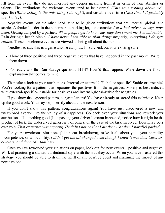lift from the event, they do not interpret any deeper meaning from it in terms of their abilities or talents. The attributions for welcome events tend to be external (*This says nothing about me*), specific (*Water-skiing is the only thing I do right*), and unstable over time (*Next time I'll probably break a leg*).

Negative events, on the other hand, tend to be given attributions that are internal, global, and stable. A fender bender in the supermarket parking lot, for example: *I'm a bad driver. Always have been.* Getting dumped by a partner: *When people get to know me, they don't want me. I'm unlovable.* Rain during a beach picnic: *I have never been able to plan things properly; everything I do gets ruined.* These unwelcome events are viewed as being all about the person.

Needless to say, this is a game anyone can play. First, check out your existing style:

- Think of three positive and three negative events that have happened in the past month. Write them down.
- For each, ask the Dan Savage question: HTH? How'd that happen? Write down the first explanation that comes to mind.

Then take a look at your attributions. Internal or external? Global or specific? Stable or unstable? You're looking for a pattern that separates the positives from the negatives. Misery is best induced with external-specific-unstable for positives and internal-global-stable for negatives.

If you show the expected pattern, congratulations! You have already mastered this technique. Keep up the good work. You may skip merrily ahead to the next lesson.

If you don't show this pattern, congratulations again! You have just discovered a new and unexplored avenue into the valley of unhappiness. Go back over your situations and rework your attributions. If something good (like passing your driver's exam) happened, notice how it might be the product of luck, the undeserved generosity of others, or the ease of the task involved. Downplay your own role. *That examiner was napping. He didn't notice that I hit the curb when I parallel parked.*

For your unwelcome situations (like a car breakdown), make it all about you—your stupidity, incompetence, or unlovability. *I didn't get the oil changed even though I knew it was due. Careless, clueless, and doomed—that's me.*

Once you've reworked your situations on paper, look out for new events—positive and negative. Work at practicing a slanted attributional style with them as they occur. When you have mastered this strategy, you should be able to drain the uplift of any positive event and maximize the impact of any negative one.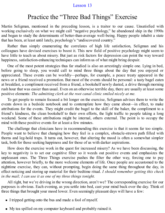## Practice the "Three Bad Things" Exercise

Martin Seligman, mentioned in the preceding lesson, is a traitor to our cause. Unsatisfied with working exclusively on what we might call "negative psychology," he abandoned ship in the 1990s and began to study the determinants of better-than-average well-being. Happy people inhabit a state that has been, at least until lately, psychology's "undiscovered country."

Rather than simply enumerating the correlates of high life satisfaction, Seligman and his colleagues have devised exercises to boost it. This new field of positive psychology might seem to have little to teach us about misery. But just as risk factors for depression can point the way toward happiness, satisfaction-enhancing techniques can inform us of what might bring despair.

One of the most potent strategies thus far studied is also an arrestingly simple one. Lying in bed, before going to sleep, you would call to mind three things about the day that you enjoyed or appreciated. These events can be worldly—perhaps, for example, a peace treaty appeared in the news or a friend received a promotion. But most of the events should be personal: a tasty bagel eaten at breakfast, a compliment received from a friend, a bookshelf newly dusted, a drive through morning rush hour that was easier than usual. Even on an otherwise terrible day, there are usually at least some positive elements: *The admitting clerk at the root canal clinic smiled nicely at me.*

To get people to remain focused a bit longer on the exercise, Seligman advises them to write the events down in a bedside notebook and to contemplate how they came about—in effect, to make attributions for the events. They might credit the bagel to the skill of the baker, the compliment to a friend's kindness, the clean bookshelf to their own efforts, the light traffic to people taking a long weekend. Some of these attributions might be internal, others external. The point is to occupy the mind with these positive events for at least a few minutes.

The challenge that clinicians have in recommending this exercise is that it seems far too simple. People want to believe that changing how they feel is a complex, obstacle-strewn path filled with thorns and leg-hold traps. It turns out, however, that altering the mood is often a somewhat simpler task, both for those seeking happiness and for those of us with darker aspirations.

How does the exercise work in the quest for increased misery? As we have been discussing, the key to negativity is to set our cognitive filter so it weeds out positive events and emphasizes the unpleasant ones. The Three Things exercise pushes the filter the other way, forcing one to pay attention, however briefly, to the more welcome elements of life. Once people are accustomed to the nighttime exercise, they can, without prompting, begin doing the same thing throughout the day, in effect noticing and storing up material for their bedtime ritual. *I should remember getting this check in the mail; I can use it as one of my three things tonight.*

All right, but we're driving in the wrong direction, aren't we? The corresponding exercise for our purposes is obvious. Each evening, as you settle into bed, cast your mind back over the day. Think of three things that brought your mood lower. Even seemingly pleasant days will have a few:

- I tripped getting onto the bus and made a fool of myself.
- My tea spilled on my computer keyboard and probably ruined it.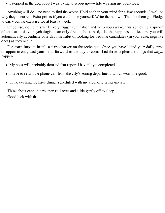I stepped in the dog poop I was trying to scoop up—while wearing my open-toes.

Anything will do—no need to find the worst. Hold each in your mind for a few seconds. Dwell on why they occurred. Extra points if you can blame yourself. Write them down. Then let them go. Pledge to carry out the exercise for at least a week.

Of course, doing this will likely trigger rumination and keep you awake, thus achieving a spinoff effect that positive psychologists can only dream about. And, like the happiness collectors, you will automatically accentuate your daytime habit of looking for bedtime candidates (in your case, negative ones) as they occur.

For extra impact, install a turbocharger on the technique. Once you have listed your daily three disappointments, cast your mind forward to the day to come. List three unpleasant things that *might* happen:

- My boss will probably demand that report I haven't yet completed.
- I have to return the phone call from the city's zoning department, which won't be good.
- In the evening we have dinner scheduled with my alcoholic father-in-law.

Think about each in turn, then roll over and slide gently off to sleep.

Good luck with that.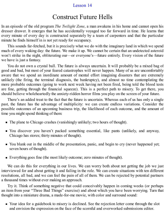# Construct Future Hells

In an episode of the old program *The Twilight Zone*, a man awakens in his home and cannot open his dresser drawer. It emerges that he has accidentally voyaged too far forward in time. He learns that every minute of every day is constructed separately by a team of carpenters and that the particular minute he finds himself in is not yet ready for occupancy.

This sounds far-fetched, but it is precisely what we do with the imaginary land in which we spend much of every waking day: the future. We make it up. We cannot be certain that an undetected asteroid won't strike in the night, obliterating our—or everyone's—future entirely. Every vision of the future we have is just a fantasy.

You do not own a crystal ball. The future is always uncertain. It will probably be a mixed bag of good and bad, but most of your feared catastrophes will never happen. Many of us are uncomfortably aware that we spend an inordinate amount of mental effort imagining disasters that are extremely unlikely (the firing, the terminal diagnosis, the bankruptcy), and almost no time contemplating the more probable outcomes (going to work next week having not been fired, being told the blood tests are fine, getting through the financial squeeze). This is a perfect path to misery. To get there, you should believe wholeheartedly the anxiety-ridden horror films you play on the screen of your future.

There's an added treat to the fact that the future is uncertain. Whereas each of us has only a single past, the future has the advantage of multiplicity: we can create endless variations. Consider the possible outcomes of an upcoming business trip, the likelihood of each outcome, and the amount of time you might spend thinking of them:

- The plane to Chicago crashes (vanishingly unlikely; two hours of thought).
- You discover you haven't packed something essential, like pants (unlikely, and anyway, Chicago has stores; thirty minutes of thought).
- You blank out in the middle of the presentation, panic, and begin to cry (never happened yet; seven hours of thought).
- Everything goes fine (the most likely outcome; zero minutes of thought).

We can do this for everything in our lives. We can worry both about not getting the job we just interviewed for and about getting it and failing in the role. We can create situations with ten different resolutions, all bad, and we can feel the pain of all of them. We can be rejected by potential partners a thousand times without ever making an approach.

Try it. Think of something negative that could conceivably happen in coming weeks (or perhaps an item from your "Three Bad Things" exercise) and about which you have been worrying. Turn that thought into a miniature drama, a made-for-me movie, with color and surround sound:

Your idea for a guidebook to misery is declined. See the rejection letter come through the slot and envision the expression on the face of the scornful and overworked submissions editor.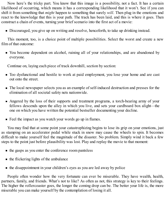Now here's the tricky part. You know that this image is a possibility, not a fact. It has a certain likelihood of occurring, which means it has a corresponding likelihood that it won't. See if you can shift it from something that *might* happen to something that surely *will*. Then plug in the emotions and react to the knowledge that this is your path. The track has been laid, and this is where it goes. Then construct a chain of events, turning your brief scenario into the first act of a movie:

Discouraged, you give up on writing and resolve, henceforth, to take up drinking instead.

This moment, too, is a choice point of multiple possibilities. Select the worst and create a new film of that outcome:

You become dependent on alcohol, ruining all of your relationships, and are abandoned by everyone.

Continue on, laying each piece of track downhill, section by section:

- Too dysfunctional and hostile to work at paid employment, you lose your home and are cast out onto the street.
- The local newspaper selects you as an example of self-induced destruction and presses for the elimination of all societal safety nets nationwide.
- Angered by the loss of their supports and treatment programs, a torch-bearing army of your fellows descends upon the alley in which you live, and sets your cardboard box alight—the one on which you have written the potential bestseller documenting your decline.
- Feel the impact as you watch your words go up in flames.

You may find that at some point your catastrophizing begins to lose its grip on your emotions, just as stamping on an accelerator pedal while stuck in snow may cause the wheels to spin. It becomes difficult to make yourself feel the magnitude of the disaster. No problem. Simply wind it back a few steps to the point just before plausibility was lost. Play and replay the movie to that moment:

- the gasps as you enter the conference room pantsless
- $\blacksquare$  the flickering lights of the ambulance
- $\blacksquare$  the disappointment in your children's eyes as you are led away by police

People often wonder how the very fortunate can ever be miserable. They have wealth, health, partners, family, and friends. What's not to like? As often as not, this strategy is key to their feelings. The higher the rollercoaster goes, the longer the coming drop can be. The better your life is, the more miserable you can make yourself by the contemplation of losing it all.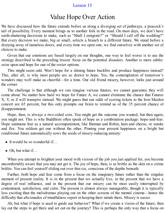### Value Hope Over Action

We have discussed how the future extends before us along a diverging set of pathways, a peacock's tail of possibility. Every moment brings us to another fork in the road. On most days, we don't have earth-shattering decisions to make, such as "Shall I emigrate?" or "Should I call off the wedding?" But every decision we make, big or small, selects a branch to a different future. We stand before a dizzying array of nameless doors, and every time we open one, we find ourselves with another set of choices to make.

Given that our emotions are based largely on our thoughts, one way to feel worse is to use the strategy described in the preceding lesson: focus on the potential disasters. Another is more subtle: seize upon and hope for one of the rosier options.

This might seem odd. Won't hope for a shining future backfire and produce happiness instead? This, after all, is why most people are so drawn to hope. Yes, the contemplation of tomorrow's wonders may well make us cheerful—for a time. Our old friend misery, however, lurks just around the corner.

The challenge is that although we can imagine various futures, we cannot guarantee they will come about. No matter how hard we hope for Future A, we cannot eliminate the chance that Futures X, Y, or Z will transpire instead. We might guess that our odds of scoring tickets to the Iron Maiden concert are 65 percent, but this only prompts our brain to remind us of the 35 percent chance of disappointment.

Hope, then, is always a two-sided coin. You might get the outcome you wanted, but then again, you might not. This is why Buddhists often speak of hope as a combination package: hope-and-fear. Hope summons fear as a natural accompaniment, like Batman and Robin, ham and cheese, or smoke and fire. You seldom get one without the other. Pinning your present happiness on a bright but conditional future automatically sows the seeds of misery-inducing anxiety:

- It would be so wonderful if...
- $\blacksquare$  Oh, but what if...

When you attempt to brighten your mood with visions of the job you just applied for, you become uncomfortably aware that you may not get it. The joy of hope, then, is as brittle as the skin on a crème brûlée. You can feel yourself sliding out over thin ice, conscious of the depths beneath.

Further, both hope and fear come from a focus on the imaginary future rather than the singular moment of present reality. It is in the present that we actually live, in the present that we have a degree of real influence, and in the present that our misery can be most easily interrupted by contentment, satisfaction, and calm. The present is almost always manageable, though it is typically less exciting than the melodramas playing out on the other screens of the mental cinema—hence the difficulty that aficionados of mindfulness report in keeping their minds there. Misery is easier.

Ah, but what if hope is used to guide our behavior? What if we create a vision of the future, then lay out the steps to get there and set out on the journey? This is perhaps the only way that a focus on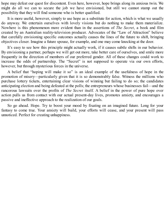hope may defeat our quest for discontent. Even here, however, hope brings along its anxious twin. We might do all we can to secure the job we have envisioned, but still we cannot stamp out the possibility that they will find someone who is better qualified.

It is more useful, however, simply to use hope as a substitute for action, which is what we usually do anyway. We entertain ourselves with lovely visions but do nothing to make them materialize. Nowhere is this phenomenon more evident than in the assertions of *The Secret*, a book and film created by an Australian reality-television producer. Advocates of the "Law of Attraction" believe that carefully envisioning specific outcomes actually causes the lines of the future to shift, bringing objectives closer. Imagine a future spouse, for example, and one may come knocking at the door.

It's easy to see how this principle might actually work, if it causes subtle shifts in our behavior. By envisioning a partner, perhaps we will get out more, take better care of ourselves, and smile more frequently in the direction of members of our preferred gender. All of these changes could work to increase the odds of partnership. The "Secret" is not supposed to operate via our own efforts, however, but through mysterious forces in the universe.

A belief that "hoping will make it so" is an ideal example of the usefulness of hope in the promotion of misery—particularly given that it is so demonstrably false. Witness the millions who purchase lottery tickets, entertaining clear visions of winning but failing to do so; the candidates anticipating election and being defeated at the polls; the entrepreneurs whose businesses fail—and the rancorous lawsuits over the profits of *The Secret* itself. A belief in the power of pure hope over action pulls us from contact with our actual present-day lives, promotes anxiety, and encourages a passive and ineffective approach to the realization of our goals.

So go ahead. Hope. Try to boost your mood by fixating on an imagined future. Long for your fantasy to come true. Your anxiety will build, your efforts will cease, and your present will pass unnoticed. Perfect for creating unhappiness.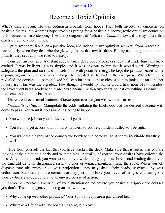# Become a Toxic Optimist

What's this, a rerun? How is optimism separate from hope? They both involve an emphasis on positive futures, but whereas hope involves pining for a positive outcome, toxic optimism counts on it. It seduces us into stepping, like the protagonist of Voltaire's *Candide*, toward a rosy future that exists only in our own minds.

Optimism seems like such a positive idea, and indeed, many optimists seem far from miserable particularly when they describe the glowing future that awaits them. But by neglecting the potential pitfalls, they set out on the road to misery.

Consider an example. A distant acquaintance developed a business idea that made him extremely excited. It was brilliant, it was simple, and it was obvious to him that it would work. Wanting to safeguard the plan and surround himself only with positive energy, he kept the product secret while expounding on the plans he was making. He invested all he had in the enterprise. When he finally revealed the concept—a personalized ball-cap business—those closest to him looked at one another in surprise. This was the big idea? Few thought it would fly, but he would hear none of it—besides, the investment had already been made. Sure enough, within two years he lost everything. Optimism in toxic excess is bad for business.

There are three critical features of toxic optimism that you will want to harness.

*Probability Inflation.* Manipulate the odds, inflating the likelihood that the desired outcome will come to pass. You want it, so assume it's going to happen:

- You want the job, so you believe you'll get it.
- You want to get across town in thirty minutes, so you're confident traffic will be light.
- You want the citizens of the country we bomb to welcome us, so it seems inevitable that they will.

Hide from yourself the fact that you have stacked the deck. Make sure that it seems that you are looking at the situation clearly and without bias. Actually, of course, your desires have colored the lens. As you look ahead, you want to see only a wide, straight, yellow-brick road leading directly to the Emerald City; no disgruntled sister-witches or winged monkeys lining the route. When you tell dispassionate observers about your projections, they may shake their heads, unswayed by your enthusiasm. But since you are certain that they just don't have your level of insight, you can ignore their cautions and overcommit to an unwise course of action.

*Selective Attention.* Focus all of your attention on the course you desire and ignore the courses you don't. Toss contingency planning out the window:

- Why come up with other products? Your \$50 ball caps are a guaranteed hit.
- Why take a lifejacket? The boat isn't going to tip over.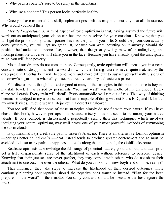- Why pack a coat? It's sure to be sunny in the mountains.
- Why use a condom? This person looks perfectly healthy.

Once you have mastered this skill, unpleasant possibilities may not occur to you at all. Insurance? Why would you need that?

*Elevated Expectations.* A third aspect of toxic optimism is that, having assumed the future will work out as anticipated, your vision can become the baseline for your emotions. Knowing that you will get the promotion, you incorporate this into the plan of your life. Should the promotion actually come your way, you will get no great lift, because you were counting on it anyway. Should the position be handed to someone else, however, then the great yawning maw of an unforgiving and incomprehensible universe will stare you in the face. Because you have already spent the anticipated raise, you will face poverty.

Most of our dreams do not come to pass. Consequently, toxic optimism will encase you in a nearconstant state of disappointment—a world in which the shining future is never quite matched by the drab present. Eventually it will become more and more difficult to sustain yourself with visions of tomorrow's sugarplums when all you seem to receive are dry and tasteless prunes.

Full disclosure: although I am quite good at many of the strategies in this book, this one is beyond my skill level. I was raised by pessimists. "You just wait" was the motto of my childhood. Every plane will crash. Every train will derail. Every automobile will run out of gas. This way of thinking became so wedged in my unconscious that I am incapable of doing without Plans B, C, and D. Left to my own devices, I would wear a lifejacket in a desert rainshower.

You too will find that some of these strategies simply do not fit with your nature. If you have chosen this book, however, perhaps it is because misery does not seem to be among your native talents. If your outlook is distressingly, perpetually sunny, then this technique, which involves indulging your natural optimism, may well prove one of your most powerful methods of summoning the storm clouds.

Is optimism always a reliable path to misery? Alas, no. There is an alternative form of optimism —perhaps better called *realism*—that instead tends to produce greater contentment and so must be avoided. Like so many paths to happiness, it leads along the middle path, the Goldilocks route.

Realistic optimists acknowledge the full range of potential futures, good and bad, and attempt to get a truly dispassionate sense of the likelihood of each without reference to personal desire. Knowing that their guesses are never perfect, they may consult with others who do not share their attachment to one outcome over the others. "What do you think of this new boyfriend of mine, really?"

Thus informed, they take steps to increase the likelihood of their desired outcomes while cautiously planning contingencies should the negative ones transpire instead. "Plan for the best, prepare for the worst" is their motto. Yours, by contrast, should be "Assume the best, ignore the worst."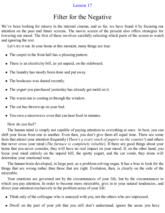# Filter for the Negative

We've been looking for misery in the internal cinema, and so far, we have found it by focusing our attention on the past and future screens. The movie screen of the present also offers strategies for lowering our mood. The first of these involves carefully selecting which parts of the screen to watch and ignoring the rest.

Let's try it out. In your home at this moment, many things are true:

- The carpet in the front hall has a pleasing pattern.
- There is an electricity bill, as yet unpaid, on the sideboard.
- The laundry has mostly been done and put away.
- The bookcase was dusted recently.
- The yogurt you purchased yesterday has already got mold on it.
- The warm sun is coming in through the window.
- The cat has thrown up on your bed.
- You own a microwave oven that can heat food in minutes.

#### How do you feel?

The human mind is simply not capable of paying attention to everything at once. At best, you can shift your focus from one to another. Even then, you don't give them all equal time. There are some facts that attract your attention frequently (*There's a scary stack of papers on the counter!*) and others that never cross your mind (*The furnace is completely reliable*). If there are good things about your home that you never consider, they will have no real impact on your mood. If, on the other hand, you focus your mind entirely on the unpaid bill, the spotty yogurt, and the cat vomit, they alone will determine your emotional tone.

The human brain developed, in large part, as a problem-solving organ. It has a bias to look for the things that are wrong rather than those that are right. Evolution, then, is clearly on the side of the miserable.

Your emotions are governed not by the circumstances of your life, but by the circumstances to which you pay attention. In order to become more miserable, give in to your natural tendencies, and direct your attention exclusively to the problem areas of your life:

- Think only of the colleague who is annoyed with you, not the others who are impressed.
- Dwell on the part of your job that you still don't understand; ignore the areas you have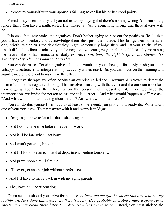mastered.

**Preoccupy yourself with your spouse's failings; never list his or her good points.** 

Friends may occasionally tell you not to worry, saying that there's nothing wrong. You can safely ignore them. You have a multifaceted life. There is *always* something wrong, and there always will be.

It is enough to emphasize the negatives. Don't bother trying to blot out the positives. To do that, you'd have to inventory and acknowledge them, then push them aside. This brings them to mind, if only briefly, which runs the risk that they might momentarily lodge there and lift your spirits. If you find it difficult to focus exclusively on the negative, you can give yourself the odd break by examining the neutral, the ho-hum minutiae of daily existence. *Oh, look, the light is of in the kitchen. It's Tuesday today. The cat's name is Snuggles.*

You can do more. Certain negatives, like cat vomit on your sheets, effortlessly push you in an unhappy direction. Your interpretation practically writes itself. But you can focus on the meaning and significance of the event to maximize the effect.

In cognitive therapy, we often conduct an exercise called the "Downward Arrow" to detect the form of a person's negative thinking. This involves starting with the event and the emotion it evokes, then digging about for the interpretation the person has imposed on it. Once we have the interpretation, we invite the person to assume it is correct. "And what would happen next?" we ask. "And what would the worst thing about that be? And what would that mean?"

You can do this yourself—in fact, to at least some extent, you probably already do. Write down one of your negatives. Then run away with it and marry it in Vegas:

- I'm going to have to launder those sheets again.
- And I don't have time before I leave for work.
- And it'll be late when I get home.
- So I won't get enough sleep.
- And I'll look like an idiot at that department meeting tomorrow.
- And pretty soon they'll fire me.
- I'll never get another job without a reference.
- And I'll have to move back in with my aging parents.
- They have an incontinent dog.

On no account should you strive for balance. *At least the cat got the sheets this time and not my* toothbrush. He's done this before; he'll do it again. He's probably fine. And I have a spare set of *sheets, so I can clean these later. I'm okay. Now let's get to work.* Instead, you must stick to the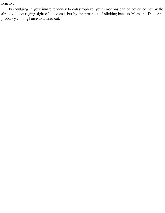negative.

By indulging in your innate tendency to catastrophize, your emotions can be governed not by the already discouraging sight of cat vomit, but by the prospect of slinking back to Mom and Dad. And probably coming home to a dead cat.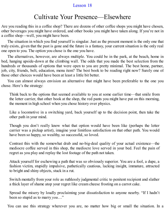# Cultivate Your Presence—Elsewhere

Are you reading this in a coffee shop? There are dozens of other coffee shops you might have chosen, other beverages you might have ordered, and other books you might have taken along. If you're not in a coffee shop—well, you might have been.

The situation in which you find yourself is singular. Just as the present moment is the only one that truly exists, given that the past is gone and the future is a fantasy, your current situation is the only real one open to you. The option you chose is the one you have.

The alternatives, however, are always multiple. You could be in the park, at the beach, home in bed, hanging upside-down at the climbing wall. The odds that you made the best selection from the hundreds or thousands of options that were open to you are pretty minimal. The best home, partner, job, city, friends, belt, education, menu item? The best book to be reading right now? Surely one of those other choices would have been at least a little bit better.

You can almost always envision an alternative that might have been preferable to the one you chose. Here's the strategy:

Think back to the options that seemed available to you at some earlier time—that smile from the letter carrier, that other book at the shop, the red pants you might have put on this morning, the moment in high school when you chose history over physics.

Like a locomotive in a switching yard, back yourself up to the decision point, then take the other path in your mind.

Though you don't really know what that option would have been like (perhaps the letter carrier was a pickup artist), imagine your limitless satisfaction on that other path. You would have been so happy, so wealthy, so successful, so loved.

Contrast this with the somewhat drab and no-big-deal quality of your actual existence—the mediocre coffee served in this shop, the mediocre love served in your bed. Feel the pain of regret as you play and replay the lost footage of the path not taken.

Attack yourself for eschewing a path that was so obviously superior. You are a fool, a dupe, a fashion victim, stupidly impulsive, pathetically cautious, lacking insight, immature, attracted to bright and shiny objects, stuck in a rut.

Switch mentally from your role as ruthlessly judgmental critic to penitent recipient and slather a thick layer of shame atop your regret like cream cheese frosting on a carrot cake.

Spread the misery by loudly proclaiming your dissatisfaction to anyone nearby. "If I hadn't been so stupid as to marry *you*…"

You can use this strategy wherever you are, no matter how big or small the situation. In a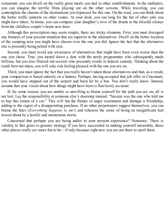restaurant, you can dwell on the really great meals you had in other establishments. In the multiplex, you can imagine the terrific films playing out on the other screens. While traveling, you can contemplate the charms of the destinations you bypassed for this one. On the road, you can think about the better traffic patterns on other routes. At your desk, you can long for the fun of other jobs you might have taken. At home, you can compare your daughter's love of the drums to the blissful silence from the childless couple's home next door.

Although this prescription may seem simple, there are tricky elements. First, you must disregard any features of your present situation that are superior to the alternatives. Dwell on the better location of the camping area you might have chosen over the one you did. Ignore the fact that the alternative site is presently being pelted with rain.

Second, you must avoid any awareness of alternatives that might have been even worse than the one you chose. True, you turned down a date with the nerdy programmer who subsequently made billions, but you also filtered out several who presently reside in federal custody. Thinking about the roads best not taken, you will only risk feeling pleased with the one you are on.

Third, you must ignore the fact that you really haven't taken those alternatives and that, as a result, your comparison is based entirely on a fantasy. Perhaps, having accepted that job offer in Cincinnati, you would have stepped out of the airport and been hit by a bus. You don't really know. Instead, assume that your vision about how things might have been is flawlessly accurate.

If, for some reason, you are unable or unwilling to blame yourself for the path you are on, all is not lost. Lay the responsibility at someone else's doorstep instead. "Sarojni was the one who told me to buy this lemon of a car." This will fan the flames of angry resentment and damage a friendship, adding to the regret of a disappointing purchase. If no other perpetrators suggest themselves, you can blame the fates (*Everything happens to me!*) and rehearse the sense of being an insignificant leaf tossed about by a hostile and anonymous storm.

Concerned that perhaps you are being unfair to your present experience? Nonsense. There is validity to this grass-is-greener strategy. If you have succeeded in making yourself miserable, those other places really *are* more fun to be—if only because right now you are not there to spoil them.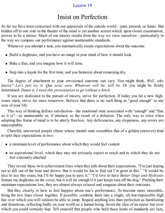### Insist on Perfection

So far we have been concerned with our appraisals of the outside world—past, present, or future. But hidden off to one side in the theater of the mind is yet another screen which, upon closer examination, proves to be a mirror. Much of our misery results from the way we view ourselves—particularly in the way we compare our performance against unattainable standards.

Whenever you attempt a task, you automatically create expectations about the outcome:

- Build a doghouse, and you have an image in your mind of how it should look.
- Bake a flan, and you imagine how it will taste.
- Step into a kayak for the first time, and you fantasize about remaining dry.

The degree of attachment to your envisioned outcome can vary. You might think, *Well, who knows? Let's just try it. Que sera, sera. Whatever will be, will be.* Or you might be firmly determined. *Damn it, I need this presentation to go without a hitch.*

If you are dedicated to the pursuit of misery, strive for perfection. If today you hit a new highwater mark, strive for more tomorrow. Believe that there is no such thing as "good enough" in any area of your life.

This way of thinking defines satisfaction—the emotional state associated with "enough" and "fine as it is"—as unattainable or, if attained, as the result of a delusion. The only way to relax when adopting this frame of mind is to be utterly flawless. Any deficiencies, any sloppiness, any errors are unacceptable.

Cheerful, unworried people (those whose mental state resembles that of a golden retriever) tend to split their expectations in two:

- a minimum level of performance about which they would feel content
- an aspirational level, which they may not seriously expect to reach and to which they do not feel extremely attached

They reveal these twin achievement lines when they talk about their expectations. "I'm just hoping not to fall out of the boat and drown. But it would be fun to find out I'm great at this." "It would be nice to ace this exam, but I'll be happy just to pass it." "I'd love to have *Better Dogs and Hydrants* feature my doghouse on the cover, but it will be enough if it just keeps rain off the dog." Pitching their minimum expectations low, they are almost always relaxed and sanguine about their outcomes.

But this, clearly, is how to feel happier about one's performance. To become more miserable, bring the two lines closer together. If possible, combine them into a single, all-but-impossible high bar over which you will seldom be able to jump. Regard anything less than perfection as humiliating and disastrous, reflecting badly on your worth as a human being. Scorn the idea of an easier bar over which you could certainly hop. Tell yourself that people who hold those kinds of standards are lazy,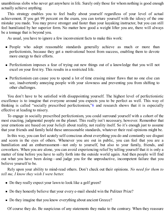unambitious slobs who never get anywhere in life. Surely only those for whom nothing is good enough actually achieve anything.

This strategy enables you to feel badly about yourself regardless of your level of actual achievement. If you get 99 percent on the exam, you can torture yourself with the idiocy of the one mistake you made. You may prove stronger and faster than your kayaking instructor, but you can still feel humiliated by her superior form. No matter how good a weight lifter you are, there will always be a tonnage that is beyond you.

As usual, you have to ignore a few inconvenient facts to make this work:

- **People** who adopt reasonable standards generally achieve as much or more than perfectionists, because they get a motivational boost from success, enabling them to devote more energy to their efforts.
- Perfectionism imposes a fear of trying out new things out of a knowledge that you will not excel on your first try. This results in a restricted life.
- Perfectionism can cause you to spend a lot of time erasing minor flaws that no one else can see, inadvertently annoying people with your slowness and preventing you from shifting to other challenges.

You don't have to be satisfied with disappointing yourself. The highest level of perfectionistic excellence is to imagine that everyone around you expects you to be perfect as well. This way of thinking is called "socially prescribed perfectionism,"[6](#page-118-1) and research shows that it is especially effective at leading to misery.

To engage in socially prescribed perfectionism, you could surround yourself with a cohort of the most exacting, judgmental people on the planet. This really isn't necessary, however. Remember that your emotions are based on your *beliefs* about reality, not reality itself. So it's enough just to assume that your friends and family hold these unreasonable standards, whatever their real opinions might be.

In this way, you can feel acutely self-conscious about everything you do and constantly see disgust and scorn in the eyes of others. Whenever you are out in public, you can feel that you are a humiliation and an embarrassment—not only to yourself, but also to your family, friends, and coworkers. When you are alone, you can avoid experiencing relief by telling yourself that it is only a matter of time before you have to sally forth into the outside world again. And then people will find out what you have been doing—and judge you for the unproductive, incompetent failure that you believe yourself to be.

Rely upon your ability to mind-read others. Don't check out their opinions. *No need for them to tell me, I know they wish I were better.*

- Do they really expect your lawn to look like a golf green?
- Do they honestly believe that your every e-mail should win the Pulitzer Prize?
- Do they imagine that you know everything about ancient Greece?

Of course they do. Be suspicious of any statements they make to the contrary. When they reassure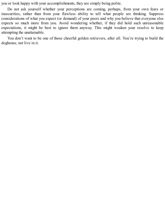you or look happy with your accomplishments, they are simply being polite.

Do not ask yourself whether your perceptions are coming, perhaps, from your own fears or insecurities, rather than from your flawless ability to tell what people are thinking. Suppress considerations of what you expect (or demand) of your peers and why you believe that everyone else expects so much more from you. Avoid wondering whether, if they did hold such unreasonable expectations, it might be best to ignore them anyway. This might weaken your resolve to keep attempting the unattainable.

You don't want to be one of those cheerful golden retrievers, after all. You're trying to build the doghouse, not live in it.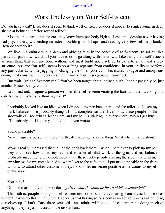# Work Endlessly on Your Self-Esteem

Do you have a cat? If so, does it seem to think well of itself, or does it appear to slink around in deep shame at being an inferior sort of feline?

Most people sense that the cats they know have perfectly high self-esteem—despite never having had psychotherapy, attending no esteem-building workshops, and reading very few self-help books. How do they do it?

We live in a culture with a deep and abiding faith in the concept of self-esteem. To follow this particular path downward, all you have to do is go along with the crowd. Like them, view self-esteem as something that you are born without and must build up, brick by brick, into a tall and sturdy structure. Assume that self-esteem is something separate from confidence in your ability to perform any particular task, like juggling or changing the oil in your car. This makes it vague and amorphous enough that constructing it becomes a futile—and thus misery-inducing—effort.

But wait. Isn't self-esteem real? You've been taught about it since birth. It can't possibly be just another Easter Bunny, can it?

Let's find out. Imagine a person with terrible self-esteem visiting the bank and then walking to a café for lunch. What's he thinking about?

I probably looked like an idiot when I dropped my pen back there, and the teller could see my bank balance—she probably thought I'm a complete failure. Even now, these people on the sidewalk can see what a loser I am, and my hair is sticking up everywhere. When I get lunch, I'll probably spill it on myself and look even worse.

Sound plausible?

Now imagine a person with great self-esteem doing the same thing. What's he thinking about?

Wow, I really impressed them all at the bank back there—when I bent over to pick up my pen they could see how toned my rear end is, after all that work at the gym, and my balance probably made the teller drool. Look at all these lucky people sharing the sidewalk with me, envying me for my great hair. And when I get to the café, they'll put me at the table in the front window to attract other customers. Hey, I know: let me recite positive affirmations to myself on the way.

### You think?

Or is he more likely to be wondering, *Do I want the soup or just a chicken sandwich?*

The truth is, people with good self-esteem are not constantly evaluating themselves. It's the ones without it who do this. Our culture teaches us that having self-esteem is an active process of building ourselves up. It isn't. Cats, three-year-olds, and adults with good self-esteem aren't doing much of anything—they're just focused on the task at hand.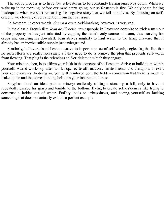The active process is to have *low* self-esteem, to be constantly tearing ourselves down. When we wake up in the morning, before our mind starts going, our self-esteem is fine. We only begin feeling inadequate when we start rehearsing the negative story that we tell ourselves. By focusing on selfesteem, we cleverly divert attention from the real issue.

Self-esteem, in other words, *does not exist*. Self-loathing, however, is very real.

In the classic French film *Jean de Florette*, townspeople in Provence conspire to trick a man out of the property he has just inherited by capping the farm's only source of water, thus starving his crops and ensuring his downfall. Jean strives mightily to haul water to the farm, unaware that it already has an inexhaustible supply just underground.

Similarly, believers in self-esteem strive to import a sense of self-worth, neglecting the fact that no such efforts are really necessary: all they need to do is remove the plug that prevents self-worth from flowing. That plug is the relentless self-criticism in which they engage.

Your mission, then, is to affirm your faith in the concept of self-esteem. Strive to build it up within yourself. Attend workshop after workshop, recite affirmations, invite friends and therapists to exalt your achievements. In doing so, you will reinforce both the hidden conviction that there is much to make up for and the corresponding belief in your inherent faultiness.

Sisyphus found an ideal path to misery: endlessly rolling a stone up a hill, only to have it repeatedly escape his grasp and tumble to the bottom. Trying to create self-esteem is like trying to construct a ladder out of water. Futility leads to unhappiness, and seeing yourself as lacking something that does not actually exist is a perfect example.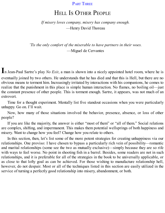#### PART T[HREE](#page-5-0)

### HELL IS OTHER PEOPLE

*If misery loves company, misery has company enough.* —Henry David Thoreau

*'Tis the only comfort of the miserable to have partners in their woes.* —Miguel de Cervantes

**I**<sup>n</sup> Jean-Paul Sartre's play *No Exit*, <sup>a</sup> man is shown into <sup>a</sup> nicely appointed hotel room, where he is eventually joined by two others. He understands that he has died and that this is Hell, but there are no obvious means to torment him. Increasingly irritated by interactions with his companions, he comes to realize that the punishment in this place is simple human interaction. No flames, no boiling oil—just the constant presence of other people. This is torment enough. Sartre, it appears, was not much of an extrovert.

Time for a thought experiment. Mentally list five standout occasions when you were particularly unhappy. Go on. I'll wait.

Now, how many of those situations involved the behavior, presence, absence, or loss of other people?

If you are like the majority, the answer is either "most of them" or "all of them." Social relations are complex, shifting, and impermanent. This makes them potential wellsprings of both happiness and misery. Want to change how you feel? Change how you relate to others.

In this section, then, let's list some of the more potent strategies for creating unhappiness via our relationships. One proviso: I have chosen to bypass a particularly rich vein of possibility—romantic and marital relationships (some see the two as mutually exclusive)—simply because they are so rife with ways to feel worse. No point in shooting fish in a barrel. Besides, some readers are not in such relationships, and it is preferable for all of the strategies in the book to be universally applicable, or as close to that lofty goal as can be achieved. For those wishing to manufacture relationship hell, however, do not despair. Most or all of the techniques listed in this section are easily utilized in the service of turning a perfectly good relationship into misery, abandonment, or both.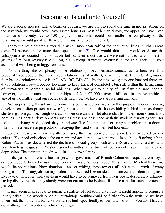### Become an Island unto Yourself

We are a social species. Unlike bears or cougars, we are built to spend our time in groups. Alone on the savannah, we would never have lasted long. For most of human history, we appear to have lived in tribes of seventy-five to 150 people. Those who could not handle the complexity of the relationships would go off on their own. Lions need to eat, after all.

Today we have created a world in which more than half of the population lives in urban areas (over 75 percent in the more developed countries[7](#page-118-2)). One would think this would eradicate the unhappiness associated with isolation, but no. It turns out that we were not built to function best in groups of *at least* seventy-five to 150, but in groups *between* seventy-five and 150. There is a cost associated with being in bigger crowds.

For one thing, the complexity of the relationships becomes astronomical as numbers rise. In a group of three people, there are three relationships: A with B, A with C, and B with C. A group of four has six relationships: AB, AC, AD, BC, BD, CD. By the time we get to one hundred there are 4,950 relationships—probably too many to keep track of completely, but still within the firing range of humanity's remarkable social abilities. When we get to a city of just fifty thousand people, however, the total number of relationships is 1,249,975,000—over a billion—incomprehensible to any of us, no matter what our social skills might be. We have to start walling them off.

Not surprisingly, the urban environment is constructed precisely for this purpose. Modern housing developments often present a row of garages to the street, the houses hiding behind them as though sheltering from gunfire. Neighbors cannot see one another, let alone chat from their nonexistent front porches. Residential developments such as these are described with the modern marketing term for isolation: privacy. And indeed, they are private. The first hint that there may be problems next door is likely to be a fence-jumping odor of decaying flesh and some well-fed housecats.

So once again, we have a path to misery that has been cleared, paved, and widened by our culture. You need only choose the on-ramp and accelerate down the road. In his book *Bowling Alone*, Robert Putnam has documented the decline of social groups such as the Rotary Club, churches, and, yes, bowling leagues in Western societies—this at a time of coincident rises in the rates of depression. The temptation to draw a link is overwhelming.

In the years before satellite imagery, the government of British Columbia frequently employed college students to staff mountaintop forest-fire watchtowers through the summers. Much of their time would be spent alone. Now abandoned and crumbling, these towers still sit at the summit of many hiking trails. To many job-hunting students, this seemed like an ideal and somewhat undemanding task. Every year, however, many of them would have to be removed from their posts, desperately unhappy, having discovered that they simply were not cut out to be isolated from the tribe for such an extended period.

It may seem impractical to pursue a strategy of isolation, given that it might appear to require a lonely cabin in the woods or on a mountaintop. Nothing could be further from the truth. As we have discussed, the modern urban environment is built specifically to facilitate isolation. You don't have to do anything at all in order to achieve your goal.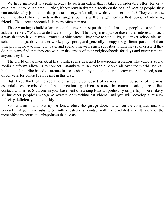We have managed to create privacy to such an extent that it takes considerable effort for citydwellers *not* to be isolated. Further, if they remain fixated directly on the goal of meeting people, they can accidentally join us on the path to misery. After all, how do you meet people? They can waltz down the street shaking hands with strangers, but this will only get them startled looks, not admiring friends. The direct approach fails more often than not.

Those wanting to build a larger social network must put the goal of meeting people on a shelf and ask themselves, "What *else* do I want in my life?" Then they must pursue those other interests in such a way that they have human contact as a side effect. They have to join clubs, take night-school classes, schedule outings, do volunteer work, play sports, and generally occupy a significant portion of their time plotting how to find, cultivate, and spend time with small subtribes within the urban crush. If they do not, many find that they can wander the streets of their neighborhoods for days and never run into anyone they know.

The world of the Internet, at first blush, seems designed to overcome isolation. The various social media platforms allow us to connect instantly with innumerable people all over the world. We can build an online tribe based on arcane interests shared by no one in our hometowns. And indeed, some of our yens for contact can be met in this way.

But if you think of the social diet as being composed of various vitamins, some of the most essential ones are missed in online connection—genuineness, nonverbal communication, face-to-face contact, and more. Sit alone in your basement discussing Russian prehistory or, perhaps more likely, killing other people's war-game avatars or watching cat videos, and you will develop a miseryinducing deficiency quite quickly.

So build an island. Put up the fence, close the garage door, switch on the computer, and kid yourself that you have substituted in-the-flesh social contact with the pixelated kind. It is one of the most effective routes to unhappiness that exists.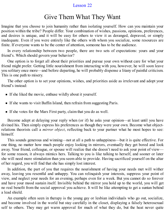## Give Them What They Want

Imagine that you choose to join humanity rather than isolating yourself. How can you maintain your position within the tribe? People differ. Your combination of wishes, passions, opinions, preferences, and desires is unique, and it will be easy for others to view it as deranged, depraved, or simply inadequate. Even if you were entirely like the others with whom you socialize, some resources are finite. If everyone wants to be the center of attention, someone has to be the audience.

In every relationship between two people, there are two sets of expectations: yours and your friend's. Which should govern your behavior?

One option is to forget all about their priorities and pursue your own without care for what your friend might prefer. Getting little nourishment from interacting with you, however, he will soon leave you solitary once more—and before departing, he will probably dispense a litany of painful criticism. This is one path to misery.

The other option is to set your opinions, wishes, and priorities aside as irrelevant and adopt your friend's instead:

- If she liked the movie, enthuse wildly about it yourself.
- If she wants to visit Baffin Island, then refrain from suggesting Paris.
- If she votes for the Mars First party, claim that you do as well.

Become adept at delaying your reply when (or if) he asks your opinion—at least until you have divined his. Then simply express his preferences as though they were your own. Become what objectrelations theorists call a *mirror object*, reflecting back to your partner what he most hopes to see: himself.

This sounds generous and winning—not at all a path to unhappiness—but it is quite effective. For one thing, no matter how much people enjoy looking in mirrors, eventually they get bored and look away. Your friend, colleague, or spouse will realize that she doesn't need to ask your point of view for some reason, it always mimics hers. Talking to you is like talking to herself, and sooner or later she will need more stimulation than you seem able to provide. Having sacrificed yourself on the altar of her regard, you will find that she has simply lost interest.

In addition, the part of you that requires the nourishment of having your needs met will wither away, leaving you resentful and unhappy. You can relinquish your interests, suppress your point of view, and neglect your needs for an evening, perhaps even for a week. But you cannot do so forever and have your mood sustain itself. Invisible behind the mirror you hold up to the world, you will get no real benefit from the social approval you achieve. It will be like attempting to get a suntan behind a lead shield.

An example often seen in therapy is the young gay or lesbian individuals who go out, socialize, and become involved in the world but stay carefully in the closet, displaying a falsely heterosexual self to others. They may get warm approval for much of what they do, but the heat never quite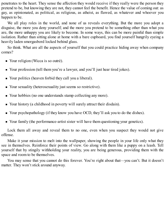penetrates to the heart. They sense the affection they would receive if they really were the person they pretend to be, but knowing they are not, they cannot feel the benefit. Hence the value of coming out: as gay, as opinionated, as political, as religious, as atheist, as flawed, as whatever and whoever you happen to be.

We all play roles in the world, and none of us reveals everything. But the more you adopt a disguise, the more you deny yourself; and the more you pretend to be something other than what you are, the more unhappy you are likely to become. In some ways, this can be more painful than simple isolation. Rather than sitting alone at home with a bare cupboard, you find yourself hungrily eyeing a heavily laden smorgasbord locked behind glass.

So think. What are all the aspects of yourself that you could practice hiding away when company comes?

- Vour religion (Wicca is so outré).
- Your profession (tell them you're a lawyer, and you'll just hear tired jokes).
- Your politics (heaven forbid they call you a liberal).
- Your sexuality (heterosexuality just seems so restrictive).
- Your hobbies (no one understands stamp collecting any more).
- Your history (a childhood in poverty will surely attract their disdain).
- Your psychopathology (if they know you have OCD, they'll ask you to do the dishes).  $\blacksquare$
- Your family (the performance-artist sister will have them questioning your genetics).

Lock them all away and reveal them to no one, even when you suspect they would not give offense.

Make it your mission to melt into the wallpaper, showing the people in your life only what they see in themselves. Reinforce their points of view. Go along with them like a puppy on a leash. Tell yourself that by stingily withholding your reality, you are being generous, providing them with the space and room to be themselves.

You may sense that you cannot do this forever. You're right about that—you can't. But it doesn't matter. They won't stick around anyway.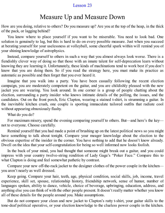# Measure Up and Measure Down

How are you doing, relative to others? Do you measure up? Are you at the top of the heap, in the thick of the pack, or lagging behind?

You know where to place yourself if you want to be miserable. You need to look bad. One solution is genuinely to lag, but this is hard to do on every possible measure. Just when you succeed at berating yourself for your uselessness at volleyball, some cheerful spark within will remind you of your shining knowledge of astrophysics.

Instead, compare yourself to others in such a way that you almost always look worse. There is a fiendishly clever way of doing so that those with an innate talent for self-deprecation learn without knowing they are learning it. Unfortunately, these kinds of machinations tend to work best if you don't know that you are doing them. So if you read the strategy here, you must make its practice as automatic as possible and then forget that you ever heard it.

Imagine that you walk into a party. You have been casually following the recent election campaign, you are moderately competent on the guitar, and you are childishly pleased with the new jacket you are wearing. You look around. In one corner is a group of people chatting about the election, surrounding a party insider who knows intimate details of the polling, the issues, and the candidates. Out on the front porch, Eric Clapton, wearing a stained t-shirt, is strumming a guitar. In the inevitable kitchen crush, one couple is sporting immaculate tailored outfits that radiate cool without appearing obnoxiously flashy.

What do you do?

For maximum misery, spend the evening comparing yourself to others. But—and here's the key not to everyone. Choose carefully.

Remind yourself that you had made a point of brushing up on the latest political news so you might have something to talk about tonight. Compare your meager knowledge about the election to the obvious expertise of the insider in the corner. You have nothing to add that he doesn't know already. Dwell on the idea that your self-congratulation for being so well informed now looks foolish.

In the back of your mind, you had thought that someone might break out a guitar, and you could impress with your country twelve-string rendition of Lady Gaga's "Poker Face." Compare this to what Clapton is doing and feel somewhat pathetic by contrast.

Compare your new off-the-rack jacket to the designer clothes of the power couple in the kitchen you aren't nearly as well dressed.

Keep going. Compare your hair, teeth, age, physical condition, social skills, job, income, travel experience, skill set, spouse, relationship history, friendship network, sense of humor, number of languages spoken, ability to dance, vehicle, choice of beverage, upbringing, education, address, and anything else you can think of with the other people present. It doesn't really matter whether you know all of these details for the people around you. Make assumptions.

But do not compare your clean and new jacket to Clapton's ratty t-shirt, your guitar skills to the tone-deaf political operative, or your election knowledge to the clueless power couple in the kitchen.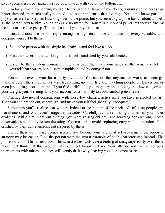Every comparison you make must be downward, with you on the bottom end.

Similarly, avoid comparing yourself to the group at large. If you do so, you may come across as better dressed, more musically talented, and better informed than average. You don't know particle physics as well as Stephen Hawking over by the piano, but you seem to grasp the basics about as well as the person next to him. Your slacks are no match for Donatella's leopard prints, but they're fine by the standards of the group. This will not aid you in your quest.

Instead, choose the person representing the high end of the continuum on every variable, and compare yourself to them:

- Select the person with the single best haircut and feel like a slob.
- Find the owner of the Lamborghini and feel humiliated by your old beater.
- Listen to the amateur sommelier exclaim over the mushroom notes in the wine and tell yourself that you are hopelessly unsophisticated by comparison.

You don't have to wait for a party invitation. You can do this anytime: at work, in meetings, walking down the street, in restaurants, meeting up with friends, watching people on television, or even just sitting alone at home. If you find it difficult, you might try specializing in a few categories: your weight, your thinning hair, your income, your inability to cook sambal green beans.

Practice downward comparisons with those few characteristics until you have perfected the art. Then you can branch out, generalize, and make yourself feel globally inadequate.

Sometimes you'll realize that you are indeed at the bottom of the pack. All of these people are marathoners, and you haven't jogged in decades. Carefully avoid reminding yourself of your other qualities. While they were out running, you were raising children and learning bookkeeping. These observations will only lessen the sting. You must also avoid replacing envy with admiration. Feel crushed by their achievements, not inspired by them.

Should these downward comparisons prove beyond your talents at self-abasement, the opposite strategy may be easier. Find the person with the worst example of each characteristic instead. The poorest diction. The silliest look. The lamest jokes. Cultivate a feeling of smug superiority over them. You might think that this would make you feel happy, but no. Your attitude will seep into your interactions with others, and they will gently drift away, leaving you alone once more.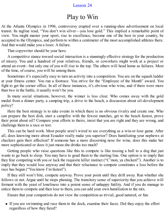# Play to Win

At the Atlanta Olympics in 1996, controversy erupted over a running-shoe advertisement on local transit. Its tagline read, "You don't win silver—you lose gold." This implied a remarkable point of view. You might master your sport, rise to excellence, become one of the best in your country, be accepted to the Olympics, and perform to within a centimeter of the most accomplished athletes there. And that would make you a loser. A failure.

That copywriter should be your hero.

A competitive stance toward social interaction is a stunningly effective strategy for the production of misery. You and a hundred of your relatives, friends, or coworkers might work at a project or attend an event—but only one of you will rise to the top. The others will head home as failures. Most of the time, of course, you will be among them.

Sometimes it's especially easy to turn an activity into a competition. You are on the squash ladder at your fitness center. You run a footrace. You strive for the "Employee of the Month" award. You fight to get the corner office. In all of these instances, it's obvious who wins, and if there were more than two in the battle, it usually won't be you.

In many social situations, however, the winner is less clear. Who comes away with the gold medal from a dinner party, a camping trip, a drive to the beach, a discussion about oil-development policy?

Here the best strategy is to take events in which there is no obvious rivalry and create one. Who can prepare the best dish, start a campfire with the fewest matches, get to the beach fastest, prove their point about oil? Compare your efforts to theirs, insist that you are right and they are wrong, and challenge them to a race or test.

This can be hard work. Most people aren't wired to see everything as a win-or-lose game. After all, does knowing more about Ecuador really make you superior? Does humiliating your nephews at checkers gain their affection? If someone has a more discerning nose for wine, does this make her more sophisticated or does it just mean she drinks too much?

Getting people who raise questions like this to compete is like tossing a ball to a dog that just wants to go back to sleep. You may have to goad them to the starting line. One option is to imply that they fear competing with you or lack the requisite killer instinct ("C'mon, ya chicken!"). Another is to imply that they would lose anyway and that their reluctance to compete constitutes a loss before the race has begun ("You know I'm fastest").

If they still won't bite, compete anyway. Prove your point until they drift away. Run whether she follows or not. Argue until he stops phoning. The transitory sense of superiority that you achieve will ferment with the yeast of loneliness into a potent sense of unhappy futility. And if you do manage to entice them to compete and then lose to them, you can add your own humiliation to the mix.

Ensure that your compatriots do not view the competition as trivial, good natured, or fun:

If you are swimming and race them to the dock, examine their faces. Did they enjoy the effort regardless of how they fared?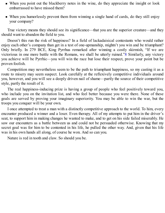- When you point out the blackberry notes in the wine, do they appreciate the insight or look embarrassed to have missed them?
- When you humorlessly prevent them from winning a single hand of cards, do they still enjoy your company?

True victory means they should see its significance—that you are the superior creature—and they should want to abandon the field to you.

Doesn't this run the risk of happiness? In a field of lackadaisical contestants who would rather enjoy each other's company than get in a test of one-upmanship, mightn't you win and be triumphant? Only briefly. In 279 BCE, King Pyrrhus remarked after winning a costly skirmish, "If we are victorious in one more battle with the Romans, we shall be utterly ruined."[8](#page-118-3) Similarly, any victory you achieve will be Pyrrhic—you will win the race but lose their respect, prove your point but be proven foolish.

Competition may nevertheless seem to be the path to triumphant happiness, so my casting it as a route to misery may seem suspect. Look carefully at the reflexively competitive individuals around you, however, and you will see a deeply driven nail of shame—partly the source of their competitive style, partly the result of it.

The real happiness-inducing prize is having a group of people who feel positively toward you, who include you on the invitation list, and who feel better because you were there. None of these goals are served by proving your imaginary superiority. You may be able to win the war, but the troops you conquer will be your own.

I once attempted to treat a man with a distinctly competitive approach to the world. To him, every encounter produced a winner and a loser. Even therapy. All of my attempts to put him in the driver's seat, to support him in making changes he wanted to make, and to get on his side failed miserably. He saw our encounters as a battle between us and could not be persuaded otherwise. Knowing that my secret goal was for him to be contented in his life, he pulled the other way. And, given that his life was in his own hands all along, of course he won. And so can you.

Nature is red in tooth and claw. So should you be.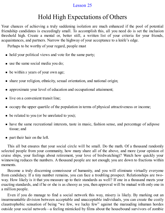# Hold High Expectations of Others

Your chances of achieving a truly saddening isolation are much enhanced if the pool of potential friendship candidates is exceedingly small. To accomplish this, all you need do is set the inclusion threshold high. Create a mental or, better still, a written list of your criteria for your friends, acquaintances, and partners. Narrow the highway of your acceptance to a knife's edge.

Perhaps to be worthy of your regard, people must

- hold your political views and vote for the same party;
- $\blacksquare$  use the same social media you do;
- $\blacksquare$  be within *x* years of your own age;
- share your religion, ethnicity, sexual orientation, and national origin;
- approximate your level of education and occupational attainment;
- live on a convenient transit line;
- occupy the upper quartile of the population in terms of physical attractiveness or income;
- be related to you (or be unrelated to you);
- have the same recreational interests, taste in music, fashion sense, and percentage of adipose tissue; and
- **part their hair on the left.**

This all but ensures that your social circle will be small. Do the math. Of a thousand randomly selected people from your community, how many share all of the above, and more (your opinion of cruise ships, your feelings about retirement, your love of birdwatching)? Watch how quickly your winnowing reduces the numbers. A thousand people are not enough; you are down to fractions within moments.

Become a truly discerning connoisseur of humanity, and you will eliminate virtually everyone from candidacy. If a tiny number remains, you can face a troubling prospect. Relationships are twoway. How likely is it that you measure up to their standards as well? If one in a thousand meets your exacting standards, and if he or she is as choosy as you, then approval will be mutual with only one in a million people.

Even if you do manage to find a social network this way, misery is likely. By marking out an insurmountable division between acceptable and unacceptable individuals, you can create the cozily claustrophobic sensation of being "we few, we lucky few" against the marauding inhuman hordes outside your social network—a feeling mimicked by films about the housebound survivors of zombie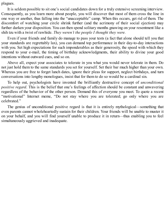plagues.

It is seldom possible to sit one's social candidates down for a truly extensive screening interview. Consequently, as you learn more about people, you will discover that most of them cross the line in one way or another, thus falling into the "unacceptable" camp. When this occurs, get rid of them. The discomfort of watching your circle shrink further (and the acrimony of their social ejection) may further darken your disposition. You can then spend solitary months gnawing on your resentment like a shih tzu with a twist of rawhide. *They weren't the people I thought they were.*

Even if your friends and family do manage to pass your tests (a fact that alone should tell you that your standards are regrettably lax), you can demand top performance in their day-to-day interactions with you. Set high expectations for such imponderables as their generosity, the speed with which they respond to your e-mail, the timing of birthday acknowledgments, their ability to divine your good intentions without outward cues, and so on.

Above all, expect your associates to tolerate in you what you would never tolerate in them. Do not just hold them to the same standards you set for yourself. Set their bar much higher than your own. Whereas you are free to forget lunch dates, ignore their pleas for support, neglect birthdays, and turn conversations into lengthy monologues, insist that for them to do so would be a cardinal sin.

To help out, psychologists have invented the brilliantly destructive concept of *unconditional positive regard*. This is the belief that one's feelings of affection should be constant and unwavering regardless of the behavior of the other person. Demand this of everyone you meet. To quote a recent "motivational" Internet meme, "Do not stay where you are tolerated; go only where you are celebrated."

The genius of unconditional positive regard is that it is entirely mythological—something that even parents cannot wholeheartedly sustain for their children. Your friends will be unable to muster it on your behalf, and you will find yourself unable to produce it in return—thus enabling you to feel simultaneously aggrieved and inadequate.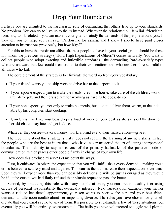# Drop Your Boundaries

Perhaps you are unsuited to the narcissistic role of demanding that others live up to your standards. No problem. You can try to live up to theirs instead. Whatever the relationship—familial, friendship, romantic, work related—you can make it your goal to satisfy the demands of the people around you. If they tell you to jump, you can say, "Pardon me for asking, and I know I should have paid closer attention to instructions previously, but how high?"

For this to have the maximum effect, the best people to have in your social group should be those for whom the previous strategy ("Hold High Expectations of Others") comes naturally. You want to collect people who adopt exacting and inflexible standards—the demanding, hard-to-satisfy types who are unaware that few could measure up to their expectations and who are therefore scornful of all those who fail.

The core element of the strategy is to eliminate the word *no* from your vocabulary:

- If your friend wants you to skip work to drive her to the airport, do it.
- If your spouse expects you to make the meals, clean the house, take care of the children, work a full-time job, and then praise him for working as hard as he does, do so.
- If your son expects you not only to make his meals, but also to deliver them, warm, to the side table by his computer, start cooking.
- If, on Christmas Eve, your boss drops a load of work on your desk as she sails out the door to her ski chalet, stay late and get it done.

Whatever they desire—favors, money, work, a blind eye to their indiscretions—give it.

The nice thing about this strategy is that it does not require the learning of any new skills. In fact, the people who are the best at it are those who have never mastered the art of setting interpersonal boundaries. The inability to say no is one of the primary hallmarks of the passive mode of communication, which places other people firmly in charge of your own life.

How does this produce misery? Let me count the ways.

First, it cultivates in others the expectation that you will fulfill their every demand—making you a cross between a scullery maid and a genie. This causes them to increase their expectations over time. Soon they will expect more than you can possibly deliver and will be just as enraged as they would be if, at the outset, you had flatly refused their simple request to pass the butter.

Second, by practicing this role with many people at once, you can create steadily increasing circles of personal responsibility that eventually intersect. Next Tuesday, for example, your mother wants a ride to her dental appointment, your son wants to borrow the car, and your best friend demands an afternoon confab about her impending divorce. The rules you have chosen for yourself dictate that you cannot say no to any of them. It's possible to stickhandle a few of these situations, but eventually you will be entirely overcommitted. The balls you have volunteered to juggle will plop to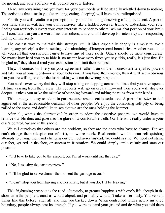the ground, and your audience will pounce on your failure.

Third, any remaining time you have for your own needs will be steadily whittled down to nothing. The activities that sustain you (exercising, eating, sleeping) will have to be relinquished.

Fourth, you will reinforce a perception of yourself as being deserving of this treatment. A part of your mind always watches your own behavior, like a hidden observer trying to understand your role. Seeing you routinely subvert your own interests to pander to others' whims, that portion of your brain will conclude that you are worth less than others, and you will develop (or intensify) a corresponding feeling of inferiority.

The easiest way to maintain this strategy until it bites especially deeply is simply to avoid learning any principles for the setting and maintaining of interpersonal boundaries. Another route is to tell yourself that you shouldn't *have* to have any of these skills. Others should be more considerate. No matter how hard you try to hide it, no matter how many times you say, "No, really, it's just fine. I'd be glad to," they should read your exhaustion and limit their requests.

They, of course, will rely on your agreement rather than on their nonexistent telepathic powers and take you at your word—or at your behavior. If you hand them money, then it will seem obvious that you are willing to offer the loan; asking was not the wrong thing to do.

You need never worry that they will stop asking or stepping across the lines that you have spent a lifetime erasing from their view. The requests will go on escalating—and their spurs will dig ever deeper—unless you make the mistake of stepping forward and taking the reins from their hands.

This strategy is easy to adopt in part because resentment is seductive. A part of us *likes* to feel aggrieved at the unreasonable demands of other people. We enjoy the comforting self-pity of being nailed to the cross and don't like to see that we are the ones holding the hammer.

After all, what's the alternative? In order to adopt the assertive posture, we would have to remove our blinders and gaze into the glare of uncomfortable truth. Our life isn't really under anyone else's control. We are in the saddle.

We tell ourselves that others are the problem, so they are the ones who have to change. But we can't change them (despite our efforts), so we're stuck. Real control would mean relinquishing attempts to change them and changing our own behavior instead. We could say no. We need not stamp our feet, get red in the face, or scream in frustration. We could simply smile calmly and state our position:

- "I'd love to take you to the airport, but I'm at work until six that day."
- $\blacksquare$  "No, I'm using the car tomorrow."
- "I'll be glad to serve dinner the moment the garbage is out."
- "I can't stop you from having another affair, but if you do, I'll be leaving."

This frightening prospect is the road, ultimately, to greater happiness with one's life, though in the short term the people around us would object, and probably wouldn't take us seriously. You've said things like this before, after all, and then you backed down. When confronted with a newly installed boundary, people always test its strength. If you were to stand your ground and do what you told them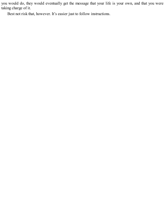you would do, they would eventually get the message that your life is your own, and that you were taking charge of it.

Best not risk that, however. It's easier just to follow instructions.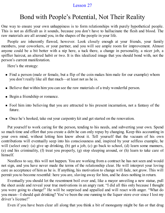# Bond with People's Potential, Not Their Reality

One way to ensure your own unhappiness is to form relationships with purely hypothetical people. This is not as difficult as it sounds, because you don't have to hallucinate the flesh and blood. The raw materials are all around you, in the shapes of the people in your life.

People are inherently flawed, however. Look closely enough at your friends, your family members, your coworkers, or your partner, and you will see ample room for improvement. Almost anyone could be a bit better with a nip here, a tuck there, a change in personality, a nicer job, a spiffier haircut, an altered habit or two. It is this idealized image that you should bond with, not the person's current manifestation.

Here's the strategy:

- Find a person (male or female, but a flip of the coin makes him male for our example) whom you don't really like all that much—at least not as he is.
- Believe that within him you can see the raw materials of a truly wonderful person.
- Begin a friendship or romance.
- Fool him into believing that you are attracted to his present incarnation, not a fantasy of the future.
- Once he's hooked, take out your carpentry kit and get started on the renovation.

Put yourself to work caring for the person, tending to his needs, and subverting your own. Spend so much time and effort that you create a debt he can only repay by changing. Keep this accounting in your own mind, without letting him know about it. Tell yourself that the vacuum of his own contributions will eventually seep into his consciousness and, inspired by your selfless example, he will (select one): (a) give up drinking, (b) get a job, (c) go back to school, (d) learn some manners, (e) end his criminality, (f) treat you properly, (g) stop sleeping around, or (h) learn to take care of himself.

Needless to say, this will not happen. You are working from a contract he has not seen and would not sign, and you have never made the terms of the relationship clear. He will interpret your loving care as acceptance of him as he is. If anything, his motivation to change will fade, not grow. This will permit you to become resentful: here you are, slaving away for him, and he does nothing in return.

Eventually you should let the resentment boil over and, like a mayor unveiling a new statue, pull the sheet aside and reveal your true motivations in an angry rant. "I did all this only because I thought you were going to change!" He will be surprised and appalled and will react with anger. "What do you mean—I should quit drinking? You've been the one running to the liquor store ever since I lost my driver's license!"

Even if you have been clear all along that you think a bit of monogamy might be fun or that drug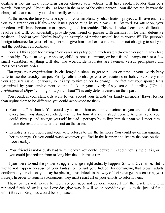dealing is not an ideal long-term career choice, your actions will have spoken louder than your words. You stayed. Obviously—at least in the mind of the other person—you did not really want the change all that much or you did not really expect it.

Furthermore, the time you have spent on your involuntary rehabilitation project will have enabled you to distract yourself from the issues percolating in your own life. Starved for attention, your problems will have become more pressing and intractable. This will make them more difficult to resolve and will, coincidentally, provide your friend or partner with ammunition for their defensive position. "Look at you! You're hardly an example of perfect mental health yourself!" The person's benign tolerance for your self-neglect will give him—or her—a rationale for not changing to suit you, and the problem can continue.

Does all this seem too taxing? You can always try out a much watered-down version in any close relationship. Try to make your spouse, child, parent, roommate, or best friend change on just a few small variables. Anything will do. The worldwide favorites are lateness versus promptness and messiness versus order.

Harangue your organizationally challenged husband to get to places on time or your overly busy wife to use the laundry hamper. Firmly refuse to change your expectations or behavior. Surely it is your spouse's issue, not yours, so it is up to him or her to change. The fact that your spouse feels tyrannized by your enslavement to the clock or your overly fussy sense of sterility ("Oh, is *Architectural Digest* coming for a photo shoot?") is only defensiveness on their part.

You could, if your standards were lower, accept your friends' or family members' flaws. Rather than urging them to be different, you could accommodate them:

- Your "late" husband? You could try to make him as time conscious as you are—and fume every time you stand, drenched, waiting for him at a rainy street corner. Alternatively, you could give up and change yourself instead—perhaps by telling him that you will meet him inside the restaurant rather than out on the street.
- Laundry is your chore, and your wife refuses to use the hamper? You could go on haranguing her to change. Or you could wash whatever you find in the hamper and ignore the bras on the floor nearby.
- Your friend is notoriously bad with money? You could lecture him about how simple it is, or you could just refrain from making him the club treasurer.

If you were to end the power struggle, change might actually happen. Slowly. Over time. But it would not happen because of your fantasy or to suit you. Indeed, by demanding that grown adults conform to your vision, you may be placing a roadblock in the way of their change, thus ensuring your misery. In order to remain autonomous, they must resist all of your efforts to reform them.

These battles will never be won, so you need not concern yourself that the brick wall, with repeated forehead strikes, will one day give way. It will go on providing you with the joys of futile effort forever. Sisyphus would be so pleased.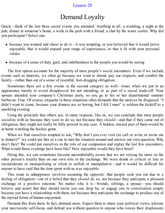# Demand Loyalty

Quick—think of the last three social events you attended. Anything at all: a wedding, a night at the pub, dinner at someone's home, a walk in the park with a friend, a chat by the water cooler. Why did you participate? Select one:

- because you wanted and chose to do it—it was tempting, or you believed that it would prove enjoyable, that it would expand your range of experiences, or that it fit with your personal values
- because of a sense of duty, guilt, and indebtedness to the people you would be seeing

The first option accounts for the majority of most people's social encounters. Even if we include events such as funerals, we often go because we want to attend, pay our respects, and comfort the family—rather than out of a sense of resentful, foot-dragging obligation.

Sometimes there are a few events in the second category as well—times when we put in an appearance mainly to avoid disapproval for not attending, or as part of a social trade-off. Your spouse attended your company's Christmas party, so you go to his or her departmental summer barbecue. Fine. Of course, etiquette in these situations often demands that the motives be disguised. "I didn't want to come, because your dinners are so boring, but I felt I must" is seldom the kickoff to a sparkling evening.

Using the principle that others are, in many respects, like us, we can conclude that most people socialize with us because they *want* to do so, not because they *should*—and that if they came out of obligation, they might not really be fully present in any case. A hidden, inward part of them would be at home watching the hockey game.

When we find ourselves tempted to ask, "Why don't you ever visit (or call or write or invite me to dinner)?" we could use this as a cue to turn the situation around and answer our own question. Why don't they? We could put ourselves in the role of our companion and replay the last few encounters. What would those evenings have been like? How enjoyable would they have been?

Doing this, we can sometimes become uncomfortably aware that we are relying far more on the other person's loyalty than on our own role in the exchange. We were drunk or critical or late or inconsiderate or monopolizing or silent or selfish or manipulative—and it would be difficult for anyone to have said that the time spent with us was enjoyable.

This route to unhappiness involves assuming the opposite: that people seek you out due to a feeling of obligation—out of a belief that they *should* do so, not because they anticipate a pleasant exchange or a positive outcome. No matter who it is—friends, siblings, a spouse—you should believe and assert that they should invite you out, drop by, or engage you in conversation simply because you have a relationship with them, not because they anticipate the exchange to produce any of the myriad forms of human enjoyment.

Demand this from them. In fact, demand more. Expect them to share your political views, tolerate your narcissistic self-focus, and defend you without question to anyone who voices their displeasure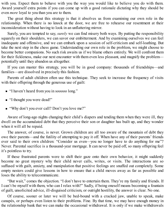with you. Expect them to behave with you the way you would like to believe you do with them. Award yourself extra points if you can come up with a good rationale dictating why they should be even *more* loyal to you than you are to them.

The great thing about this strategy is that it absolves us from examining our own role in the relationship. When there is no knock at the door, we are free to rehearse our resentment at their inconsideration without having to look in an unflattering mirror.

Surely, you are tempted to say, *surely* we can find misery both ways. By putting the responsibility squarely on their shoulders, we can savor our embitterment. And by examining ourselves we can feel inadequate and offensive, and we can embark upon a session of self-criticism and self-loathing. But take the next step in the chess game. Understanding our own role in the problem, we might choose to become better companions. No such risk awaits us if we blame others entirely. We will confront them for their fickleness, make our next encounter with them even less pleasant, and magnify the problem potentially until they abandon us altogether.

If you can master this strategy, you will be in good company: thousands of friendships—and families—are dissolved in precisely this fashion.

Parents of adult children often use this technique. They seek to increase the frequency of visits with their offspring through the generous use of guilt:

- "I haven't heard from you in sooooo long."
- "I thought you were dead!"
- "Why don't you ever call? Don't you love me?"

Aware of long-ago nights changing their child's diapers and tending them when they were ill, they dwell on the accumulated debt that they perceive their son or daughter has built up, and they wonder when it will all be repaid.

The answer, of course, is never. Grown children are all too aware of the mountain of debt they owe their parents—and the futility of attempting to pay it off. When have any of their parents' friends ever said to their own children: "Consider us even—you no longer have to do anything for me"? Never. Parental sacrifice is a thousand-year mortgage. It can never be paid off, so many offspring feel it's pointless to try.

If these frustrated parents were to shift their gaze onto their own behavior, it might suddenly become no great mystery why their child never calls, writes, or visits. The interactions are so suffused with guilt, anxiety, and manipulation that positive feelings are snuffed out completely. Some empty nesters could give lessons in how to ensure that a child moves away as far as possible and loses the ability to telecommunicate.

"But wait," comes the objection. "I don't have to entertain them. They're my family and friends. If I can't be myself with them, who can I relax with?" Sadly, if being oneself means becoming a fountain of guilt, unsolicited advice, ill-disguised criticism, or outright hostility, the answer is clear. No one.

Of course, sooner or later we will be bed-bound with a cracked jaw, unable to speak, make canapés, or perhaps even listen to their problems. Fine. By that time, we may have enough money in the relationship bank that we can make the occasional withdrawal. It is only if we make withdrawals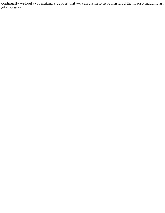continually without ever making a deposit that we can claim to have mastered the misery-inducing art of alienation.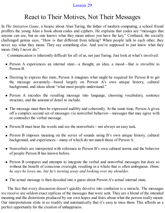# React to Their Motives, Not Their Messages

In *The Imitation Game*, a biopic about Alan Turing, the father of modern computing, a school friend proffers the young Alan a book about codes and cyphers. He explains that codes are "messages that anyone can see, but no one knows what they mean unless you have the key." Confused, the socially challenged genius says, "How is that different from talking? When people talk to each other, they never say what they mean. They say something else. And you're supposed to just know what they mean. Only I never do."

Communication is inherently difficult for all of us, not just Turing. Just look at what's involved:

- Person A experiences an internal state—a thought, an idea, a mood—that is invisible to Person B.
- Desiring to express this state, Person A imagines what might be required for Person B to get the message accurately—based largely on Person A's own unique history, cultural background, and ideas about "what most people understand."
- Person A encodes the resulting message into language, choosing vocabulary, sentence structure, and the amount of detail to include.
- The message must then be expressed audibly and coherently. At the same time, Person A gives off a complex second set of messages via nonverbal behavior—messages that may agree with or contradict the verbal message.
- **Person B must hear the words and see the nonverbals—not always an easy task.**
- Person B imposes meaning on the series of sounds using B's own unique history, cultural background, and experiences—many of which do not match those of Person A.
- Nonverbals are interpreted with reference to Person B's own cultural norms and the behavior of people Person B has known before.
- **Person B compares and attempts to integrate the verbal and nonverbal messages but does so** without the benefit of conscious oversight, resulting in a whole that is often ambiguous. *Hmm, he says he loves me, but he's turning away and looking over my shoulder.*
- The actual message is then decoded into a guess about Person A's actual internal state.

The fact that every discussion doesn't quickly devolve into confusion is a miracle. The messages we receive are seldom exact replicas of the messages that were sent. They are a blend of the intended meaning and the distortions produced by our own hopes and fears about what the person really meant. Our interpretations slide in so readily and automatically that it's easy to miss them. This affords us a perfect opportunity for the creation of unhappiness.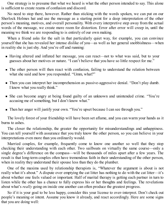One strategy is to presume that what we heard is what the other person intended to say. This alone is sufficient to create reams of confusion and discord.

No need to stop there, however. Rather than sticking with the words spoken, we can put on our Sherlock Holmes hat and use the message as a starting point for a deep interpretation of the other person's meaning, motives, and overall personality. With every interpretive step away from the actual words of the message, we create more room for distortion. Error after error will creep in, until the meaning we think we are responding to is entirely of our own making.

When a friend asks for the salt in that particularly quiet way, for example, you can convince yourself that she has revealed her intense dislike of you—as well as her general snobbishness—when in reality she is just shy. And you're off and running:

- Having altered and inflated her message, you can react—not to what was said, but to your guesses about her motives or nature. "I can't believe that you have so little respect for me."
- The other person will then react with confusion, failing to understand the relation between what she said and how you responded. "Umm, what?"
- Then you can interpret her incomprehension as passive-aggressive denial. "Don't play dumb. I know what you really think."
- She can become angry at being found guilty of an unknown and unintended crime. "You're accusing me of something, but I don't know what."
- Then her anger will justify your own. "You're upset because I can see through you."

The lovely forest of your friendship will have been set aflame, and you can warm your hands as it burns to ashes.

The closer the relationship, the greater the opportunity for misunderstandings and unhappiness. You can tell yourself with assurance that you truly know the other person, so you can believe in your interpretations even more than you ordinarily would.

Married couples, for example, frequently come to know one another so well that they stop checking their understanding with each other. Two sailboats on virtually the same course—only a single degree's difference on the compass—will be thousands of miles apart after a few years. The result is that long-term couples often have tremendous faith in their understanding of the other person, when in reality they understand their spouse less than they do the plumber.

One of the maxims used by relationship therapists is, "Whatever the argument is about is not really what it's about." A dispute over emptying the cat litter has nothing to do with the cat litter—it's about whether one feels valued or important. Half of marital therapy is getting each partner in turn to listen while the other has a chance to fully express his or her thoughts and feelings. The revelations about what's *really* going on inside one another can often produce the greatest progress.

So if it is your goal to be less happy, consider this your license to over-interpret. Don't check out people's meaning or intent. Assume you know it already, and react accordingly. Here are some signs that you are doing well: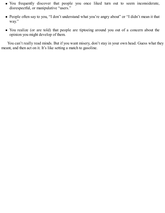- You frequently discover that people you once liked turn out to seem inconsiderate, disrespectful, or manipulative "users."
- People often say to you, "I don't understand what you're angry about" or "I didn't mean it that way."
- You realize (or are told) that people are tiptoeing around you out of a concern about the opinion you might develop of them.

You can't really read minds. But if you want misery, don't stay in your own head. Guess what they meant, and then act on it. It's like setting a match to gasoline.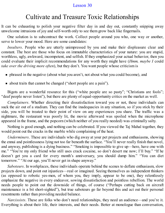## Cultivate and Treasure Toxic Relationships

It can be exhausting to polish your negative filter day in and day out, constantly snipping away unwelcome intrusions of joy and self-worth only to see them grow back like fingernails.

One solution is to subcontract the work. Collect people around you who, one way or another, serve to lower your mood. Here are some candidates:

*Insulters*. People who are utterly unimpressed by you and make their displeasure clear and constant. The best are those who focus on immutable characteristics of your nature: you are stupid, worthless, ugly, awkward, incompetent, and selfish. If they emphasized your actual behavior, then you could evaluate their implicit recommendations for any worth they might have (*Hmm, maybe I* could *take over the driving more often*), but they don't. You want people whose criticism is

- phrased in the negative (about what you aren't, not about what you could become), and
- about traits that cannot be changed ("short people are a pain").

Bigots are a wonderful resource for this ("white people are so pasty"; "Christians are fools"; "deaf people never listen"), but there are plenty of equal-opportunity critics on the market as well.

*Complainers*. Whether directing their dissatisfaction toward you or not, these individuals can suck the air out of a stadium. They can find the inadequacies in any situation, so if you stick by their side, you will be treated to their point of view on any experiences you share. The traffic was a nightmare, the restaurant was poorly lit, the movie afterward was spoiled when the microphone appeared in the frame, and the popcorn (which neither of you really needed) was criminally salty.

Nothing is good enough, and nothing can be celebrated. If you viewed the Taj Mahal together, they would point out the cracks in the marble while complaining of the heat.

*Underminers*. These are individuals who dig away at your pet projects and enthusiasms, showing the ennui and pointlessness lying not too far beneath the surface. "You'll never really finish that novel, and anyway, publishing is a dying business." "Smoking is impossible to give up—here, have one with me." "You're my only friend who still uses crack cocaine, so don't desert me now; I'll buy." "If he doesn't get you a card for every month's anniversary, you should dump him." "You can diet tomorrow." "At our age, you'll never get in shape anyway."

*Saboteurs*. In workplaces, these individuals operate behind the scenes to deflate enthusiasm, slow projects down, and point out injustices—real or imagined. Seeing themselves as independent thinkers (as opposed to robotic yes-men, of whom you, they imply, appear to be one), they relentlessly emphasize the negative in every endeavor, sowing dissatisfaction and pointless rebellion. The world needs people to point out the downside of things, of course ("Perhaps cutting back on aircraft maintenance is a bit short-sighted"), but true saboteurs go far beyond this and act out their personal resentments rather than providing needed balance.

*Narcissists*. These are folks who don't need relationships, they need an audience—and you're it. Everything is about their life, their interests, and their needs. Better at monologue than conversation,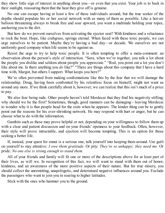they show little sign of interest in anything about you—or even that you exist. Your job is to bask in their sunlight, reassuring them that the heat they give off is genuine.

No one can escape having at least a few of these individuals around, but the true seeker of the depths should populate his or her social network with as many of them as possible. Like a hot-air balloon threatening always to break free and soar upward, you want a multitude holding your ropes, anchoring you to the dirt.

But how do we prevent ourselves from activating the ejector seat? With kindness and a reluctance to rock the boat. Hope, like crabgrass, springs eternal. When faced with these toxic people, we can urge ourselves to be patient. Maybe they're having a bad day—or decade. We ourselves are not uniformly good company when life seems to be against us.

Resist the urge to try to help toxic people. It is often tempting to offer a meta-comment: an observation about the person's style of interaction. "Sara, when we're together, you talk a lot about the people you dislike and seldom about people you appreciate." "Rod, you point out a lot you don't like about me. Is there anything you *do* like?" "There are things about this company that I have a hard time with, Margot, but others I support. What keeps you here?"

We're often prevented from making confrontations like this by the fear that we will damage the relationship. Doug, having been confronted by his relentless focus on himself, might not want us around any more. If we think carefully about it, however, we can realize that this isn't much of a price to pay.

We also fear being rude. Other people haven't told Mordecai that they find his negativity stifling; why should we be the first? Sometimes, though, good manners can be damaging—leaving Mordecai to wonder why it is that people head for the exits when he appears. The kinder thing can be to gently point out the reasons for his ever-shrinking network. He may respond with hurt or anger, but he can choose what to do with the information.

Gambits such as these may prove helpful or not, depending on your willingness to follow them up with a clear and patient discussion and on your friends' openness to your feedback. Often, however, their style will prove intractable, and ejection will become tempting. This is an option for those seeking a better life.

If, instead, your quest for ennui is a serious one, talk yourself into keeping them around. Use guilt on yourself to stay attentive: *I owe them gratitude.* Or pity: *They're so unhappy; they need me.* Or pride: *No one else is strong enough to stand them.*

All of your friends and family will fit one or more of the descriptions above for at least part of their lives, as will we. In recognition of this fact, we will want to stand with them out of honor, kindness, and an awareness of the more positive aspects of their nature. But for true misery, you should collect the unremitting, unapologetic, and determined negative influences around you. Exclude the passengers who want to join you in soaring to higher latitudes.

Stick with the ones who hammer you to the ground.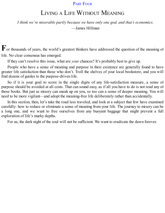#### PART F[OUR](#page-5-0)

### LIVING A LIFE WITHOUT MEANING

*I think we're miserable partly because we have only one god, and that's economics.* —James Hillman

**F**or thousands of years, the world's greatest thinkers have addressed the question of the meaning of life. No clear consensus has emerged.

If they can't resolve this issue, what are *your* chances? It's probably best to give up.

People who have a sense of meaning and purpose in their existence are generally found to have greater life satisfaction than those who don't. Troll the shelves of your local bookstore, and you will find dozens of guides to the purpose-driven life.

So if it is your goal to score in the single digits of any life-satisfaction measure, a sense of purpose should be avoided at all costs. That can sound easy, as if all you have to do is not read any of those books. But just as misery can sneak up on you, so too can a sense of deeper meaning. You will need to be more vigilant—and adopt the meaning-free life deliberately rather than accidentally.

In this section, then, let's take the road less traveled, and look at a subject that few have examined carefully: how to reduce or eliminate a sense of meaning from your life. The journey to misery can be a long one, and we want to free ourselves from any buoyant baggage that might prevent a full exploration of life's murky depths.

For us, the dark night of the soul will not be sufficient. We want to eradicate the dawn forever.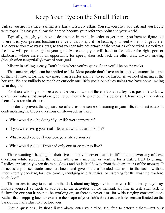# Keep Your Eye on the Small Picture

Unless you are in a race, sailing is a fairly leisurely affair. You sit, you chat, you eat, and you fiddle with ropes. It's easy to allow the boat to become your reference point and your world.

Typically, though, you have a destination in mind. In order to get there, you have to figure out where it is, your present location relative to that one, and the heading you need to be on to get there. The course you take may zigzag so that you can take advantage of the vagaries of the wind. Sometimes the bow will point straight at your goal. More often, you will head to the left or the right, port or starboard, where there is an opportunity for speed, then tack back the other way, always moving (though often tangentially) toward your goal.

Misery in sailing is easy. Don't look where you're going. Soon you'll be on the rocks.

The same principle can be applied to life. Most people don't have an instinctive, automatic sense of their ultimate priorities, any more than a sailor knows where the harbor is without glancing at the horizon. We are unlikely to reach or embody our life's goals or values unless we have some inkling what they are.

For those wishing to homestead at the very bottom of the emotional valley, it is possible to know one's core values and simply neglect to put them into practice. It is better still, however, if the values themselves remain obscure.

In order to prevent the appearance of a tiresome sense of meaning in your life, it is best to avoid contemplating the bigger questions of life—such as these:

- What would you be doing if your life were important?
- If you were living your real life, what would that look like?
- What would you do if you took your life seriously?
- What would you do if you had only one more year to live?

Those wanting a heading for their lives quickly discover that it is difficult to answer any of these questions while scrubbing the toilet, sitting in a meeting, or waiting for a traffic light to change. Replies appear only when the mind slows and pulls itself away from the distractions of the moment. It is necessary to set aside time, sit back, and give one's undivided attention to the task—without intermittently checking for new e-mail, indulging idle fantasies, or listening for the washing machine to click off.

This makes it easy to remain in the dark about any bigger vision for your life: simply stay busy. Involve yourself as much as you can in the activities of the moment, slotting in task after task to follow the one you happen to be working on, so there is never time for wide-ranging contemplation. Rather than stepping back to examine the shape of your life's forest as a whole, remain fixated on the bark of the individual tree before you.

Should questions like those listed above enter your mind, feel free to entertain them—but only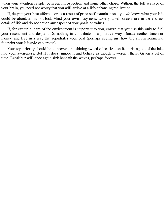when your attention is split between introspection and some other chore. Without the full wattage of your brain, you need not worry that you will arrive at a life-enhancing realization.

If, despite your best efforts—or as a result of prior self-examination—you *do* know what your life could be about, all is not lost. Mind your own busy-ness. Lose yourself once more in the endless detail of life and do not act on any aspect of your goals or values.

If, for example, care of the environment is important to you, ensure that you use this only to fuel your resentment and despair. Do nothing to contribute in a positive way. Donate neither time nor money, and live in a way that repudiates your goal (perhaps seeing just how big an environmental footprint your lifestyle can create).

Your top priority should be to prevent the shining sword of realization from rising out of the lake into your awareness. But if it does, ignore it and behave as though it weren't there. Given a bit of time, Excalibur will once again sink beneath the waves, perhaps forever.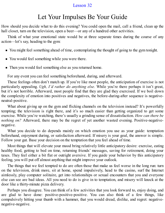# Let Your Impulses Be Your Guide

How should you decide what to do this evening? You could open the mail, call a friend, clean up the hall closet, turn on the television, open a beer—or any of a hundred other activities.

Think of what your emotional state would be at three separate times during the course of any action—let's say, heading to the gym:

- You might feel something ahead of time, contemplating the thought of going to the gym tonight.
- You would feel something while you were there.
- Then you would feel something else as you returned home.

For any event you can feel something beforehand, during, and afterward.

These feelings often don't match up. If you're like most people, the anticipation of exercise is not particularly appealing. *Ugh, I'd rather do anything else.* While you're there perhaps it isn't great, but it's not horrible. Afterward, most people find that they are glad they exercised. If we boil down the complexity of emotion into positives and negatives, the before-during-after sequence is negativeneutral-positive.

What about giving up on the gym and flicking channels on the television instead? It's powerfully tempting; the television is right there, and it's so much easier than getting organized to get some exercise. While you're watching, there's usually a grinding sense of dissatisfaction. *How can there be nothing on?* Afterward, there may be the regret of yet another wasted evening. Positive-negativenegative.

What you decide to do depends mainly on which emotion you use as your guide: temptation beforehand, enjoyment during, or satisfaction afterward. If misery is your goal, the answer is simple. Follow your gut. Base your decision on the temptation that you feel ahead of time.

Most things that will elevate your mood bring relatively little anticipatory desire: exercise, eating healthy food, getting to bed on time, returning friends' messages, saving for retirement, doing your taxes. They feel either a bit flat or outright aversive. If you guide your behavior by this anticipatory feeling, you will put off almost anything that might improve your outlook.

The things that we feel tempted to do are often those that make us feel worse in the long run: turn on the television, drink more, sit at home, spend impulsively, head to the casino, surf the Internet aimlessly, play computer solitaire, get into relationships or sexual encounters that you and everyone else can see are bad ideas. All you need to do is give in to temptation, and misery will knock at the door like a thirty-minute pizza delivery.

Perhaps you disagree. You can think of a few activities that you look forward to, enjoy doing, and are glad to have done: positive-positive-positive. You can also think of a few things, like compulsively hitting your thumb with a hammer, that you would dread, dislike, and regret: negativenegative-negative.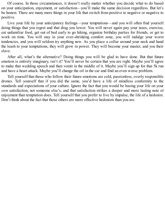Of course. In those circumstances, it doesn't really matter whether you decide what to do based on your anticipation, enjoyment, or satisfaction—you'll make the same decision regardless. But let's be honest. There are many more things in your life that switch from positive to negative or negative to positive.

Live your life by your anticipatory feelings—your temptations—and you will often find yourself doing things that you regret and that drag you lower. You will never again pay your taxes, exercise, eat unfamiliar food, get out of bed early to go hiking, organize birthday parties for friends, or get to work on time. You will stay in your ever-shrinking comfort zone, you will indulge your worst tendencies, and you will seldom try anything new. As you place a collar around your neck and hand the leash to your temptations, they will grow in power. They will become your master, and you their slave.

After all, what's the alternative? Doing things you will be glad to have done. But that future emotion is entirely imaginary, isn't it? You'll never be certain that you are right. Maybe you'll agree to make that wedding speech and then vomit in the middle of it. Maybe you'll sign up for that 5k run and have a heart attack. Maybe you'll change the oil in the car and find an even worse problem.

Tell yourself that those who follow their future emotions are cold, passionless, overly responsible drones. Tell yourself that if you did the same, you'd have a life of mindless conformity to the standards and expectations of your culture. Ignore the fact that you would be basing your life on your *own* satisfaction, not someone else's, and that satisfaction strikes a deeper and more lasting note of enjoyment than temptation does. Tell yourself that you prefer to live by impulse, the life of a hedonist. Don't think about the fact that those others are more effective hedonists than you are.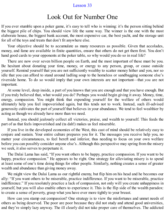### Look Out for Number One

If you ever stumble upon a poker game, it's easy to tell who is winning: it's the person sitting behind the biggest pile of chips. You should view life the same way. The winner is the one with the most elaborate house, the biggest bank account, the most expensive car, the best yacht, and the storage unit for all of the toys and treats that don't fit anywhere else.

Your objective should be to accumulate as many resources as possible. Given that accolades, money, and fame are available in finite quantities, ensure that others do not get them first. You don't hand good cards to your opponents at the poker table, so why would you do so in real life?

There are now over seven billion people on Earth, and the most important of these must be you. Be hesitant about donating your time, money, or energy to any person, group, or cause outside yourself. Remind yourself that you are not sufficiently wealthy to scatter money hither and yon, nor so idle that you can afford to stand around ladling soup to the homeless or sandbagging someone else's riverside home. To do so would imply that your own interests are not important—that *you* are not important.

At some level, deep inside, a part of you knows that you are enough and that you have enough. But if you truly believed that, what would you do? Perhaps you would begin giving it away. Money, time, energy, compassion. You might think that expending yourself for the welfare of others would ultimately help you feel impoverished again, but this tends not to work. Instead, such ill-advised generosity cultivates the part of yourself that believes in your abundance. We tend to feel wealthier by acting as though we already have more than we need.

Instead, you should jealously collect all victories, praise, and wealth to yourself. This feeds the part of us that feels impoverished and (ta dah!) makes us feel miserable.

If you live in the developed economies of the West, this cast of mind should be relatively easy to conjure and sustain. Your entire culture prepares you for it. The messages you receive help you, no matter your circumstances, to feel bereft and inferior, thus needing to focus on your own welfare before you can possibly consider anyone else's. Although this perspective may spring from the misery we seek, it also serves to perpetuate it.

The Dalai Lama has said, "If you want others to be happy, practice compassion. If you want to be happy, practice compassion." He appears to be right. One strategy for alleviating misery is to spend at least some of one's time doing things for other people. Similarly, nothing creates a sense of greater wealth and abundance than giving money away.

We might view the Dalai Lama as our rightful enemy, but flip him on his head and he becomes our ally: "If you want others to be miserable, practice indifference. If you want to be miserable, practice indifference." If you resolutely practice a lack of compassion, not only will you create unhappiness in yourself, but you will also enable others to experience it. This is the flip side of the wealth paradox: to create a sense of poverty, grasp what you have ever more tightly to your breast.

How can you stamp out compassion? One strategy is to view the misfortunes and unmet needs of others as being deserved. The poor are poor because they did not study and attend good universities, and they're simply lazy anyway. The ill clearly did not take proper care of themselves. The addicted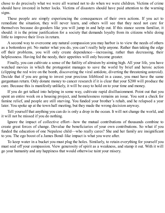chose to do precisely what we were all warned not to do when we were children. Victims of crime should have invested in better locks. Victims of disasters should have paid attention to the warning signs.

These people are simply experiencing the consequences of their own actions. If you act to remediate the situation, they will never learn, and others will see that they need not care for themselves because do-gooders like you will jump in and help out. If this stance seems familiar, it should: it is the prime justification for a society that demands loyalty from its citizens while doing little to improve their lives in return.

A second way to overcome any natural compassion you may harbor is to view the needs of others as a bottomless pit. No matter what you do, you can't really help anyone. Rather than taking the edge off their problems, you will only create dependence—increasing, rather than decreasing, their helplessness. Having fed the needy, their appetites will only become greater.

Finally, you can cultivate a sense of the futility of altruism by aiming high. All your life, you have watched movies in which the protagonist manages to save the world by brief and heroic action (clipping the red wire on the bomb, discovering the viral antidote, diverting the threatening asteroid). Decide that if you are going to invest your precious lifeblood in a cause, you must have the same gargantuan return. Only donate money to cancer research if it is clear that your \$200 will produce the cure. Because this is manifestly unlikely, it will be easy to hold on to your time and money.

If you do get talked into helping in some way, cultivate rapid disillusionment. Point out that you spent an entire week on a housing project, and homelessness remains an issue. You sent a check for famine relief, and people are still starving. You funded your brother's rehab, and he relapsed a year later. You spoke up at the town hall meeting, but they made the wrong decision anyway.

Tell yourself that anything you can do is only a drop in the ocean. It will not change the world, and it will not be missed if you do nothing.

Ignore the impact of collective effort—how the mutual contributions of thousands combine to create great forces of change. Devalue the beneficiaries of your own contributions. So what if you funded the education of one Nepalese child—who really cares? She and her family are insignificant to you. The ego boost of a James Bond–like impact is what you were after.

To keep water in a bucket you must plug the holes. Similarly, to retain everything for yourself you must seal off your compassion. View generosity of spirit as a weakness, and stamp it out. With it will go your humanity and any happiness that would otherwise taint your misery.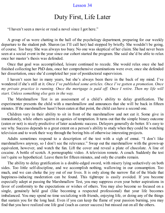## Duty First, Life Later

"I haven't seen a movie or read a novel since I got here."

A group of us were chatting in the hall of the psychology department, preparing for our weekly departure to the student pub. Sharon (as I'll call her) had stopped by briefly. She wouldn't be going, of course. Too busy. She was always too busy. No one was skeptical of her claim. She had never been seen at a social event in the year since our cohort started the program. She said she'd be able to relax once her master's thesis was defended.

Once that goal was accomplished, leisure continued to recede. She would relax once she had finished collecting her PhD data, once her comprehensive examinations were over, once she defended her dissertation, once she'd completed her year of postdoctoral supervision.

I haven't seen her in many years, but she's always been there in the back of my mind. I've wondered if she's still at it. *Once I've published some articles. Once I've gotten a promotion. Once* my private practice is running. Once the mortgage is paid off. Once I retire. Then my life will *start. Unless something else gets in the way.*

The Marshmallow Test is an assessment of a child's ability to delay gratification. The experimenter presents the child with a marshmallow and announces that she will be back in fifteen minutes. If the marshmallow hasn't been eaten at that point, the child can have a second one.

Children vary in their ability to sit in front of the marshmallow and not eat it. Some give in immediately, while others squirm in agonies of temptation. It turns out that the simple binary outcome (eaten or not) is nicely predictive of later academic success. Delayers generally do better. It's easy to see why. Success depends to a great extent on a person's ability to study when they could be watching television and to work their way through the boring bits of otherwise interesting projects.

Adults sometimes respond to a description of the test with a sigh of ennui. "I don't like marshmallows anyway, so I don't see the relevance." Swap out the marshmallow with the grown-up equivalent, however, and watch the fun. Lift the cover and reveal a plate of chocolate. A line of cocaine. A bottle of scotch. A pornographic video. A television remote. A couch. Suddenly the test isn't quite so hypothetical. Leave them for fifteen minutes, and only the crumbs remain.

The ability to delay gratification is a double-edged sword, with misery lying seductively on both sides. Too little self-discipline, and we accomplish nothing, wallowing in our consumption. Too much, and we can choke the joy out of our lives. It is only along the narrow flat of the blade that happiness-inducing moderation can be found. This tightrope is easily avoided. If you become especially adept at passing the Marshmallow Test, you may suppress even your better aspirations in favor of conformity to the expectations or wishes of others. You may also become so focused on a single, genuinely held goal (like becoming a respected professional) that your life becomes imbalanced. You may spend no time socializing with friends, enjoying life, or doing any of the things that sustain you for the long haul. Even if you can keep the flame of your passion burning, you may find that you have realized one life goal (such as career success) but missed out on all the others.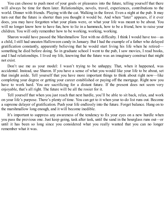You can choose to push most of your goals or pleasures into the future, telling yourself that there will always be time for them later. Relationships, novels, travel, experiences, contributions to the world. Dinner with friends. Playing with the cat. Walking in the forest. Even a night at the pub. It may turn out that the future is shorter than you thought it would be. And when "later" appears, if it ever does, you may have forgotten what your plans were, or what your life was meant to be about. You will no longer know how to have fun, how to lie in a hammock, how to be a friend, how to raise your children. You will only remember how to be working, working, working.

Sharon would have passed the Marshmallow Test with no difficulty. I think I would have too—as a child, I still had uneaten Halloween candy in January. But I had the example of a father who delayed gratification constantly, apparently believing that he would start living his life when he retired something he died before doing. So in graduate school I went to the pub, I saw movies, I read books, and I had relationships. I lived my life, knowing that the future was an imaginary construct that might not exist.

Don't use me as your model: I wasn't trying to be unhappy. That, when it happened, was accidental. Instead, use Sharon. If you have a sense of what you would like your life to be about, set that insight aside. Tell yourself that you have more important things to think about right now—like completing your degree or getting your career established or paying off the mortgage. Right now you have to work hard. You are sacrificing for a distant future. If the present does not seem very enjoyable, that's all right. The future will be all the rosier for it.

Tell yourself that when you just reach that next hurdle, you'll be able to sit back, relax, and work on your life's purpose. There's plenty of time. You can get to it when your to-do list runs out. Become a supreme delayer of gratification. Push your life endlessly into the future. Forget balance. Hang on to the marshmallow long enough, and it will become inedible.

It's important to suppress any awareness of the tendency to fix your eyes on a new hurdle when you pass the previous one. Just keep going, task after task, until the sand in the hourglass runs out—or until it has been so long since you considered what you really wanted that you can no longer remember what it was.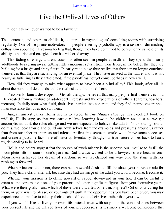# Live the Unlived Lives of Others

"I don't think I ever wanted to be a lawyer."

This sentence, and others much like it, is uttered in psychologists' consulting rooms with surprising regularity. One of the prime motivators for people entering psychotherapy is a sense of diminishing enthusiasm about their lives—a feeling that, though they have continued to consume the same diet, its ability to nourish and energize them has withered away.

This fading of energy and enthusiasm is often seen in people at midlife. They spend their early adulthoods beavering away, getting little emotional return from their lives, in the belief that they are building for a bright and shiny future. In early middle age they realize that they can no longer convince themselves that they are sacrificing for an eventual prize. They have arrived at the future, and it is not nearly as fulfilling as they anticipated. If the payoff has not yet come, perhaps it never will.

How did they manage to take what appears to have been a blind alley? This book, after all, is about the pursuit of dead ends and the real estate to be found there.

Fritz Perls, famed developer of Gestalt therapy, believed that many people find themselves in a life created from a mixture of adolescent interests and the expectations of others (parents, teachers, mentors). Initially somewhat fluid, their lives harden into concrete, and they find themselves trapped in an existence that does not suit them.

Jungian analyst James Hollis seems to agree. In *The Middle Passage*, his excellent book on midlife, Hollis suggests that we start our lives learning how to be children and, just as we get accomplished at it, the rules change and we are expected to behave like adults. Not knowing how to do this, we look around and build our adult selves from the examples and pressures around us rather than from our inherent interests and talents. At first this seems to work: we achieve some successes and create a passable facsimile of maturity. Eventually, though, our true nature comes back to haunt us, demanding to be heard.

Hollis and others suggest that the source of much misery is the unconscious impulse to fulfill the incomplete life mission of one's parents. Dad always wanted to be a lawyer, so we became one. Mom never achieved her dream of stardom, so we tap-danced our way onto the stage with her pushing us forward.

Whether incomplete or not, there can be a powerful desire to fill the shoes your parents made for you. They had a child, after all, because they had an image of the adult you would become. Become it.

Whether your mission is to climb upward or rappel downward in your life, it can be useful to examine the core motivations of your parents and other significant figures from your formative years. What were their goals—and which of these were thwarted or left incomplete? Out of your caring for them, or your wish to please, or your outright guilt at the opportunities you have been given, you may experience an impulse to take up their torch and live out their lives rather than your own.

If you would like to live your own life instead, treat with suspicion the concordances between your present life and the unlived lives of your predecessors. Is it simply a welcome coincidence that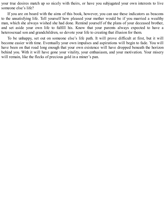your true desires match up so nicely with theirs, or have you subjugated your own interests to live someone else's life?

If you are on board with the aims of this book, however, you can use these indicators as beacons to the unsatisfying life. Tell yourself how pleased your mother would be if you married a wealthy man, which she always wished she had done. Remind yourself of the plans of your deceased brother, and set aside your own life to fulfill his. Know that your parents always expected to have a heterosexual son and grandchildren, so devote your life to creating that illusion for them.

To be unhappy, set out on someone else's life path. It will prove difficult at first, but it will become easier with time. Eventually your own impulses and aspirations will begin to fade. You will have been on that road long enough that your own existence will have dropped beneath the horizon behind you. With it will have gone your vitality, your enthusiasm, and your motivation. Your misery will remain, like the flecks of precious gold in a miner's pan.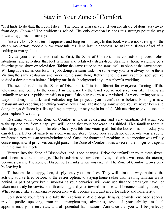## Stay in Your Zone of Comfort

"If it hurts to do that, then don't do it." The logic is unassailable. If you are afraid of dogs, stay away from dogs. *Et voila!* The problem is solved. The only question is: does this strategy point the way toward happiness or misery?

Answer: both. Short-term happiness and long-term misery. In this book we are not striving for the cheap, momentary mood dip. We want full, resilient, lasting darkness, so an initial flicker of relief is nothing to worry about.

Divide your life into two realms. First, the Zone of Comfort. This consists of places, roles, situations, and activities that feel familiar and relatively stress-free. Staying at home watching your favorite game show on television. Taking the same route to the same mall to shop at the same stores. Working at the same, comfortable job, doing the same tasks the same way you have always done them. Visiting the same restaurant and ordering the same thing. Returning to the same vacation spot you've visited a dozen times before. Helping out in the background at your nephew's wedding.

The second realm is the Zone of Discomfort. This is different for everyone. Turning off the television and going to the concert in the park by the band you're not sure you like. Taking an unfamiliar route (or public transit) to a part of the city you've never visited. At work, trying out new ways of doing old tasks and volunteering for projects you haven't done before. Finding a new restaurant and ordering something you've never had. Vacationing somewhere you've never been and doing things differently (like cycling, camping, or staying in hostels). Volunteering to give a toast at your nephew's wedding.

Residing within your Zone of Comfort is warm, reassuring, and very tempting. But when you wake up one day from a nap, you will notice that your bookcase has shifted. This familiar room is shrinking, millimeter by millimeter. Once, you felt fine visiting all but the busiest malls. Today you can detect a flutter of anxiety in a convenience store. Once, your avoidance of crowds was a subtle preference; now it is an overwhelming need. Once, the thought of speaking up in a meeting was mildly concerning; now it provokes outright panic. The Zone of Comfort hides a secret: the longer you spend in it, the smaller it gets.

Venture into the Zone of Discomfort, and it too changes. Drive the unfamiliar route three times, and it ceases to seem strange. The boundaries redraw themselves, and what was once threatening becomes easier. The Zone of Discomfort shrinks when you enter it. The Zone of Comfort grows only by leaving it.

To become less happy, then, simply obey your impulses. They will almost always point to the activity you've tried before, to the easier option, to staying home rather than leaving familiar walls behind. A part of your brain, monitoring your behavior, will conclude that the paths you have not taken must truly be unwise and threatening, and your inward impulse will become steadily stronger. What seemed like a momentary preference will become an urgent need for safety and familiarity.

So listen to your fears and take them seriously. Avoid dogs, heights, crowds, enclosed spaces, travel, public speaking, romantic entanglements, airplanes, tests of your ability, medical appointments, job interviews, and all potential humiliations. Announce that you will be perfectly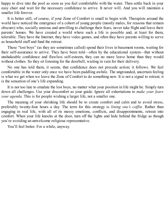happy to dive into the pool as soon as you feel comfortable with the water. Then settle back in your easy chair and wait for the necessary confidence to arrive. It never will. And you will maintain a smaller life forever.

It is better still, of course, if your Zone of Comfort is small to begin with. Therapists around the world have noticed the emergence of a cohort of young people (mostly males, for reasons that remain obscure) who, socially anxious and unwilling to challenge their fears, never take flight and leave their parents' homes. We have created a world where such a life is possible and, at least for them, tolerable. They have the Internet, they have video games, and often they have parents willing to serve as household staff and fund the retreat.

These "lost boys" (as they are sometimes called) spend their lives in basement rooms, waiting for their self-assurance to arrive. They have been told—often by the educational system—that without unshakeable confidence and flawless self-esteem, they can no more leave home than they would without clothes. So they sit listening for the doorbell, waiting in vain for their delivery.

No one has told them, it seems, that confidence does not precede action; it follows. We feel comfortable in the water only once we have been paddling awhile. The ungrounded, uncertain feeling is what we get when we leave the Zone of Comfort to do something new. It is not a signal to retreat; it is the sensation of one's life expanding.

It is not too late to emulate the lost boys, no matter what your position in life might be. Simply turn down all challenges. Use your discomfort as your guide. Ignore all exhortations to *make your fears your agenda.* This is for people wishing a larger life, not a smaller one.

The meaning of your shrinking life should be to create comfort and calm and to avoid stress, preferably twenty-four hours a day. The term for this strategy is *lining one's coffin*. Rather than engaging in real life, with all of its messy emotions, conflicts, and disappointments, retreat into comfort. When your life knocks at the door, turn off the lights and hide behind the fridge as though you're avoiding an unwelcome religious representative.

You'll feel better. For a while, anyway.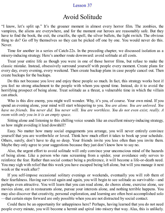## Avoid Solitude

"I know, let's split up." It's the groaner moment in almost every horror film. The zombies, the vampires, the aliens are everywhere, and for the moment our heroes are reasonably safe. But they have to find the book, the exit, the crucifix, the spell, the silver bullets, the light switch. The obvious thing to do? Go off by themselves so they can be picked off one by one. You would never do this. Never.

Time for another in a series of Catch-22s. In the preceding chapter, we discussed isolation as a misery-inducing strategy. Here's another route downward: avoid solitude at all costs.

Treat your entire life as though you were in one of those horror films, but refuse to make the classic mistake. Instead, obsessively surround yourself with people every moment. Create plans for every day, every evening, every weekend. Then create backup plans in case people cancel out. Then create backups for the backups.

Do this not because you love and enjoy these people so much. In fact, this strategy works best if you feel no strong attachment to the people with whom you spend time. Instead, do it to avoid the horrifying prospect of being alone. Treat solitude as a threat, a vulnerable time in which the villain can attack.

Who is this dire enemy, you might well wonder. Why, it's you, of course. Your own mind. If you spend an evening alone, your mind will start whispering to you. *You are alone. You are unloved. You* have no friends. You never did. You never will. You are worthless. You do not even exist, really. A *room with only you in it is an empty space.*

Sitting alone and listening to this chilling voice sounds like an excellent misery-inducing strategy, so how might avoiding it lead downhill?

Easy. No matter how many social engagements you arrange, you will never entirely convince yourself that you are worthwhile or loved. Think how much effort it takes to book up your schedule. Others, surely, don't have to dig so deep. Your friends invite you less often than you invite them. Maybe they only agree to your suggestions because they just don't know how to say no.

Also, the urgent effort to avoid solitude will only convince your unconscious mind of the hazards of being alone. Like a person who runs screaming from a spider, your avoidance only serves to reinforce the fear. Rather than social contact being a preference, it will become a life-or-death need. You may sigh with relief that this week you have escaped being left alone, but will you manage it next week or the week after?

If you self-impose occasional solitary evenings or weekends, eventually you will rob them of their fearfulness. Having survived again and again, you will begin to see solitude as survivable—and perhaps even attractive. You will learn that you can read alone, do chores alone, exercise alone, see movies alone, eat in restaurants alone, pursue your interests alone, and nothing terrible happens. You may also discover that creativity, personal exploration, and learning are often best accomplished solo —that certain steps forward are only possible when you are not distracted by social contact.

Could there be an opportunity for unhappiness here? Perhaps, having learned that you do not need people every minute, you will become a hermit and spiral into misery that way. Alas, this is unlikely.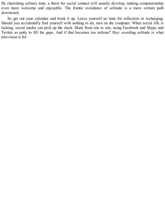By cherishing solitary time, a thirst for social contact will usually develop, making companionship even more welcome and enjoyable. The frantic avoidance of solitude is a more certain path downward.

So get out your calendar and book it up. Leave yourself no time for reflection or recharging. Should you accidentally find yourself with nothing to do, turn on the computer. When social life is lacking, social media can pick up the slack. Skate from site to site, using Facebook and Skype and Twitter as putty to fill the gaps. And if that becomes too tedious? Hey: avoiding solitude is what television is for.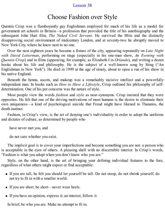## Choose Fashion over Style

Quentin Crisp was a flamboyantly gay Englishman employed for much of his life as a model for government art schools in Britain—a profession that provided the title of his autobiography and the subsequent John Hurt film, *The Naked Civil Servant*. He survived the Blitz and the distinctly disapproving social environment of midcentury London, and at seventy-two he abruptly moved to New York City, where he knew next to no one.

Over the next eighteen years he became a fixture of the city, appearing repeatedly on *Late Night with David Letterman*, performing on stage (especially in his one-man show, *An Evening with Quentin Crisp*) and in films (appearing, for example, as Elizabeth I in *Orlando*), and writing a dozen books about his life and philosophy. He is the subject of a well-known song by Sting ("An Englishman in New York"). He died in 1999 at the age of ninety, about to open a run of his show in his native England.

Beneath the henna, ascots, and makeup was a remarkably incisive intellect and a powerfully independent man. In books such as *How to Have a Lifestyle*, Crisp outlined his philosophy of selfdetermination. One of his pet concerns was the nature of style.

Most people view the words *fashion* and *style* as near-synonyms. Crisp insisted that they were opposites. He felt that one of the driving motivations of most humans is the desire to eliminate their own uniqueness—a kind of psychological suicide that Freud might have likened to Thanatos, the death instinct.

Fashion, in Crisp's view, is the art of denying one's individuality in order to adopt the uniforms and dictates of culture, as determined by people who

have never met you, and

do not care whether you exist.

The implicit goal is to cover your imperfections and become something you are not: a person who is acceptable in the eyes of others. A pleasing shell with no discernible interior. In Crisp's words, "Fashion is what you adopt when you don't know who you are."

Style, on the other hand, is the art of bringing your defining individual features to the fore, regardless of what others might expect or find acceptable:

- If you are tall, he felt you should let yourself be tall. Do not stoop, do not shrink yourself, do not try to fit in with a smaller world.
- If you are short, be short—never wear heels.
- If you have an opinion, express it; an interest, follow it.

In brief, be who you are. Make no attempt to fit in.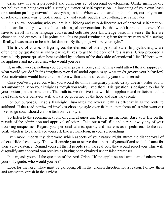Crisp saw this as a purposeful and conscious act of personal development. Unlike many, he did not believe that being yourself is simply a matter of self-expression—a loosening of your own leash or a random pushing outward of everything inside. When we appeared on this planet, our only means of self-expression was to look around, cry, and create puddles. Everything else came later.

In his view, becoming who you are is a lifelong and very deliberate act of personal self-creation. It is an art form. If you want to be a multilingual conversationalist, this won't happen on its own. You have to enroll in some language courses and cultivate your knowledge base. In a sense, the life we choose to lead creates us. He points out, "It's no good running a pig farm for thirty years while saying, 'Really, I was meant to be a ballet dancer.' By then, pigs will be your style."

The trick, of course, is figuring out the elements of one's personal style. In psychotherapy, we often employ questions as sharp paring knives to get to the core of life's issues. Crisp proposed a particularly potent question best avoided by seekers of the dark side of emotional life: "If there were no applause and no criticism, who would you be?"

If, in other words, nothing you do can impress anyone, and nothing could attract their disapproval, what would you do? In this imaginary world of social equanimity, what might govern your behavior? Your motivation would have to come from within and be directed by your own interests.

Once you've figured out what you would do on his imaginary planet, Crisp doesn't order you to act automatically on your insight as though you really lived there. His question is designed to clarify your options, not narrow them. The truth is, we do live in a world of applause and criticism, and at least some of our behavior will always be governed by the hope and fear they create.

For our purposes, Crisp's flashlight illuminates the reverse path as effectively as the route to selfhood. If the road northward involves choosing style over fashion, then those of us who want our lives to go south should choose fashion over style.

So listen to the recommendations of cultural gurus and follow instructions. Base your life on the pursuit of the admiration and approval of others. Take out a nail file and scrape away any of your troubling uniqueness. Regard your personal talents, quirks, and interests as impediments to the real goal, which is to camouflage yourself, like a chameleon, in your surroundings.

Even more importantly, determine which aspects of your nature might attract the disapproval of others. Hide these away. This will enable you to starve those parts of yourself and to feel shame for their very existence. Remind yourself that if people saw the real you, they would reject you. This will disqualify any approval you receive as having been obtained under false pretenses.

In sum, ask yourself the question of the Anti-Crisp. "If the applause and criticism of others was your only guide, who would you be?"

Look for the herd. They must be galloping off in that chosen direction for a reason. Follow them and attempt to vanish in their midst.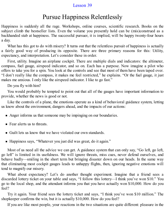# Pursue Happiness Relentlessly

Happiness is suddenly all the rage. Workshops, online courses, scientific research. Books on the subject climb the bestseller lists. Even the volume you presently hold can be (mis)construed as a backhanded stab at happiness. The successful pursuer, it is implied, will be happy twenty-four hours a day.

What has this got to do with misery? It turns out that the relentless pursuit of happiness is actually a fairly good way of producing its opposite. There are three primary reasons for this: Utility, expectancy, and interpretation. Let's consider these in order.

First, utility. Imagine an airplane cockpit. There are multiple dials and indicators: the altimeter, compass, fuel gauge, airspeed indicator, and so on. Each has a purpose. Now imagine a pilot who offers to take you for a spin. You look at the controls and see that most of them have been taped over. "I don't really like the compass, it makes me feel restricted," he explains. "Or the fuel gauge, it just makes me anxious. I only like the airspeed indicator. I like to go fast."

Do you fly with him?

You would probably be tempted to point out that all of the gauges have important information to provide, whether the news is good or not.

Like the controls of a plane, the emotions operate as a kind of behavioral guidance system, letting us know about the environment, dangers ahead, and the impacts of our actions:

- Anger informs us that someone may be impinging on our boundaries.
- **Fear alerts us to threats.**
- Guilt lets us know that we have violated our own standards.
- Happiness says, "Whatever you just did was great, do it again."

Most of us need all the advice we can get. A guidance system that can only say, "Go left, go left, go left" is limited in its usefulness. We will ignore threats, miss cues, never defend ourselves, and behave badly—smiling in the short term but bringing disaster down on our heads. In the same way that eliminating most cockpit gauges leads to unhappy flights, then, ignoring negative emotions will tend to magnify our misery.

What about expectancy? Let's do another thought experiment. Imagine that a friend sees a discarded lottery ticket on your table and says, "I follow this lottery—I think you've won \$10." You go to the local shop, and the attendant informs you that you have actually won \$10,000. How do you feel?

Try it again. Your friend sees the lottery ticket and says, "I think you've won \$10 million." The shopkeeper confirms the win, but it is actually \$10,000. How do you feel?

If you are like most people, your reactions in the two situations are quite different: pleasure in the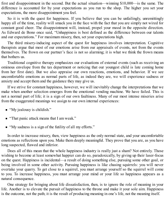first and disappointment in the second. But the actual situation—winning \$10,000—is the same. The difference is accounted for by your expectations as you run to the shop. The higher you set your expectations, the more disappointment you feel.

So it is with the quest for happiness. If you believe that you can be unfailingly, unremittingly happy all of the time, reality will smack you in the face with the fact that you are simply not wired for constant good cheer. The disappointment will, instead, propel your mood in the opposite direction. As Edward de Bono once said, "Unhappiness is best defined as the difference between our talents and our expectations." For maximum misery, then, set your expectations high.

The third misery-inducing aspect of the quest for happiness involves interpretation. Cognitive therapists argue that most of our emotions arise from our appraisals of events, not from the events themselves. The frown on our partner's face is not so alarming; it is what we think the frown means that bothers us.

Traditional cognitive therapy emphasizes our evaluations of external events (such as receiving an ominous envelope from the tax department or noticing that our youngest child is late coming home from her first date). But we also appraise our own reactions, emotions, and behavior. If we see uncomfortable emotions as normal parts of life, as indeed they are, we will experience sadness or anxiety and accept them and the guidance they may give us.

If we strive for constant happiness, however, we will inevitably change the interpretations that we make when another selection emerges from the emotional vending machine. We have failed. This is not a normal part of life; it is a sign of our own faultiness. Many of our most intense miseries arise from the exaggerated meanings we assign to our own internal experiences:

- "My jealousy is childish."
- "That panic attack means that I am weak."
- "My sadness is a sign of the futility of all my efforts."

In order to increase misery, then, view happiness as the only normal state, and your uncomfortable emotions as reflections upon you. Make them deeply meaningful. They prove that you are, as you have long suspected, flawed and inferior.

Does all of this mean that the whole happiness industry is really just a sham? Not entirely. Those wishing to become at least somewhat happier can do so, paradoxically, by giving up their laser-focus on the quest. Happiness is incidental—a result of doing something else, pursuing some other goal, or being involved in some other activity. Pursuing happiness is like chasing squirrels: you will never overtake your quarry. To get close to a squirrel, you must arrange yourself so the squirrel will come to you. To increase happiness, you must arrange your mind or your life so happiness appears as a natural consequence.

One strategy for bringing about life dissatisfaction, then, is to ignore the role of meaning in your life. Another is to elevate the pursuit of happiness to the throne and make it your sole aim. Happiness is the outcome, not the path; it is the result of producing meaning in one's life, not the meaning itself.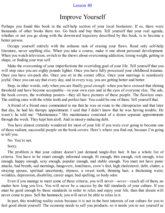### Improve Yourself

Perhaps you found this book in the self-help section of your local bookstore. If so, there were thousands of other books there too. Go back and buy them. Tell yourself that your real agenda, whether or not you go along with the downward trajectory described by this book, is to become a better person.

Occupy yourself entirely with the arduous task of erasing your flaws. Read only self-help literature, never anything else. When you take a course, make it one about personal development. When you watch television, switch to the shows about overcoming addiction, losing weight, getting in shape, or finding your true self.

Make the overcoming of your imperfections the overriding goal of your life. Tell yourself that you will stop once you are eighty pounds lighter. Once you have fully processed your childhood traumas. Once you have six-pack abs. Once you sit in the corner office. Once your marriage is seamlessly joyful. Once you can say that every day, and in every way, you are getting better and better.

Stop, in other words, only when you are finally *good enough*: when you have crossed that shining threshold and have become acceptable—in your own eyes and in the eyes of everyone else. The ads, the book covers, the workshop posters—they all have pictures of these people. The flawless ones. The smiling ones with the white teeth and perfect hair. You could be one of them. Tell yourself that.

A friend of a friend once commented to me that he was en route to the chiropractor and that later that day, he had his therapy appointment. I said that I didn't know that he was having trouble. He wasn't; he told me: "Maintenance." His maintenance consisted of a dozen separate appointments through the week. They kept him aloft. And in misery-inducing debt.

You have almost certainly wondered for most of your life if you were ever going to become one of those radiant, successful people on the book covers. Here's where you find out, because I'm going to tell you.

No. You're not.

Sorry.

The problem is that your culture doesn't just demand tangle-free hair. It has a whole list of criteria. You have to be smart enough, informed enough, fit enough, thin enough, rich enough, wise enough, happy enough, sexy enough, popular enough, and stable enough. You must not have panic attacks, bad breath, sad mornings, hangovers, loneliness, crow's feet, high cholesterol, debt, clutter, a straying spouse, spiritual uncertainty, shyness, a sweet tooth, thinning hair, a thickening waist, wrinkles, depression, disability, career angst, bad spelling, or body odor.

Even if you manage to meet some of these criteria, you will never—*never*—reach all of them, no matter how long you live. You will never be a success by the full standards of your culture. If you must be good enough by those standards in order to relax and enjoy your life, then that dream will never come to pass. Sell the hammock; you will never be able to relax in it.

In part, this troubling reality exists because it is not in the best interests of our culture for you to feel good about yourself. The economy needs to sell you products, so it needs you to see yourself as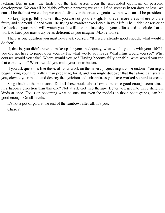lacking. But in part, the futility of the task arises from the unbounded optimism of personal development. We can all be highly effective persons; we can all find success in ten days or less; we can all be the best we can be; we can all discover the creative genius within; we can all be president.

So keep trying. Tell yourself that you are not good enough. Find ever more areas where you are faulty and shameful. Spend your life trying to manifest excellence in your life. The hidden observer at the back of your mind will watch you. It will see the intensity of your efforts and conclude that to work so hard you must truly be as deficient as you imagine. Maybe worse.

There is one question you must never ask yourself. "If I were already good enough, what would I do then?"

If, that is, you didn't have to make up for your inadequacy, what would you do with your life? If you did not have to paper over your faults, what would you read? What films would you see? What courses would you take? Where would you go? Having become fully capable, what would you use that capacity for? Where would you make your contribution?

If you ask questions like these, all your work on the misery project might come undone. You might begin living your life, rather than preparing for it, and you might discover that that alone can sustain you, elevate your mood, and destroy the cynicism and unhappiness you have worked so hard to create.

So go back to the bookstore. Did all those books about how to become good enough seem aimed in a happier direction than this one? Not at all. Get into therapy. Better yet, get into three different kinds at once. Focus on becoming what no one, not even the models in those photographs, can be: good enough. On all levels.

It's not a pot of gold at the end of the rainbow, after all. It's you.

Chase it.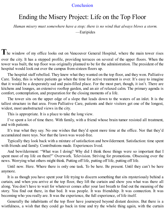## **[Conclusion](#page-5-0)**

# Ending the Misery Project: Life on the Top Floor

*Human misery must somewhere have a stop; there is no wind that always blows a storm.* —Euripides

**T**he window of my office looks out on Vancouver General Hospital, where the main tower rises over the city. It has a stepped profile, providing terraces on several of the upper floors. When the tower was built, the top floor was originally planned to be for the administration. The president of the hospital would look out over the campus from sixteen floors up.

The hospital staff rebelled. They knew what they wanted on the top floor, and they won. Palliative Care. Today, this is where patients go when the time for active treatment is over. It's easy to imagine that it would be a desperately sad and pain-filled place. For the most part, though, it isn't. There are kitchens and lounges, an extensive rooftop garden, and an air of relaxed calm. The primary agenda is comfort, contemplation, and preparation for the closing moments of a life.

The tower sits on the upper edge of a slope that leads down to the waters of an inlet. It is the tallest structure in that area. From Palliative Care, patients and their visitors get one of the longest, widest, most unobstructed views in the city.

This is appropriate. It is a place to take the long view.

I've spent a lot of time there. With family, with a friend whose brain tumor resisted all treatment, and with patients.

It's true what they say. No one wishes that they'd spent more time at the office. Nor that they'd accumulated more toys. Nor that the lawn was weed-free.

Typically they look back with a mixture of satisfaction and bewilderment. Satisfaction: time spent with friends and family. Contributions made. Experiences lived.

And bewilderment: "What was I doing? Why did I think those things were so important that I spent most of my life on them?" Overwork. Television. Striving for promotions. Obsessing over the news. Worrying what others might think. Putting off life, putting off life, putting off life.

Until now. Here. Where there is only one task. To be here. Be present. Until they can't be here anymore.

It is as though you have spent your life trying to discern something that sits mysteriously behind a curtain, and when you arrive at the top floor, they lift the curtain and show you what was there all along. You don't have to wait for whatever comes after your last breath to find out the meaning of the story. You find out there, in that bed. It was people. It was friendship. It was connection. It was becoming who you really are. It was the experience, the full experience, of life itself.

Generally the inhabitants of the top floor have journeyed beyond distant desires. But there is a wistfulness, a wish that they could go back in time and try the whole thing again, with the curtain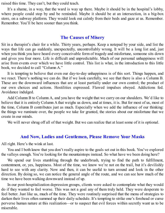raised this time. They can't, but they could teach.

It's a shame, in a way, that the ward is way up there. Maybe it should be in the hospital's lobby, where people could stop by and be reminded. Maybe it should be at an intersection, in a big-box store, on a subway platform. They would look out calmly from their beds and gaze at us. Remember. Remember. You'll be here sooner than you think.

### **The [Causes](#page-5-0) of Misery**

Sit in a therapist's chair for a while. Thirty years, perhaps. Keep a notepad by your side, and list the ways that life can go suddenly, unexpectedly, uncontrollably wrong. It will be a long list and, just when you think you have heard every conceivable form of tragedy and misfortune, someone sits down and gives you four more. Life is difficult and unpredictable. Much of our personal unhappiness will arise from events over which we have little control. This list is what, in the introduction to this little book, we decided to call "Column A."

It is tempting to believe that even our day-to-day unhappiness is of this sort. Things happen, and we react. There's nothing we can do. But if we look carefully, we see that there is also a Column B. These are the downward influences that are at least partially under our own control; the product of our own choices and actions. Hostilities expressed. Flawed impulses obeyed. Addictions fed. Avoidance indulged.

Add Column B to Column A, and you have the weight that we carry on our shoulders. We'd like to believe that it is entirely Column A that weighs us down, and at times, it is. But for most of us, most of the time, Column B contributes just as much. Especially when we add the influence of our thinking: the things we ruminate over, the people we take for granted, the stories about our misfortune that we create in our minds.

We will never shrug off all of that weight. But we can realize that at least some of it is optional.

## **And Now, Ladies and [Gentlemen,](#page-5-0) Please Remove Your Masks**

All right. Here's the wink at last.

You and I both know that you don't really aspire to the goals set out in this book. You've explored the valleys enough. You're looking for the mountaintops instead. So what have we been doing here?

We spend our lives stumbling through the underbrush, trying to find the path to fulfillment, contentment, or, yes, happiness. Most of the time, we know we're not on the trail, but it's devilishly hard to see with any clarity. Now and then, it can be useful to turn around and look in the other direction. By doing so, we can notice the general angle of the route, and we can see how much of the time we have been walking downward instead of up.

In our post-hospitalization depression groups, clients were asked to contemplate what they would do if they wanted to feel worse. This was not a goal any of them truly held. They were desperate to feel better. Just like us, much of the time. They were routinely surprised that the menu of strategies to darken their lives often summed up their daily schedule. It's tempting to strike one's forehead or curse perverse human nature at this realization—or to suspect that evil forces within secretly want us to be miserable.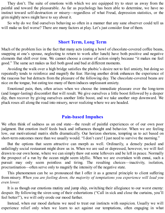They don't. The suite of emotions with which we are equipped try to steer us away from the painful and toward the pleasurable. As far as psychology has been able to determine, we have no instinct toward self-destruction or misery—regardless of what Freud, depression statistics, or the grim nightly news might have to say about it.

So why do we find ourselves behaving so often in a manner that any sane observer could tell us will make us feel worse? There are many factors at play. Let's just consider four of them.

#### **Short [Term,](#page-5-0) Long Term**

Much of the problem lies in the fact that many acts (eating a bowl of chocolate-covered coffee beans, snapping at one's spouse, neglecting to return to work after lunch) have both positive and negative elements that shift over time. We cannot choose a course of action simply because "it makes me feel good." The same act makes us feel both good and bad at different moments.

Avoiding the walk over a high bridge satisfies the phobic's desire not to feel anxiety, but doing so repeatedly tends to reinforce and magnify the fear. Having another drink enhances the experience of the raucous bar but detracts from the pleasure of the following day. The chocolate-covered beans are nice on the tongue, but eating too many of them induces unpleasant anxiety.

Emotional pain, then, often arises when we choose the immediate pleasure over the long-term (and longer-lasting) discomfort that will result. We give ourselves a little boost followed by a deeper dip, then recover by giving ourselves another little boost, and we take another step downward. We pluck roses all along the road into misery, never realizing where we are headed.

## **[Pain-based](#page-5-0) Impulses**

We often think of sadness as an end state—the result of painful experiences or of our own poor judgment. But emotion itself feeds back and influences thought and behavior. When we are feeling low, our motivational matrix shifts dramatically. Our horizon shortens, tempting us to act based on short-term outcomes more than we usually would. "I don't care! I just need to survive the morning."

But the options that seem attractive can morph as well. Ordinarily, a densely packed and unfailingly social restaurant might draw us in. When we are sad or depressed, however, we will feel drawn to our own home, where we can simply thaw out some leftovers and be left in peace. Normally the prospect of a run by the ocean might seem idyllic. When we are overtaken with ennui, such a pursuit may only seem pointless and tiring. The resulting choices—inactivity, isolation, procrastination—often serve only to magnify the intensity of the negative state.

This phenomenon can be so pronounced that I offer it as a general principle to client suffering from misery. *When you are feeling down, the majority of temptations you experience will lead you even lower.*

It is as though our emotions mutiny and jump ship, switching their allegiance to our worst enemy: despair. By following the siren song of their exhortations ("Call in sick and close the curtains, you'll feel better!"), we will only erode our mood further.

Instead, when our mood darkens we need to treat our instincts with suspicion. Usually we will experience relief only when we learn to act against our temptations, often engaging in what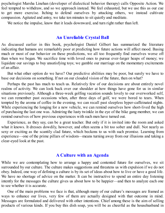psychologist Marsha Linehan (developer of dialectical behavior therapy) calls Opposite Action. We feel tempted to withdraw, and so we approach instead. We feel exhausted, but we use this as our cue to get more exercise. Itching to defend ourselves by attacking others, we instead cultivate compassion. Agitated and antsy, we take ten minutes to sit quietly and meditate.

We notice the impulse, know that it leads downward, and turn right rather than left.

#### **An [Unreliable](#page-5-0) Crystal Ball**

As discussed earlier in this book, psychologist Daniel Gilbert has summarized the literature indicating that humans are remarkably poor at predicting how future actions will affect mood. Basing much or most of our behavior on these predictions, we all too frequently find ourselves worse off than when we began. We sacrifice time with loved ones to pursue ever-larger heaps of money; we liquidate our savings to buy unsatisfying toys; we gamble our marriage on the momentary excitements of an affair.

But what other option do we have? Our predictive abilities may be poor, but surely we have to base our decisions on something. If not on our clouded vision of the future, then on what?

Perhaps the past has much to teach us. Relatively few of our decisions are about entirely novel realms of activity. We can look back over our shoulder at how things have gone for us in similar situations previously. Although a three-week golfing vacation sounds lovely to our overworked self, we can remember past occasions when, after three days of golf, we were bored to tears. When tempted by the aroma of coffee in the evening, we can recall past sleepless hyper-caffeinated nights. While experiencing the longing for a new vehicle, we can remind ourselves how short-lived the high of purchasing the last one was. Admiring the lusty twinkle in the eye of the bike gang member, we can remind ourselves of how previous experiences with such men have turned out.

Experience, as they say, can be a great teacher. But only if it is invited into the room and asked what it knows. It dresses dowdily, however, and often seems a bit too sober and dull. Not nearly as sexy or exciting as the scantily clad future, which beckons to us with such promise. Learning from experience—one of the prime pillars of wisdom—means turning away from our illusions and taking a clear-eyed look at the past.

#### **A Culture with an [Agenda](#page-5-0)**

While we are contemplating how to arrange a happy and contented future for ourselves, we sit surrounded by our culture. The culture makes suggestions and threatens us with expulsion if we do not obey. Indeed, one way of defining a culture is by its set of ideas about how to live or have a good life. We have no shortage of advice on the matter. It can be instructive to spend an entire day listening intently for the messages the culture gives us about how to be happier—and then to analyze each one to see whether it is accurate.

One of the main problems we face is that, although many of our culture's messages are framed as ways to enhance our lives, very few of them are actually designed with that outcome in mind. Messages are formulated and delivered with other intentions. Chief among these is the aim of selling products of various kinds. If you buy this dish soap, you will be as cheerful as the househusband in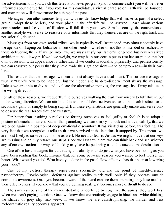the advertisement. If you watch this television news program (and its commercials) you will be better informed about the world. If you vote for this candidate, a virtual paradise on Earth will be founded, and corruption will forevermore be a thing of the past.

Messages from other sources tempt us with insider knowledge that will make us part of a select group. Adopt these beliefs, and your place in the afterlife will be assured. Learn about various conspiracies, and the veils of illusion will fall from your eyes. Simultaneously, the conversion of another acolyte will serve to reassure your informants that they themselves are on the right track and not, after all, deluded.

Messages from our own social tribes, while typically well intentioned, may simultaneously have the agenda of shaping our behavior to suit other needs—whether or not this is intended or realized by those delivering them. If we go into law, we may satisfy our father's long-held but never-realized ambition to be a lawyer. If we lose weight, we may help our cousin put to rest her suspicion that her own obsession with appearance is unhealthy. If we conform socially, physically, and professionally, we can reassure our peers that they have made the right decisions—and compromises—in their own lives.

The result is that the messages we hear almost always have a dual intent. The surface message is usually "Here's how to be happier," but the hidden and hard-to-discern intent skews the message. Unless we are able to divine and evaluate the alternative motives, the message itself may take us in the wrong direction.

For all of these reasons, we frequently find ourselves walking the trail from misery to fulfillment, but in the wrong direction. We can attribute this to our self-destructiveness, or to the death instinct, or to secondary gain, or simply to being stupid. But these explanations are generally untrue and serve only to obscure the real forces that lead us astray.

Far better than insulting ourselves or forcing ourselves to feel guilty or foolish is to adopt a posture of detached interest. Rather than panicking, we can simply sit back and notice, calmly, that we are once again in a position of deep emotional discomfort. It has visited us before, this feeling. The very fact that we recognize it tells us that we survived it the last time it stopped by. This means we are most likely to survive it this time as well. No need to fear it. Just as we might notice that our keys are missing and calmly retrace our steps since we last saw them, we can think back and see whether any of our own actions or ways of thinking may have helped bring us to this unwelcome destination.

One of the best strategies for cultivating this ability is to do just what you have been doing as you have been reading this book. Imagine that, for some perverse reason, you wanted to feel worse, not better. What would you do? What have you done in the past? How effective has that been at lowering your mood?

One of my earliest therapy supervisors succinctly told me the point of insight-oriented psychotherapy. Psychological defenses against reality work well only if they operate outside conscious awareness. Once you become aware of them and can see them operating, they lose much of their effectiveness. If you know that you are denying reality, it becomes more difficult to do so.

The same can be said of the mental distortions identified by cognitive therapists: they work best when we aren't paying attention. Once we know that we routinely engage in black-and-white thinking, the shades of grey slip into view. If we know we are catastrophizing, the milder and less melodramatic reality becomes apparent.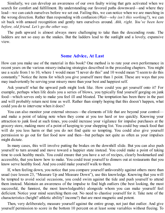Similarly, we can develop an awareness of our own faulty wiring that gets activated when we search for comfort and fulfillment. By understanding our favored paths downward—and where they lead—we can catch ourselves before we set out. Failing this, we can notice when we are marching in the wrong direction. Rather than responding with confusion (*Wait—why isn't this working?*), we can sit back with amused recognition and gently turn ourselves around. *Ahh, right. You've been here before, old friend. Let's go the other way.*

The path upward is almost always more challenging to take than the descending route. The ladders are not so easy as the snakes. But the ladders lead to the sunlight and a lovely, expansive view.

#### **Some [Advice,](#page-5-0) At Last**

How can you make use of the material in this book? One method is to rate your own performance in recent years on the various misery-inducing strategies described in the preceding chapters. You might use a scale from 1 to 10, where 1 would mean "I never do this" and 10 would mean "I seem to do this constantly." Notice the items for which you give yourself more than 1 point. These are ways that you may inadvertently be serving your misery more than your best and happiest self.

Ask yourself what the upward path might look like. How could you get yourself onto it? For example, perhaps when life deals you a series of blows, you typically find yourself gorging on junk food—which serves only to make you feel ill and bloated. The temptation has been there in the past and will probably return next time as well. Rather than simply hoping that this doesn't happen, what could you do to intervene when it does?

You can also monitor your external stresses—the elements of life that are beyond your control and make a point of taking note when they come at you too hard or too quickly. Knowing your attraction to junk food at such times, you could increase your vigilance for impulse purchases at the grocery store, making more of a point of keeping to your shopping list. You could buy snack food that will do you less harm or that you do not find quite so tempting. You could also give yourself permission to go out for fast food now and then—but perhaps not quite as often as your impulses might dictate.

In many cases, this will involve putting the brakes on the downhill slide. But you can also push yourself to turn around and move toward a happier state instead. You could make a point of taking time to cook healthy meals. You could ensure that you have a set of recipes, clearly bookmarked and accessible, that you know how to make. You could treat yourself to dinners out at restaurants that you know serve healthy food. And you could make yourself walk to them.

If, when feeling down, you notice that you compare yourself unfavorably against others more than usual (see lesson 23, "Measure Up and Measure Down"), use this knowledge. Knowing that you will be tempted to avoid social occasions, you could swim against the tide and push yourself to attend them instead. Maintain an awareness of the impulse to find high outliers (the best looking, the most successful, the funniest, the most knowledgeable) alongside whom you can make yourself feel deficient. Notice your mind searching them out. No need to chastise yourself for it. Take note of the characteristics (height? athletic ability? income?) that are most magnetic and potent.

Then, very deliberately, measure yourself against the entire group, not just that outlier. And give yourself permission to score in the bottom 10 percent on at least some variables without fleeing. To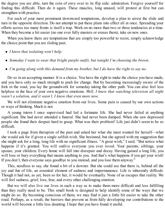the degree you are able, turn the coin of envy over to its flip side: admiration. Forgive yourself for finding this difficult. Then do it again. These muscles, long unused, will protest at first but can strengthen with practice.

For each of your most prominent downward temptations, develop a plan to arrest the slide and turn in the opposite direction. Do not attempt to put these plans into effect all at once. Spreading your efforts across too many fronts is itself a trap. Work on no more than two or three tendencies at a time. When they become a bit easier (no one ever fully masters or erases them), take on new ones.

When you know there are temptations that are simply too powerful to resist, simply acknowledge the choice point that you are sliding past.

- *I know that isolating won't help.*
- *Someday I want to wear that bright purple outfit, but tonight I'm choosing the brown.*
- *I'm going along with this demand from my brother, but I do have the right to say no.*

Do so in an accepting manner. It is a choice. You have the right to make the choice you have made, and you have only so much strength to push for change. But by becoming increasingly aware of the fork in the road, you lay the groundwork for someday taking the other path. You can also feel less helpless in the face of your own negative emotions. *Well, I knew that watching television all night wasn't a solution, and it wasn't. I know that even more now.*

We will not eliminate negative emotion from our lives. Some pain is caused by our own actions or ways of thinking. Much is not.

A young intern I once supervised had led a fortunate life. She had never failed at anything significant. She had never attended a funeral. She had never been dumped. When she saw depressed people she found their despair hard to grasp. What was their problem? Life just didn't seem to be so difficult.

I took a page from therapists of the past and asked her what she most wanted for herself—what she would ask for if given a single selfish wish. She hesitated, but she agreed with my suggestion that she might ask for a long, long life with no significant illness. "A great wish," I said. "But notice what happens if it's granted. You will outlive everyone you ever loved. Your parents, siblings, your spouse, your children. Every home will fall into disrepair and decay. Having gained a long life, you will lose or bury everything that means anything to you. And that's what happens if you get your wish! If you don't, then everyone says goodbye to you instead, and you lose them anyway."

This, needless to say, she found a bit of a downer. But she could see that there is, behind all the joy and fun of life, an essential element of sadness and impermanence. Life is inherently difficult. Though it had not, as yet, been so for her, it would be eventually. None of us escapes that reality. We will feel sadness, grief, loss, fear, and every other challenging emotion.

But we will also live our lives in such a way as to make them more difficult and less fulfilling than they really need to be. This small book is designed to help identify some of the ways that we might do so. By becoming conscious of them, we may find it just a little bit easier to take the other road. Perhaps, as a result, the barriers that prevent us from fully developing our contributions to the world will become a little less daunting. I hope that you have found it useful.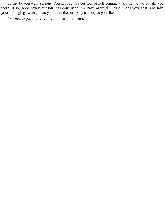Or maybe you were serious. You hopped this bus tour of hell genuinely hoping we would take you there. If so, good news: our tour has concluded. We have arrived. Please check your seats and take your belongings with you as you leave the bus. Stay as long as you like.

No need to put your coat on. It's warm out there.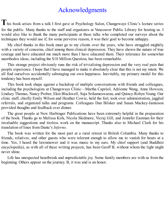# [Acknowledgments](#page-5-0)

This book arises from a talk I first gave at Psychology Salon, Changeways Clinic's lecture series for the public. Many thanks to the staff and organizers at Vancouver Public Library for hosting us. I would also like to thank the many participants at these talks who completed our surveys about the techniques they would use if, for some perverse reason, it was their goal to become unhappy.

My chief thanks in this book must go to my clients over the years, who have struggled mightily with a variety of concerns, chief among them clinical depression. They have shown the nature of true courage and have educated me much more than I have educated them. Their tolerance for somewhat unorthodox ideas, including the \$10 Million Question, has been remarkable.

This strange project obviously runs the risk of trivializing depression and the very real pain that people experience. I hope that I have managed to make it absolutely clear that this is not my intent. We all find ourselves accidentally sabotaging our own happiness. Inevitably, my primary model for this tendency has been myself.

This book took shape against a backdrop of multiple conversations with friends and colleagues, including the psychologists at Changeways Clinic—Martha Capréol, Adrienne Wang, Anne Howson, Lindsey Thomas, Nancy Prober, Ekin Blackwell, Suja Srikameswaran, and Quincy-Robyn Young. Our clinic staff, chiefly Emily Wilson and Heather Cowie, held the fort, took over administration, juggled referrals, and organized talks and programs. Colleagues Dan Bilsker and Susan Mackey-Jamieson provided thoughts and feedback over dinner.

The great people at New Harbinger Publications have been extremely helpful in the preparation of the book. Thanks go to Melissa Kirk, Nicola Skidmore, Vicraj Gill, and Jennifer Eastman for their invaluable suggestions and tireless work on the manuscript. Thanks also to Michael Clark for his translation of lines from Dante's *Inferno*.

The book was written for the most part at a rural retreat in British Columbia. Many thanks to friends, relatives, and other guests who were tolerant enough to allow me to vanish for hours at a time. Yes, I heard the lawnmower and it was music to my ears. My chief support (and Buddhist encyclopedia), as with all of these writing projects, has been Geoff B, without whom the light might never shine.

Life has unexpected heartbreak and unpredictable joy. Some family members are with us from the beginning. Others appear on the journey. B, it was and is an honor.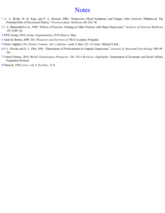# **[Notes](#page-5-0)**

- A. A. Berlin, W. H. Kop, and P. A. Deuster, 2006. "Depressive Mood Symptoms and Fatigue After Exercise Withdrawal: The Potential Role of Decreased Fitness," *Psychosomatic Medicine* 68: 224–30.
- J. A. Blumenthal et al., 1999, "Effects of Exercise Training on Older Patients with Major Depression," *Archives of Internal Medicine* 159: 2349–56.
- NPD Group, 2010, *Gamer Segmentation 2010 Report*, May.
- Alain de Botton, 2009, *The Pleasures and Sorrows of Work* (London: Penguin).
- Dante Alighieri, *The Divine Comedy,* vol. 1, *Inferno,* canto 5, lines 121–23, trans. Michael Clark.
- P. L. Hewitt and G. L. Flett, 1991, "Dimensions of Perfectionism in Unipolar Depression," *Journal of Abnormal Psychology* 100: 98– 101.
- United Nations, 2014, *World Urbanization Prospects: The 2014 Revision, Highlights*. Department of Economic and Social Affairs, Population Division.
- Plutarch, 1920, *Lives,* vol. 9, *Pyrrhus,* 21.9.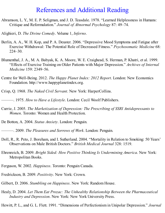# [References](#page-5-0) and Additional Reading

- Abramson, L. Y., M. E. P. Seligman, and J. D. Teasdale. 1978. "Learned Helplessness in Humans: Critique and Reformulation." *Journal of Abnormal Psychology* 87: 49–74.
- Alighieri, D. *The Divine Comedy*. Volume 1, *Inferno*.
- Berlin, A. A., W. H. Kop, and P. A. Deuster. 2006. "Depressive Mood Symptoms and Fatigue after Exercise Withdrawal: The Potential Role of Decreased Fitness." *Psychosomatic Medicine* 68: 224–30.
- Blumenthal, J. A., M. A. Babyak, K. A. Moore, W. E. Craighead, S. Herman, P. Khatri, et al. 1999. "Effects of Exercise Training on Older Patients with Major Depression." *Archives of Internal Medicine* 159: 2349–56.
- Centre for Well-Being. 2012. *The Happy Planet Index: 2012 Report*. London: New Economics Foundation. http://www.happyplanetindex.org.
- Crisp, Q. 1968. *The Naked Civil Servant*. New York: HarperCollins.
- ———. 1975. *How to Have a Lifestyle*. London: Cecil Woolf Publishers.
- Currie, J. 2005. *The Marketization of Depression: The Prescribing of SSRI Antidepressants to Women*. Toronto: Women and Health Protection.
- De Botton, A. 2004. *Status Anxiety*. London: Penguin.
- ———. 2009. *The Pleasures and Sorrows of Work*. London: Penguin.
- Doll, R., R. Peto, J. Boreham, and I. Sutherland. 2004. "Mortality in Relation to Smoking: 50 Years' Observations on Male British Doctors." *British Medical Journal* 328: 1519.
- Ehrenreich, B. 2009. *Bright Sided: How Positive Thinking Is Undermining America*. New York: Metropolitan Books.
- Ferguson, W. 2002. *Happiness*. Toronto: Penguin Canada.
- Fredrickson, B. 2009. *Positivity*. New York: Crown.
- Gilbert, D. 2006. *Stumbling on Happiness*. New York: Random House.
- Healy, D. 2004. *Let Them Eat Prozac: The Unhealthy Relationship Between the Pharmaceutical Industry and Depression*. New York: New York University Press.
- Hewitt, P. L., and G. L. Flett. 1991. "Dimensions of Perfectionism in Unipolar Depression." *Journal*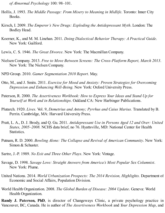*of Abnormal Psychology* 100: 98–101.

- Hollis, J. 1993. *The Middle Passage: From Misery to Meaning in Midlife*. Toronto: Inner City Books.
- Kirsch, I. 2009. *The Emperor's New Drugs: Exploding the Antidepressant Myth*. London: The Bodley Head.
- Koerner, K., and M. M. Linehan. 2011. *Doing Dialectical Behavior Therapy: A Practical Guide*. New York: Guilford.
- Lewis, C. S. 1946. *The Great Divorce*. New York: The Macmillan Company.
- Nielsen Company. 2013. *Free to Move Between Screens: The Cross-Platform Report, March 2013*. New York: The Nielsen Company.
- NPD Group. 2010. *Gamer Segmentation 2010 Report*. May.
- Otto, M., and J. Smits. 2011. *Exercise for Mood and Anxiety: Proven Strategies for Overcoming Depression and Enhancing Well-Being.* New York: Oxford University Press.
- Paterson, R. 2000. *The Assertiveness Workbook: How to Express Your Ideas and Stand Up for Yourself at Work and in Relationships*. Oakland CA: New Harbinger Publications.
- Plutarch. 1920. *Lives.* Vol. 9, *Demetrius and Antony; Pyrrhus and Caius Marius.* Translated by B. Perrin. Cambridge, MA: Harvard University Press.
- Pratt, L. A., D. J. Brody, and Q. Gu. 2011. *Antidepressant Use in Persons Aged 12 and Over: United States, 2005–2008.* NCHS data brief, no 76. Hyattsville, MD: National Center for Health Statistics.
- Putnam, R. D. 2000. *Bowling Alone: The Collapse and Revival of American Community*. New York: Simon & Schuster.
- Sartre, J.-P. 1989. *No Exit and Three Other Plays*. New York: Vintage.
- Savage, D. 1998. *Savage Love: Straight Answers from America's Most Popular Sex Columnist*. New York: Plume.
- United Nations. 2014. *World Urbanization Prospects: The 2014 Revision, Highlights.* Department of Economic and Social Affairs, Population Division.
- World Health Organization. 2008. *The Global Burden of Disease: 2004 Update*. Geneva: World Health Organization.

**Randy J. Paterson, PhD**, is director of Changeways Clinic, a private psychology practice in Vancouver, BC, Canada. He is author of *The Assertiveness Workbook* and *Your Depression Map*, and